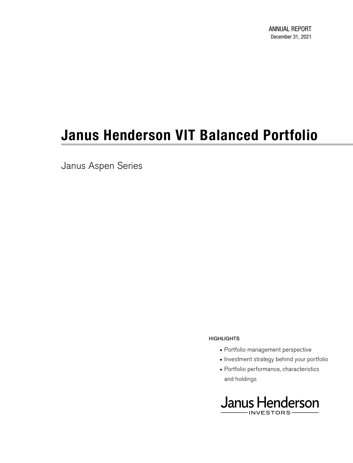Janus Aspen Series

#### **HIGHLIGHTS**

- Portfolio management perspective
- Investment strategy behind your portfolio
- Portfolio performance, characteristics and holdings

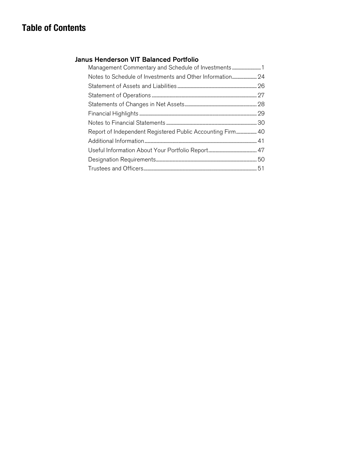## **Table of Contents**

### Janus Henderson VIT Balanced Portfolio

| Management Commentary and Schedule of Investments          |
|------------------------------------------------------------|
|                                                            |
|                                                            |
|                                                            |
|                                                            |
|                                                            |
|                                                            |
| Report of Independent Registered Public Accounting Firm 40 |
|                                                            |
|                                                            |
|                                                            |
|                                                            |
|                                                            |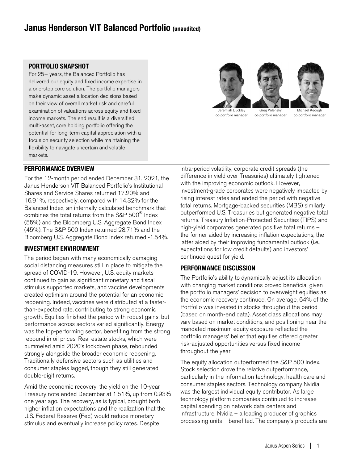### **Janus Henderson VIT Balanced Portfolio (unaudited)**

#### **PORTFOLIO SNAPSHOT**

For 25+ years, the Balanced Portfolio has delivered our equity and fixed income expertise in a one-stop core solution. The portfolio managers make dynamic asset allocation decisions based on their view of overall market risk and careful examination of valuations across equity and fixed income markets. The end result is a diversified multi-asset, core holding portfolio offering the potential for long-term capital appreciation with a focus on security selection while maintaining the flexibility to navigate uncertain and volatile markets.



co-portfolio manager

co-portfolio manager

co-portfolio manage

#### **PERFORMANCE OVERVIEW**

For the 12-month period ended December 31, 2021, the Janus Henderson VIT Balanced Portfolio's Institutional Shares and Service Shares returned 17.20% and 16.91%, respectively, compared with 14.32% for the Balanced Index, an internally calculated benchmark that combines the total returns from the S&P 500® Index (55%) and the Bloomberg U.S. Aggregate Bond Index (45%). The S&P 500 Index returned 28.71% and the Bloomberg U.S. Aggregate Bond Index returned -1.54%.

#### **INVESTMENT ENVIRONMENT**

The period began with many economically damaging social distancing measures still in place to mitigate the spread of COVID-19. However, U.S. equity markets continued to gain as significant monetary and fiscal stimulus supported markets, and vaccine developments created optimism around the potential for an economic reopening. Indeed, vaccines were distributed at a fasterthan-expected rate, contributing to strong economic growth. Equities finished the period with robust gains, but performance across sectors varied significantly. Energy was the top-performing sector, benefiting from the strong rebound in oil prices. Real estate stocks, which were pummeled amid 2020's lockdown phase, rebounded strongly alongside the broader economic reopening. Traditionally defensive sectors such as utilities and consumer staples lagged, though they still generated double-digit returns.

Amid the economic recovery, the yield on the 10-year Treasury note ended December at 1.51%, up from 0.93% one year ago. The recovery, as is typical, brought both higher inflation expectations and the realization that the U.S. Federal Reserve (Fed) would reduce monetary stimulus and eventually increase policy rates. Despite

intra-period volatility, corporate credit spreads (the difference in yield over Treasuries) ultimately tightened with the improving economic outlook. However, investment-grade corporates were negatively impacted by rising interest rates and ended the period with negative total returns. Mortgage-backed securities (MBS) similarly outperformed U.S. Treasuries but generated negative total returns. Treasury Inflation-Protected Securities (TIPS) and high-yield corporates generated positive total returns – the former aided by increasing inflation expectations, the latter aided by their improving fundamental outlook (i.e., expectations for low credit defaults) and investors' continued quest for yield.

#### **PERFORMANCE DISCUSSION**

The Portfolio's ability to dynamically adjust its allocation with changing market conditions proved beneficial given the portfolio managers' decision to overweight equities as the economic recovery continued. On average, 64% of the Portfolio was invested in stocks throughout the period (based on month-end data). Asset class allocations may vary based on market conditions, and positioning near the mandated maximum equity exposure reflected the portfolio managers' belief that equities offered greater risk-adjusted opportunities versus fixed income throughout the year.

The equity allocation outperformed the S&P 500 Index. Stock selection drove the relative outperformance, particularly in the information technology, health care and consumer staples sectors. Technology company Nvidia was the largest individual equity contributor. As large technology platform companies continued to increase capital spending on network data centers and infrastructure, Nvidia – a leading producer of graphics processing units – benefited. The company's products are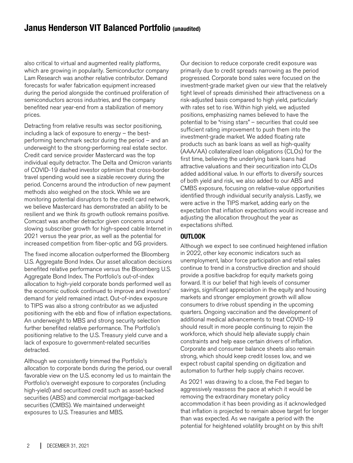### **Janus Henderson VIT Balanced Portfolio (unaudited)**

also critical to virtual and augmented reality platforms, which are growing in popularity. Semiconductor company Lam Research was another relative contributor. Demand forecasts for wafer fabrication equipment increased during the period alongside the continued proliferation of semiconductors across industries, and the company benefited near year-end from a stabilization of memory prices.

Detracting from relative results was sector positioning, including a lack of exposure to energy – the bestperforming benchmark sector during the period – and an underweight to the strong-performing real estate sector. Credit card service provider Mastercard was the top individual equity detractor. The Delta and Omicron variants of COVID-19 dashed investor optimism that cross-border travel spending would see a sizable recovery during the period. Concerns around the introduction of new payment methods also weighed on the stock. While we are monitoring potential disruptors to the credit card network, we believe Mastercard has demonstrated an ability to be resilient and we think its growth outlook remains positive. Comcast was another detractor given concerns around slowing subscriber growth for high-speed cable Internet in 2021 versus the year prior, as well as the potential for increased competition from fiber-optic and 5G providers.

The fixed income allocation outperformed the Bloomberg U.S. Aggregate Bond Index. Our asset allocation decisions benefited relative performance versus the Bloomberg U.S. Aggregate Bond Index. The Portfolio's out-of-index allocation to high-yield corporate bonds performed well as the economic outlook continued to improve and investors' demand for yield remained intact. Out-of-index exposure to TIPS was also a strong contributor as we adjusted positioning with the ebb and flow of inflation expectations. An underweight to MBS and strong security selection further benefited relative performance. The Portfolio's positioning relative to the U.S. Treasury yield curve and a lack of exposure to government-related securities detracted.

Although we consistently trimmed the Portfolio's allocation to corporate bonds during the period, our overall favorable view on the U.S. economy led us to maintain the Portfolio's overweight exposure to corporates (including high-yield) and securitized credit such as asset-backed securities (ABS) and commercial mortgage-backed securities (CMBS). We maintained underweight exposures to U.S. Treasuries and MBS.

Our decision to reduce corporate credit exposure was primarily due to credit spreads narrowing as the period progressed. Corporate bond sales were focused on the investment-grade market given our view that the relatively tight level of spreads diminished their attractiveness on a risk-adjusted basis compared to high yield, particularly with rates set to rise. Within high yield, we adjusted positions, emphasizing names believed to have the potential to be "rising stars" – securities that could see sufficient rating improvement to push them into the investment-grade market. We added floating rate products such as bank loans as well as high-quality (AAA/AA) collateralized loan obligations (CLOs) for the first time, believing the underlying bank loans had attractive valuations and their securitization into CLOs added additional value. In our efforts to diversify sources of both yield and risk, we also added to our ABS and CMBS exposure, focusing on relative-value opportunities identified through individual security analysis. Lastly, we were active in the TIPS market, adding early on the expectation that inflation expectations would increase and adjusting the allocation throughout the year as expectations shifted.

### **OUTLOOK**

Although we expect to see continued heightened inflation in 2022, other key economic indicators such as unemployment, labor force participation and retail sales continue to trend in a constructive direction and should provide a positive backdrop for equity markets going forward. It is our belief that high levels of consumer savings, significant appreciation in the equity and housing markets and stronger employment growth will allow consumers to drive robust spending in the upcoming quarters. Ongoing vaccination and the development of additional medical advancements to treat COVID-19 should result in more people continuing to rejoin the workforce, which should help alleviate supply chain constraints and help ease certain drivers of inflation. Corporate and consumer balance sheets also remain strong, which should keep credit losses low, and we expect robust capital spending on digitization and automation to further help supply chains recover.

As 2021 was drawing to a close, the Fed began to aggressively reassess the pace at which it would be removing the extraordinary monetary policy accommodation it has been providing as it acknowledged that inflation is projected to remain above target for longer than was expected. As we navigate a period with the potential for heightened volatility brought on by this shift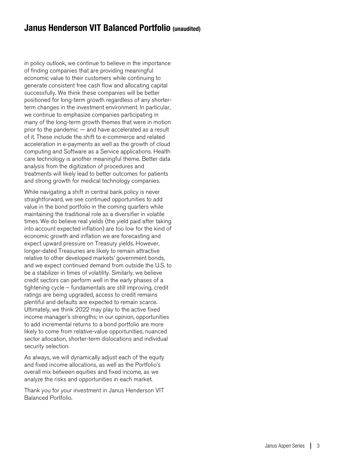### **Janus Henderson VIT Balanced Portfolio (unaudited)**

in policy outlook, we continue to believe in the importance of finding companies that are providing meaningful economic value to their customers while continuing to generate consistent free cash flow and allocating capital successfully. We think these companies will be better positioned for long-term growth regardless of any shorterterm changes in the investment environment. In particular, we continue to emphasize companies participating in many of the long-term growth themes that were in motion prior to the pandemic — and have accelerated as a result of it. These include the shift to e-commerce and related acceleration in e-payments as well as the growth of cloud computing and Software as a Service applications. Health care technology is another meaningful theme. Better data analysis from the digitization of procedures and treatments will likely lead to better outcomes for patients and strong growth for medical technology companies.

While navigating a shift in central bank policy is never straightforward, we see continued opportunities to add value in the bond portfolio in the coming quarters while maintaining the traditional role as a diversifier in volatile times. We do believe real yields (the yield paid after taking into account expected inflation) are too low for the kind of economic growth and inflation we are forecasting and expect upward pressure on Treasury yields. However, longer-dated Treasuries are likely to remain attractive relative to other developed markets' government bonds, and we expect continued demand from outside the U.S. to be a stabilizer in times of volatility. Similarly, we believe credit sectors can perform well in the early phases of a tightening cycle – fundamentals are still improving, credit ratings are being upgraded, access to credit remains plentiful and defaults are expected to remain scarce. Ultimately, we think 2022 may play to the active fixed income manager's strengths; in our opinion, opportunities to add incremental returns to a bond portfolio are more likely to come from relative-value opportunities, nuanced sector allocation, shorter-term dislocations and individual security selection.

As always, we will dynamically adjust each of the equity and fixed income allocations, as well as the Portfolio's overall mix between equities and fixed income, as we analyze the risks and opportunities in each market.

Thank you for your investment in Janus Henderson VIT Balanced Portfolio.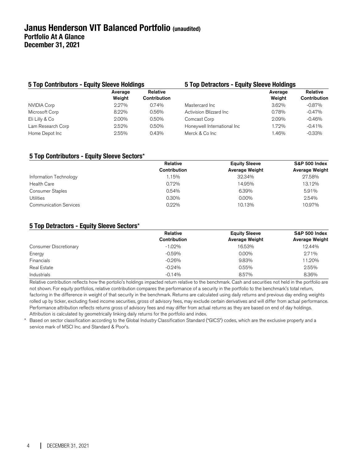| 5 Top Contributors - Equity Sleeve Holdings |                   |                          | 5 Top Detractors - Equity Sleeve Holdings |                   |                          |
|---------------------------------------------|-------------------|--------------------------|-------------------------------------------|-------------------|--------------------------|
|                                             | Average<br>Weight | Relative<br>Contribution |                                           | Average<br>Weight | Relative<br>Contribution |
| <b>NVIDIA Corp</b>                          | $2.27\%$          | 0.74%                    | Mastercard Inc                            | 3.62%             | $-0.87\%$                |
| Microsoft Corp                              | 8.22%             | 0.56%                    | Activision Blizzard Inc                   | 0.78%             | $-0.47\%$                |
| Eli Lilly & Co                              | 2.00%             | 0.50%                    | Comcast Corp                              | 2.09%             | $-0.46%$                 |
| Lam Research Corp                           | $2.52\%$          | 0.50%                    | Honeywell International Inc               | 1.72%             | $-0.41%$                 |
| Home Depot Inc                              | $2.55\%$          | 0.43%                    | Merck & Co Inc                            | 1.46%             | $-0.33\%$                |

#### **5 Top Contributors - Equity Sleeve Sectors**\*

|                               | Relative            | <b>Equity Sleeve</b>  | <b>S&amp;P 500 Index</b> |
|-------------------------------|---------------------|-----------------------|--------------------------|
|                               | <b>Contribution</b> | <b>Average Weight</b> | <b>Average Weight</b>    |
| Information Technology        | 1.15%               | 32.34%                | 27.58%                   |
| <b>Health Care</b>            | $0.72\%$            | 14.95%                | 13.12%                   |
| <b>Consumer Staples</b>       | 0.54%               | 6.39%                 | 5.91%                    |
| Utilities                     | 0.30%               | $0.00\%$              | 2.54%                    |
| <b>Communication Services</b> | 0.22%               | 10.13%                | 10.97%                   |

#### **5 Top Detractors - Equity Sleeve Sectors**\*

|                        | Relative     | <b>Equity Sleeve</b>  | <b>S&amp;P 500 Index</b> |  |
|------------------------|--------------|-----------------------|--------------------------|--|
|                        | Contribution | <b>Average Weight</b> | <b>Average Weight</b>    |  |
| Consumer Discretionary | $-1.02\%$    | 16.53%                | 12.44%                   |  |
| Energy                 | $-0.59%$     | $0.00\%$              | 2.71%                    |  |
| Financials             | $-0.26%$     | 9.83%                 | 11.20%                   |  |
| Real Estate            | $-0.24%$     | 0.55%                 | 2.55%                    |  |
| Industrials            | $-0.14%$     | 8.57%                 | 8.36%                    |  |

Relative contribution reflects how the portolio's holdings impacted return relative to the benchmark. Cash and securities not held in the portfolio are not shown. For equity portfolios, relative contribution compares the performance of a security in the portfolio to the benchmark's total return, factoring in the difference in weight of that security in the benchmark. Returns are calculated using daily returns and previous day ending weights rolled up by ticker, excluding fixed income securities, gross of advisory fees, may exclude certain derivatives and will differ from actual performance. Performance attribution reflects returns gross of advisory fees and may differ from actual returns as they are based on end of day holdings. Attribution is calculated by geometrically linking daily returns for the portfolio and index.

\* Based on sector classification according to the Global Industry Classification Standard ("GICS") codes, which are the exclusive property and a service mark of MSCI Inc. and Standard & Poor's.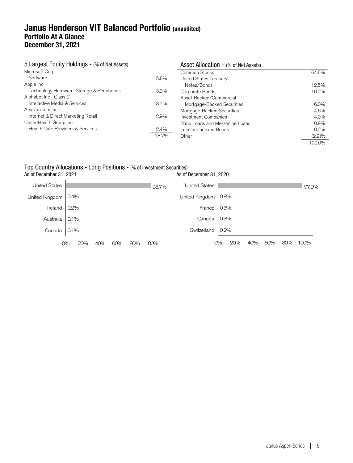### **Janus Henderson VIT Balanced Portfolio (unaudited) Portfolio At A Glance December 31, 2021**

| 5 Largest Equity Holdings - (% of Net Assets) |         | Asset Allocation - (% of Net Assets) |           |
|-----------------------------------------------|---------|--------------------------------------|-----------|
| Microsoft Corp                                |         | Common Stocks                        | 64.5%     |
| Software                                      | 5.8%    | United States Treasury               |           |
| Apple Inc                                     |         | Notes/Bonds                          | 12.5%     |
| Technology Hardware, Storage & Peripherals    | $3.9\%$ | Corporate Bonds                      | 10.2%     |
| Alphabet Inc - Class C                        |         | Asset-Backed/Commercial              |           |
| Interactive Media & Services                  | $3.7\%$ | Mortgage-Backed Securities           | $6.0\%$   |
| Amazon.com Inc.                               |         | Mortgage-Backed Securities           | 4.6%      |
| Internet & Direct Marketing Retail            | 2.9%    | <b>Investment Companies</b>          | $4.0\%$   |
| UnitedHealth Group Inc                        |         | Bank Loans and Mezzanine Loans       | $0.9\%$   |
| Health Care Providers & Services              | $2.4\%$ | Inflation-Indexed Bonds              | $0.2\%$   |
|                                               | 18.7%   | Other                                | $(2.9)\%$ |
|                                               |         |                                      | 100.0%    |

### Top Country Allocations - Long Positions - (% of Investment Securities)

|                         | <b>TOP ODDIN'T AND OCCUPATO LOTGET ODINOTIO</b> (70 OF INVOLUTION OCCUPACION |             |                         |                   |             |
|-------------------------|------------------------------------------------------------------------------|-------------|-------------------------|-------------------|-------------|
| As of December 31, 2021 |                                                                              |             | As of December 31, 2020 |                   |             |
| United States           |                                                                              | 98.7%       | <b>United States</b>    |                   | 97.9%       |
| United Kingdom          | $0.4\%$                                                                      |             | United Kingdom          | 0.8%              |             |
| Ireland                 | 0.2%                                                                         |             | France                  | 0.3%              |             |
| Australia               | 0.1%                                                                         |             | Canada                  | 0.3%              |             |
| Canada                  | $0.1\%$                                                                      |             | Switzerland             | 0.2%              |             |
|                         | 0%<br>20%<br>40%<br>60%                                                      | 100%<br>80% | $O\%$                   | 20%<br>40%<br>60% | 100%<br>80% |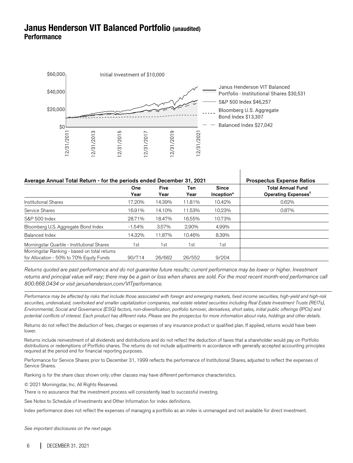### **Janus Henderson VIT Balanced Portfolio (unaudited) Performance**



| Average Annual Total Return - for the periods ended December 31, 2021                    | <b>Prospectus Expense Ratios</b> |              |             |                            |                                                             |
|------------------------------------------------------------------------------------------|----------------------------------|--------------|-------------|----------------------------|-------------------------------------------------------------|
|                                                                                          | <b>One</b><br>Year               | Five<br>Year | Ten<br>Year | <b>Since</b><br>Inception* | <b>Total Annual Fund</b><br>Operating Expenses <sup>#</sup> |
| <b>Institutional Shares</b>                                                              | 17.20%                           | 14.39%       | 11.81%      | 10.42%                     | 0.62%                                                       |
| Service Shares                                                                           | 16.91%                           | 14.10%       | 11.53%      | 10.23%                     | 0.87%                                                       |
| S&P 500 Index                                                                            | 28.71%                           | 18.47%       | 16.55%      | 10.73%                     |                                                             |
| Bloomberg U.S. Aggregate Bond Index                                                      | $-1.54%$                         | 3.57%        | 2.90%       | 4.99%                      |                                                             |
| Balanced Index                                                                           | 14.32%                           | 11.87%       | 10.46%      | 8.39%                      |                                                             |
| Morningstar Quartile - Institutional Shares                                              | 1st                              | 1st          | 1st         | 1st                        |                                                             |
| Morningstar Ranking - based on total returns<br>for Allocation - 50% to 70% Equity Funds | 90/714                           | 26/662       | 26/552      | 9/204                      |                                                             |

Returns quoted are past performance and do not guarantee future results; current performance may be lower or higher. Investment returns and principal value will vary; there may be a gain or loss when shares are sold. For the most recent month-end performance call 800.668.0434 or visit janushenderson.com/VITperformance.

Performance may be affected by risks that include those associated with foreign and emerging markets, fixed income securities, high-yield and high-risk securities, undervalued, overlooked and smaller capitalization companies, real estate related securities including Real Estate Investment Trusts (REITs), Environmental, Social and Governance (ESG) factors, non-diversification, portfolio turnover, derivatives, short sales, initial public offerings (IPOs) and potential conflicts of interest. Each product has different risks. Please see the prospectus for more information about risks, holdings and other details.

Returns do not reflect the deduction of fees, charges or expenses of any insurance product or qualified plan. If applied, returns would have been lower.

Returns include reinvestment of all dividends and distributions and do not reflect the deduction of taxes that a shareholder would pay on Portfolio distributions or redemptions of Portfolio shares. The returns do not include adjustments in accordance with generally accepted accounting principles required at the period end for financial reporting purposes.

Performance for Service Shares prior to December 31, 1999 reflects the performance of Institutional Shares, adjusted to reflect the expenses of Service Shares.

Ranking is for the share class shown only; other classes may have different performance characteristics.

© 2021 Morningstar, Inc. All Rights Reserved.

There is no assurance that the investment process will consistently lead to successful investing.

See Notes to Schedule of Investments and Other Information for index definitions.

Index performance does not reflect the expenses of managing a portfolio as an index is unmanaged and not available for direct investment.

See important disclosures on the next page.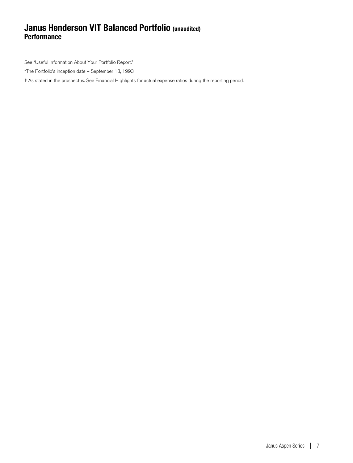### **Janus Henderson VIT Balanced Portfolio (unaudited) Performance**

See "Useful Information About Your Portfolio Report."

\*The Portfolio's inception date – September 13, 1993

‡ As stated in the prospectus. See Financial Highlights for actual expense ratios during the reporting period.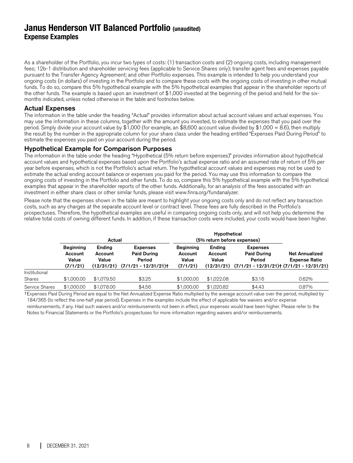### **Janus Henderson VIT Balanced Portfolio (unaudited) Expense Examples**

As a shareholder of the Portfolio, you incur two types of costs: (1) transaction costs and (2) ongoing costs, including management fees; 12b-1 distribution and shareholder servicing fees (applicable to Service Shares only); transfer agent fees and expenses payable pursuant to the Transfer Agency Agreement; and other Portfolio expenses. This example is intended to help you understand your ongoing costs (in dollars) of investing in the Portfolio and to compare these costs with the ongoing costs of investing in other mutual funds. To do so, compare this 5% hypothetical example with the 5% hypothetical examples that appear in the shareholder reports of the other funds. The example is based upon an investment of \$1,000 invested at the beginning of the period and held for the sixmonths indicated, unless noted otherwise in the table and footnotes below.

#### Actual Expenses

The information in the table under the heading "Actual" provides information about actual account values and actual expenses. You may use the information in these columns, together with the amount you invested, to estimate the expenses that you paid over the period. Simply divide your account value by \$1,000 (for example, an \$8,600 account value divided by \$1,000 = 8.6), then multiply the result by the number in the appropriate column for your share class under the heading entitled "Expenses Paid During Period" to estimate the expenses you paid on your account during the period.

#### Hypothetical Example for Comparison Purposes

The information in the table under the heading "Hypothetical (5% return before expenses)" provides information about hypothetical account values and hypothetical expenses based upon the Portfolio's actual expense ratio and an assumed rate of return of 5% per year before expenses, which is not the Portfolio's actual return. The hypothetical account values and expenses may not be used to estimate the actual ending account balance or expenses you paid for the period. You may use this information to compare the ongoing costs of investing in the Portfolio and other funds. To do so, compare this 5% hypothetical example with the 5% hypothetical examples that appear in the shareholder reports of the other funds. Additionally, for an analysis of the fees associated with an investment in either share class or other similar funds, please visit www.finra.org/fundanalyzer.

Please note that the expenses shown in the table are meant to highlight your ongoing costs only and do not reflect any transaction costs, such as any charges at the separate account level or contract level. These fees are fully described in the Portfolio's prospectuses. Therefore, the hypothetical examples are useful in comparing ongoing costs only, and will not help you determine the relative total costs of owning different funds. In addition, if these transaction costs were included, your costs would have been higher.

|                | Actual                                           |                                          |                                                                          | Hypothetical<br>(5% return before expenses)      |                            |                                                                                                             |                                               |  |
|----------------|--------------------------------------------------|------------------------------------------|--------------------------------------------------------------------------|--------------------------------------------------|----------------------------|-------------------------------------------------------------------------------------------------------------|-----------------------------------------------|--|
|                | <b>Beginning</b><br>Account<br>Value<br>(7/1/21) | Ending<br>Account<br>Value<br>(12/31/21) | <b>Expenses</b><br><b>Paid During</b><br>Period<br>$(7/1/21 - 12/31/21)$ | <b>Beginning</b><br>Account<br>Value<br>(7/1/21) | Ending<br>Account<br>Value | <b>Expenses</b><br><b>Paid During</b><br>Period<br>$(12/31/21)$ $(7/1/21 - 12/31/21)$ $(7/1/21 - 12/31/21)$ | <b>Net Annualized</b><br><b>Expense Ratio</b> |  |
| Institutional  |                                                  |                                          |                                                                          |                                                  |                            |                                                                                                             |                                               |  |
| Shares         | \$1,000.00                                       | \$1,079.50                               | \$3.25                                                                   | \$1,000.00                                       | \$1,022,08                 | \$3.16                                                                                                      | 0.62%                                         |  |
| Service Shares | \$1,000,00                                       | \$1,078.00                               | \$4.56                                                                   | \$1,000,00                                       | \$1,020.82                 | \$4.43                                                                                                      | 0.87%                                         |  |

†Expenses Paid During Period are equal to the Net Annualized Expense Ratio multiplied by the average account value over the period, multiplied by 184/365 (to reflect the one-half year period). Expenses in the examples include the effect of applicable fee waivers and/or expense reimbursements, if any. Had such waivers and/or reimbursements not been in effect, your expenses would have been higher. Please refer to the Notes to Financial Statements or the Portfolio's prospectuses for more information regarding waivers and/or reimbursements.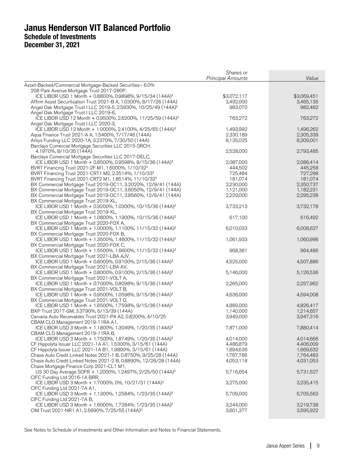|                                                                                                                                              | Shares or                |                          |
|----------------------------------------------------------------------------------------------------------------------------------------------|--------------------------|--------------------------|
|                                                                                                                                              | <b>Principal Amounts</b> | Value                    |
| Asset-Backed/Commercial Mortgage-Backed Securities- 6.0%                                                                                     |                          |                          |
| 208 Park Avenue Mortgage Trust 2017-280P,                                                                                                    |                          |                          |
| ICE LIBOR USD 1 Month + 0.8800%, 0.9898%, 9/15/34 (144A) <sup>‡</sup><br>Affirm Asset Securitization Trust 2021-B A, 1.0300%, 8/17/26 (144A) | \$3,072,117<br>3,492,000 | \$3,069,451<br>3,465,135 |
| Angel Oak Mortgage Trust I LLC 2019-5, 2.5930%, 10/25/49 (144A) <sup>‡</sup>                                                                 | 983,070                  | 982,462                  |
| Angel Oak Mortgage Trust I LLC 2019-6,                                                                                                       |                          |                          |
| ICE LIBOR USD 12 Month + 0.9500%, 2.6200%, 11/25/59 (144A) <sup>‡</sup>                                                                      | 763,272                  | 763,272                  |
| Angel Oak Mortgage Trust I LLC 2020-3,                                                                                                       |                          |                          |
| ICE LIBOR USD 12 Month + 1.0000%, 2.4100%, 4/25/65 (144A) <sup>‡</sup>                                                                       | 1,493,992                | 1,496,262                |
| Aqua Finance Trust 2021-A A, 1.5400%, 7/17/46 (144A)                                                                                         | 2,330,189                | 2,305,339                |
| Arbys Funding LLC 2020-1A, 3.2370%, 7/30/50 (144A)                                                                                           | 8,135,025                | 8,309,001                |
| Barclays Comercial Mortgage Securities LLC 2015-SRCH,                                                                                        |                          |                          |
| 4.1970%, 8/10/35 (144A)                                                                                                                      | 2,528,000                | 2,793,485                |
| Barclays Comercial Mortgage Securities LLC 2017-DELC,                                                                                        |                          |                          |
| ICE LIBOR USD 1 Month + 0.8500%, 0.9598%, 8/15/36 (144A) <sup>‡</sup>                                                                        | 2,087,000                | 2,086,414                |
| BVRT Financing Trust 2021-2F M1, 1.6000%, 1/10/32 <sup>‡</sup>                                                                               | 444,502                  | 445,258                  |
| BVRT Financing Trust 2021-CRT1 M2, 2.3514%, 1/10/33 <sup>‡</sup>                                                                             | 725,484                  | 727,298                  |
| BVRT Financing Trust 2021-CRT2 M1, 1.8514%, 11/10/32 <sup>‡</sup><br>BX Commercial Mortgage Trust 2019-OC11, 3.2020%, 12/9/41 (144A)         | 181,074<br>2,230,000     | 181,074<br>2,350,737     |
| BX Commercial Mortgage Trust 2019-OC11, 3.6050%, 12/9/41 (144A)                                                                              | 1,121,000                | 1,182,231                |
| BX Commercial Mortgage Trust 2019-OC11, 3.8560%, 12/9/41 (144A)                                                                              | 2,229,000                | 2,295,238                |
| BX Commercial Mortgage Trust 2019-XL,                                                                                                        |                          |                          |
| ICE LIBOR USD 1 Month + 0.9200%, 1.0300%, 10/15/36 (144A) <sup>‡</sup>                                                                       | 3,733,213                | 3,732,178                |
| BX Commercial Mortgage Trust 2019-XL,                                                                                                        |                          |                          |
| ICE LIBOR USD 1 Month + 1.0800%, 1.1900%, 10/15/36 (144A) <sup>‡</sup>                                                                       | 617,100                  | 616,492                  |
| BX Commercial Mortgage Trust 2020-FOX A,                                                                                                     |                          |                          |
| ICE LIBOR USD 1 Month + 1.0000%, 1.1100%, 11/15/32 (144A) <sup>‡</sup>                                                                       | 6,010,033                | 6,008,627                |
| BX Commercial Mortgage Trust 2020-FOX B,                                                                                                     |                          |                          |
| ICE LIBOR USD 1 Month + 1.3500%, 1.4600%, 11/15/32 (144A) <sup>‡</sup>                                                                       | 1,061,933                | 1,060,996                |
| BX Commercial Mortgage Trust 2020-FOX C,                                                                                                     |                          |                          |
| ICE LIBOR USD 1 Month + 1.5500%, 1.6600%, 11/15/32 (144A) <sup>‡</sup>                                                                       | 968,381                  | 964,486                  |
| BX Commercial Mortgage Trust 2021-LBA AJV,                                                                                                   |                          |                          |
| ICE LIBOR USD 1 Month + 0.8000%, 0.9100%, 2/15/36 (144A) <sup>‡</sup><br>BX Commercial Mortgage Trust 2021-LBA AV,                           | 4,525,000                | 4,507,886                |
| ICE LIBOR USD 1 Month + 0.8000%, 0.9100%, 2/15/36 (144A) <sup>‡</sup>                                                                        | 5,146,000                | 5,126,536                |
| BX Commercial Mortgage Trust 2021-VOLT A,                                                                                                    |                          |                          |
| ICE LIBOR USD 1 Month + 0.7000%, 0.8098%, 9/15/36 (144A) <sup>‡</sup>                                                                        | 2,265,000                | 2,257,962                |
| BX Commercial Mortgage Trust 2021-VOLT B,                                                                                                    |                          |                          |
| ICE LIBOR USD 1 Month + 0.9500%, 1.0598%, 9/15/36 (144A) <sup>‡</sup>                                                                        | 4,636,000                | 4,594,008                |
| BX Commercial Mortgage Trust 2021-VOLT D,                                                                                                    |                          |                          |
| ICE LIBOR USD 1 Month + 1.6500%, 1.7598%, 9/15/36 (144A) <sup>‡</sup>                                                                        | 4,869,000                | 4,826,417                |
| BXP Trust 2017-GM, 3.3790%, 6/13/39 (144A)                                                                                                   | 1,140,000                | 1,214,657                |
| Carvana Auto Receivables Trust 2021-P4 A2, 0.8200%, 4/10/25                                                                                  | 3,949,000                | 3,947,316                |
| CBAM CLO Management 2019-11RA A1,                                                                                                            |                          |                          |
| ICE LIBOR USD 3 Month + 1.1800%, 1.3049%, 1/20/35 (144A) <sup>‡</sup>                                                                        | 7,871,000                | 7,880,414                |
| CBAM CLO Management 2019-11RA B,<br>ICE LIBOR USD 3 Month + 1.7500%, 1.8749%, 1/20/35 (144A) <sup>‡</sup>                                    | 4,014,000                |                          |
| CF Hippolyta Issuer LLC 2021-1A A1, 1.5300%, 3/15/61 (144A)                                                                                  | 4,486,879                | 4,014,666<br>4,406,009   |
| CF Hippolyta Issuer LLC 2021-1A B1, 1.9800%, 3/15/61 (144A)                                                                                  | 1,694,636                | 1,669,632                |
| Chase Auto Credit Linked Notes 2021-1 B, 0.8750%, 9/25/28 (144A)                                                                             | 1,767,766                | 1,764,483                |
| Chase Auto Credit Linked Notes 2021-2 B, 0.8890%, 12/26/28 (144A)                                                                            | 4,053,118                | 4,031,053                |
| Chase Mortgage Finance Corp 2021-CL1 M1,                                                                                                     |                          |                          |
| US 30 Day Average SOFR + 1.2000%, 1.2497%, 2/25/50 (144A) <sup>‡</sup>                                                                       | 5,716,654                | 5,731,527                |
| CIFC Funding Ltd 2016-1A BRR,                                                                                                                |                          |                          |
| ICE LIBOR USD 3 Month + 1.7000%, 0%, 10/21/31 (144A) <sup>‡</sup>                                                                            | 3,275,000                | 3,235,415                |
| CIFC Funding Ltd 2021-7A A1,                                                                                                                 |                          |                          |
| ICE LIBOR USD 3 Month + 1.1300%, 1.2584%, 1/23/35 (144A) <sup>‡</sup>                                                                        | 5,709,000                | 5,705,563                |
| CIFC Funding Ltd 2021-7A B,                                                                                                                  |                          |                          |
| ICE LIBOR USD 3 Month + 1.6000%, 1.7284%, 1/23/35 (144A) <sup>‡</sup>                                                                        | 3,244,000                | 3,219,738                |
| CIM Trust 2021-NR1 A1, 2.5690%, 7/25/55 (144A) <sup>C</sup>                                                                                  | 3,601,377                | 3,595,922                |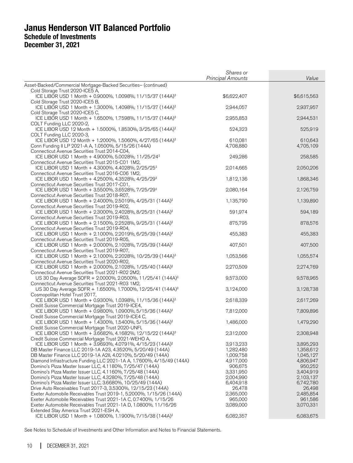|                                                                                                                               | Shares or<br><b>Principal Amounts</b> | Value                  |
|-------------------------------------------------------------------------------------------------------------------------------|---------------------------------------|------------------------|
| Asset-Backed/Commercial Mortgage-Backed Securities- (continued)                                                               |                                       |                        |
| Cold Storage Trust 2020-ICE5 A,                                                                                               |                                       |                        |
| ICE LIBOR USD 1 Month + 0.9000%, 1.0098%, 11/15/37 (144A) <sup>‡</sup>                                                        | \$6,622,407                           | \$6,615,563            |
| Cold Storage Trust 2020-ICE5 B,                                                                                               |                                       |                        |
| ICE LIBOR USD 1 Month + 1.3000%, 1.4098%, 11/15/37 (144A) <sup>‡</sup>                                                        | 2,944,057                             | 2,937,957              |
| Cold Storage Trust 2020-ICE5 C,                                                                                               |                                       |                        |
| ICE LIBOR USD 1 Month + 1.6500%, 1.7598%, 11/15/37 (144A) <sup>‡</sup><br>COLT Funding LLC 2020-2,                            | 2,955,853                             | 2,944,531              |
| ICE LIBOR USD 12 Month + 1.5000%, 1.8530%, 3/25/65 (144A) <sup>‡</sup>                                                        | 524,323                               | 525,919                |
| COLT Funding LLC 2020-3,                                                                                                      |                                       |                        |
| ICE LIBOR USD 12 Month + 1.2000%, 1.5060%, 4/27/65 (144A) <sup>‡</sup>                                                        | 610,081                               | 610,643                |
| Conn Funding II LP 2021-A A, 1.0500%, 5/15/26 (144A)                                                                          | 4,708,880                             | 4,705,109              |
| Connecticut Avenue Securities Trust 2014-C04,                                                                                 |                                       |                        |
| ICE LIBOR USD 1 Month + 4.9000%, 5.0028%, 11/25/24 <sup>‡</sup><br>Connecticut Avenue Securities Trust 2015-C01 1M2,          | 249,286                               | 258,585                |
| ICE LIBOR USD 1 Month + 4.3000%, 4.4028%, 2/25/25 <sup>‡</sup>                                                                | 2,014,665                             | 2,050,206              |
| Connecticut Avenue Securities Trust 2016-C06 1M2,                                                                             |                                       |                        |
| ICE LIBOR USD 1 Month + 4.2500%, 4.3528%, 4/25/29 <sup>‡</sup>                                                                | 1,812,136                             | 1,868,346              |
| Connecticut Avenue Securities Trust 2017-C01,                                                                                 |                                       |                        |
| ICE LIBOR USD 1 Month + 3.5500%, 3.6528%, 7/25/29 <sup>‡</sup>                                                                | 2,080,164                             | 2,126,759              |
| Connecticut Avenue Securities Trust 2018-R07,<br>ICE LIBOR USD 1 Month + 2.4000%, 2.5019%, 4/25/31 (144A) <sup>‡</sup>        | 1,135,790                             | 1,139,890              |
| Connecticut Avenue Securities Trust 2019-R02,                                                                                 |                                       |                        |
| ICE LIBOR USD 1 Month + 2.3000%, 2.4028%, 8/25/31 (144A) <sup>‡</sup>                                                         | 591,974                               | 594,189                |
| Connecticut Avenue Securities Trust 2019-R03,                                                                                 |                                       |                        |
| ICE LIBOR USD 1 Month + 2.1500%, 2.2528%, 9/25/31 (144A) <sup>‡</sup>                                                         | 875,795                               | 878,576                |
| Connecticut Avenue Securities Trust 2019-R04,                                                                                 |                                       |                        |
| ICE LIBOR USD 1 Month + 2.1000%, 2.2019%, 6/25/39 (144A) <sup>‡</sup><br>Connecticut Avenue Securities Trust 2019-R05,        | 455,383                               | 455,383                |
| ICE LIBOR USD 1 Month + 2.0000%, 2.1028%, 7/25/39 (144A) <sup>‡</sup>                                                         | 407,501                               | 407,500                |
| Connecticut Avenue Securities Trust 2019-R07,                                                                                 |                                       |                        |
| ICE LIBOR USD 1 Month + 2.1000%, 2.2028%, 10/25/39 (144A) <sup>‡</sup>                                                        | 1,053,566                             | 1,055,574              |
| Connecticut Avenue Securities Trust 2020-R02,                                                                                 |                                       |                        |
| ICE LIBOR USD 1 Month + 2.0000%, 2.1028%, 1/25/40 (144A) <sup>‡</sup><br>Connecticut Avenue Securities Trust 2021-R02 2M2,    | 2,270,509                             | 2,274,769              |
| US 30 Day Average SOFR + 2.0000%, 2.0500%, 11/25/41 (144A) <sup>‡</sup>                                                       | 9,573,000                             | 9,578,965              |
| Connecticut Avenue Securities Trust 2021-R03 1M2,                                                                             |                                       |                        |
| US 30 Day Average SOFR + 1.6500%, 1.7000%, 12/25/41 (144A) <sup>‡</sup>                                                       | 3,124,000                             | 3,128,738              |
| Cosmopolitan Hotel Trust 2017,                                                                                                |                                       |                        |
| ICE LIBOR USD 1 Month + 0.9300%, 1.0398%, 11/15/36 (144A) <sup>‡</sup>                                                        | 2,618,339                             | 2,617,269              |
| Credit Suisse Commercial Mortgage Trust 2019-ICE4,<br>ICE LIBOR USD 1 Month + 0.9800%, 1.0900%, 5/15/36 (144A) <sup>‡</sup>   | 7,812,000                             | 7,809,896              |
| Credit Suisse Commercial Mortgage Trust 2019-ICE4 C,                                                                          |                                       |                        |
| ICE LIBOR USD 1 Month + 1.4300%, 1.5400%, 5/15/36 (144A) <sup>‡</sup>                                                         | 1,486,000                             | 1,479,290              |
| Credit Suisse Commercial Mortgage Trust 2020-UNFI,                                                                            |                                       |                        |
| ICE LIBOR USD 1 Month + 3.6682%, 4.1682%, 12/15/22 (144A) <sup>‡</sup>                                                        | 2,312,000                             | 2,308,948              |
| Credit Suisse Commercial Mortgage Trust 2021-WEHO A,<br>ICE LIBOR USD 1 Month + 3.9693%, 4.0791%, 4/15/23 (144A) <sup>‡</sup> | 3,913,233                             | 3,895,293              |
| DB Master Finance LLC 2019-1A A23, 4.3520%, 5/20/49 (144A)                                                                    | 1,282,480                             | 1,358,612              |
| DB Master Finance LLC 2019-1A A2II, 4.0210%, 5/20/49 (144A)                                                                   | 1,009,758                             | 1,045,127              |
| Diamond Infrastructure Funding LLC 2021-1A A, 1.7600%, 4/15/49 (144A)                                                         | 4,917,000                             | 4,806,947              |
| Domino's Pizza Master Issuer LLC, 4.1180%, 7/25/47 (144A)                                                                     | 906,675                               | 950,252                |
| Domino's Pizza Master Issuer LLC, 4.1160%, 7/25/48 (144A)                                                                     | 3,331,950                             | 3,404,919              |
| Domino's Pizza Master Issuer LLC, 4.3280%, 7/25/48 (144A)<br>Domino's Pizza Master Issuer LLC, 3.6680%, 10/25/49 (144A)       | 2,004,990<br>6,404,918                | 2,103,137<br>6,742,780 |
| Drive Auto Receivables Trust 2017-3, 3.5300%, 12/15/23 (144A)                                                                 | 26,478                                | 26,498                 |
| Exeter Automobile Receivables Trust 2019-1, 5.2000%, 1/15/26 (144A)                                                           | 2,365,000                             | 2,485,854              |
| Exeter Automobile Receivables Trust 2021-1A C, 0.7400%, 1/15/26                                                               | 965,000                               | 961,586                |
| Exeter Automobile Receivables Trust 2021-1A D, 1.0800%, 11/16/26                                                              | 3,089,000                             | 3,070,331              |
| Extended Stay America Trust 2021-ESH A,                                                                                       |                                       |                        |
| ICE LIBOR USD 1 Month + 1.0800%, 1.1900%, 7/15/38 (144A) <sup>‡</sup>                                                         | 6,082,357                             | 6,083,675              |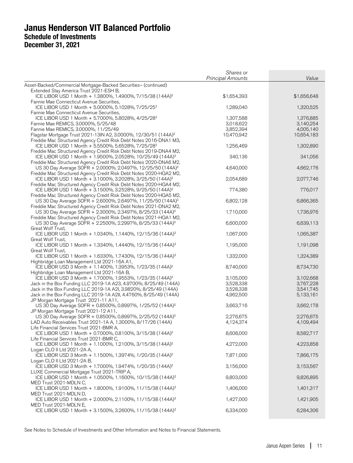|                                                                                                                                             | Shares or<br><b>Principal Amounts</b> | Value       |
|---------------------------------------------------------------------------------------------------------------------------------------------|---------------------------------------|-------------|
| Asset-Backed/Commercial Mortgage-Backed Securities- (continued)                                                                             |                                       |             |
| Extended Stay America Trust 2021-ESH B,                                                                                                     |                                       |             |
| ICE LIBOR USD 1 Month + 1.3800%, 1.4900%, 7/15/38 (144A) <sup>‡</sup><br>Fannie Mae Connecticut Avenue Securities,                          | \$1,654,393                           | \$1,656,648 |
| ICE LIBOR USD 1 Month + 5.0000%, 5.1028%, 7/25/25 <sup>‡</sup>                                                                              | 1,289,040                             | 1,320,525   |
| Fannie Mae Connecticut Avenue Securities,                                                                                                   |                                       |             |
| ICE LIBOR USD 1 Month + 5.7000%, 5.8028%, 4/25/28 <sup>‡</sup>                                                                              | 1,307,588                             | 1,376,885   |
| Fannie Mae REMICS, 3.0000%, 5/25/48                                                                                                         | 3,018,622                             | 3,140,254   |
| Fannie Mae REMICS, 3.0000%, 11/25/49                                                                                                        | 3,852,394                             | 4,005,140   |
| Flagstar Mortgage Trust 2021-13IN A2, 3.0000%, 12/30/51 (144A) <sup>‡</sup>                                                                 | 10,470,942                            | 10,654,183  |
| Freddie Mac Structured Agency Credit Risk Debt Notes 2016-DNA1 M3,<br>ICE LIBOR USD 1 Month + 5.5500%, 5.6528%, 7/25/28 <sup>‡</sup>        | 1,256,469                             | 1,302,890   |
| Freddie Mac Structured Agency Credit Risk Debt Notes 2019-DNA4 M2,                                                                          |                                       |             |
| ICE LIBOR USD 1 Month + 1.9500%, 2.0528%, 10/25/49 (144A) <sup>‡</sup>                                                                      | 340,136                               | 341,056     |
| Freddie Mac Structured Agency Credit Risk Debt Notes 2020-DNA6 M2,                                                                          |                                       |             |
| US 30 Day Average SOFR + 2.0000%, 2.0497%, 12/25/50 (144A) <sup>‡</sup>                                                                     | 4,640,000                             | 4,662,176   |
| Freddie Mac Structured Agency Credit Risk Debt Notes 2020-HOA2 M2,                                                                          |                                       |             |
| ICE LIBOR USD 1 Month + 3.1000%, 3.2028%, 3/25/50 (144A) <sup>‡</sup>                                                                       | 2,054,689                             | 2,077,746   |
| Freddie Mac Structured Agency Credit Risk Debt Notes 2020-HQA4 M2,<br>ICE LIBOR USD 1 Month + 3.1500%, 3.2528%, 9/25/50 (144A) <sup>‡</sup> | 774,380                               | 776,017     |
| Freddie Mac Structured Agency Credit Risk Debt Notes 2020-HQA5 M2,                                                                          |                                       |             |
| US 30 Day Average SOFR + 2.6000%, 2.6497%, 11/25/50 (144A) <sup>‡</sup>                                                                     | 6,802,128                             | 6,866,365   |
| Freddie Mac Structured Agency Credit Risk Debt Notes 2021-DNA2 M2,                                                                          |                                       |             |
| US 30 Day Average SOFR + 2.3000%, 2.3497%, 8/25/33 (144A) <sup>‡</sup>                                                                      | 1,710,000                             | 1,736,976   |
| Freddie Mac Structured Agency Credit Risk Debt Notes 2021-HQA1 M2,                                                                          |                                       |             |
| US 30 Day Average SOFR + 2.2500%, 2.2997%, 8/25/33 (144A) <sup>‡</sup>                                                                      | 6,600,000                             | 6,639,113   |
| Great Wolf Trust,<br>ICE LIBOR USD 1 Month + 1.0340%, 1.1440%, 12/15/36 (144A) <sup>‡</sup>                                                 | 1,067,000                             | 1,065,387   |
| Great Wolf Trust,                                                                                                                           |                                       |             |
| ICE LIBOR USD 1 Month + 1.3340%, 1.4440%, 12/15/36 (144A) <sup>‡</sup>                                                                      | 1,195,000                             | 1,191,098   |
| Great Wolf Trust,                                                                                                                           |                                       |             |
| ICE LIBOR USD 1 Month + 1.6330%, 1.7430%, 12/15/36 (144A) <sup>‡</sup>                                                                      | 1,332,000                             | 1,324,389   |
| Highbridge Loan Management Ltd 2021-16A A1,                                                                                                 |                                       |             |
| ICE LIBOR USD 3 Month + 1.1400%, 1.3953%, 1/23/35 (144A) <sup>‡</sup>                                                                       | 8,740,000                             | 8,734,730   |
| Highbridge Loan Management Ltd 2021-16A B,<br>ICE LIBOR USD 3 Month + 1.7000%, 1.9553%, 1/23/35 (144A) <sup>‡</sup>                         | 3,105,000                             | 3,102,668   |
| Jack in the Box Funding LLC 2019-1A A23, 4.9700%, 8/25/49 (144A)                                                                            | 3,528,338                             | 3,767,228   |
| Jack in the Box Funding LLC 2019-1A A2I, 3.9820%, 8/25/49 (144A)                                                                            | 3,528,338                             | 3,541,745   |
| Jack in the Box Funding LLC 2019-1A A2II, 4.4760%, 8/25/49 (144A)                                                                           | 4,962,500                             | 5,133,161   |
| JP Morgan Mortgage Trust 2021-11 A11,                                                                                                       |                                       |             |
| US 30 Day Average SOFR + 0.8500%, 0.8997%, 1/25/52 (144A) <sup>‡</sup>                                                                      | 3,663,716                             | 3,662,178   |
| JP Morgan Mortgage Trust 2021-12 A11,                                                                                                       | 2,276,675                             | 2,276,675   |
| US 30 Day Average SOFR + 0.8500%, 0.8997%, 2/25/52 (144A) <sup>‡</sup><br>LAD Auto Receivables Trust 2021-1A A, 1.3000%, 8/17/26 (144A)     | 4,124,374                             | 4,109,494   |
| Life Financial Services Trust 2021-BMR A,                                                                                                   |                                       |             |
| ICE LIBOR USD 1 Month + 0.7000%, 0.8100%, 3/15/38 (144A) <sup>‡</sup>                                                                       | 8,608,000                             | 8,582,717   |
| Life Financial Services Trust 2021-BMR C,                                                                                                   |                                       |             |
| ICE LIBOR USD 1 Month + 1.1000%, 1.2100%, 3/15/38 (144A) <sup>‡</sup>                                                                       | 4,272,000                             | 4,223,858   |
| Logan CLO II Ltd 2021-2A A,                                                                                                                 |                                       |             |
| ICE LIBOR USD 3 Month + 1.1500%, 1.3974%, 1/20/35 (144A) <sup>‡</sup><br>Logan CLO II Ltd 2021-2A B,                                        | 7,871,000                             | 7,866,175   |
| ICE LIBOR USD 3 Month + 1.7000%, 1.9474%, 1/20/35 (144A) <sup>‡</sup>                                                                       | 3,156,000                             | 3,153,567   |
| LUXE Commercial Mortgage Trust 2021-TRIP A,                                                                                                 |                                       |             |
| ICE LIBOR USD 1 Month + 1.0500%, 1.1600%, 10/15/38 (144A) <sup>‡</sup>                                                                      | 9,803,000                             | 9,826,895   |
| MED Trust 2021-MDLN C,                                                                                                                      |                                       |             |
| ICE LIBOR USD 1 Month + 1.8000%, 1.9100%, 11/15/38 (144A) <sup>‡</sup>                                                                      | 1,406,000                             | 1,401,317   |
| MED Trust 2021-MDLN D,                                                                                                                      |                                       |             |
| ICE LIBOR USD 1 Month + 2.0000%, 2.1100%, 11/15/38 (144A) <sup>‡</sup><br>MED Trust 2021-MDLN E,                                            | 1,427,000                             | 1,421,905   |
| ICE LIBOR USD 1 Month + 3.1500%, 3.2600%, 11/15/38 (144A) <sup>‡</sup>                                                                      | 6,334,000                             | 6,284,306   |
|                                                                                                                                             |                                       |             |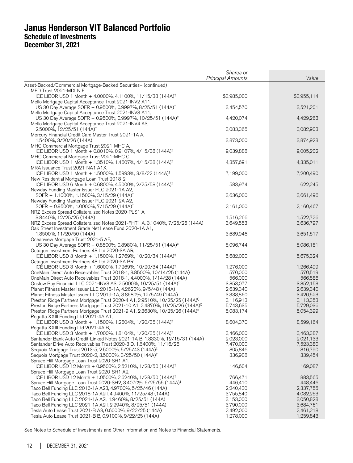|                                                                                                                                                  | Shares or<br><b>Principal Amounts</b> | Value                  |
|--------------------------------------------------------------------------------------------------------------------------------------------------|---------------------------------------|------------------------|
| Asset-Backed/Commercial Mortgage-Backed Securities- (continued)                                                                                  |                                       |                        |
| MED Trust 2021-MDLN F,                                                                                                                           |                                       |                        |
| ICE LIBOR USD 1 Month + 4.0000%, 4.1100%, 11/15/38 (144A) <sup>‡</sup>                                                                           | \$3,985,000                           | \$3,955,114            |
| Mello Mortgage Capital Acceptance Trust 2021-INV2 A11,<br>US 30 Day Average SOFR + 0.9500%, 0.9997%, 8/25/51 (144A) <sup>‡</sup>                 | 3,454,570                             | 3,521,201              |
| Mello Mortgage Capital Acceptance Trust 2021-INV3 A11,                                                                                           |                                       |                        |
| US 30 Day Average SOFR + 0.9500%, 0.9997%, 10/25/51 (144A) <sup>‡</sup>                                                                          | 4,420,074                             | 4,429,263              |
| Mello Mortgage Capital Acceptance Trust 2021-INV4 A3,                                                                                            |                                       |                        |
| $2.5000\%$ , 12/25/51 (144A) <sup>‡</sup>                                                                                                        | 3,083,365                             | 3,082,903              |
| Mercury Financial Credit Card Master Trust 2021-1A A,                                                                                            |                                       |                        |
| 1.5400%, 3/20/26 (144A)<br>MHC Commercial Mortgage Trust 2021-MHC A,                                                                             | 3,873,000                             | 3,874,923              |
| ICE LIBOR USD 1 Month + 0.8010%, 0.9107%, 4/15/38 (144A) <sup>‡</sup>                                                                            | 9,039,888                             | 9,005,202              |
| MHC Commercial Mortgage Trust 2021-MHC C,                                                                                                        |                                       |                        |
| ICE LIBOR USD 1 Month + 1.3510%, 1.4607%, 4/15/38 (144A) <sup>‡</sup>                                                                            | 4,357,691                             | 4,335,011              |
| MRA Issuance Trust 2021-NA1 A1X,                                                                                                                 |                                       |                        |
| ICE LIBOR USD 1 Month + 1.5000%, 1.5993%, 3/8/22 (144A) <sup>‡</sup><br>New Residential Mortgage Loan Trust 2018-2,                              | 7,199,000                             | 7,200,490              |
| ICE LIBOR USD 6 Month + 0.6800%, 4.5000%, 2/25/58 (144A) <sup>‡</sup>                                                                            | 583,974                               | 622,245                |
| Newday Funding Master Issuer PLC 2021-1A A2,                                                                                                     |                                       |                        |
| SOFR + 1.1000%, 1.1500%, 3/15/29 (144A) <sup>‡</sup>                                                                                             | 3,636,000                             | 3,661,496              |
| Newday Funding Master Issuer PLC 2021-2A A2,                                                                                                     |                                       |                        |
| SOFR + 0.9500%, 1.0000%, 7/15/29 (144A) <sup>‡</sup>                                                                                             | 2,161,000                             | 2,160,467              |
| NRZ Excess Spread Collateralized Notes 2020-PLS1 A,<br>3.8440%, 12/25/25 (144A)                                                                  | 1,516,266                             | 1,522,726              |
| NRZ Excess Spread Collateralized Notes 2021-FHT1 A, 3.1040%, 7/25/26 (144A)                                                                      | 3,649,553                             | 3,636,797              |
| Oak Street Investment Grade Net Lease Fund 2020-1A A1,                                                                                           |                                       |                        |
| 1.8500%, 11/20/50 (144A)                                                                                                                         | 3,689,946                             | 3,651,517              |
| Oceanview Mortgage Trust 2021-5 AF,                                                                                                              |                                       |                        |
| US 30 Day Average SOFR + 0.8500%, 0.8980%, 11/25/51 (144A) <sup>‡</sup><br>Octagon Investment Partners 48 Ltd 2020-3A AR,                        | 5,096,744                             | 5,086,181              |
| ICE LIBOR USD 3 Month + 1.1500%, 1.2769%, 10/20/34 (144A) <sup>‡</sup>                                                                           | 5,682,000                             | 5,675,324              |
| Octagon Investment Partners 48 Ltd 2020-3A BR,                                                                                                   |                                       |                        |
| ICE LIBOR USD 3 Month + 1.6000%, 1.7269%, 10/20/34 (144A) <sup>‡</sup>                                                                           | 1,276,000                             | 1,266,499              |
| OneMain Direct Auto Receivables Trust 2018-1, 3.8500%, 10/14/25 (144A)                                                                           | 570,000                               | 570,519                |
| OneMain Direct Auto Receivables Trust 2018-1, 4.4000%, 1/14/28 (144A)                                                                            | 566,000                               | 566,586                |
| Onslow Bay Financial LLC 2021-INV3 A3, 2.5000%, 10/25/51 (144A) <sup>‡</sup><br>Planet Fitness Master Issuer LLC 2018-1A, 4.2620%, 9/5/48 (144A) | 3,853,077<br>2,639,340                | 3,852,153<br>2,639,340 |
| Planet Fitness Master Issuer LLC 2019-1A, 3.8580%, 12/5/49 (144A)                                                                                | 3,338,860                             | 3,420,523              |
| Preston Ridge Partners Mortgage Trust 2020-4 A1, 2.9510%, 10/25/25 (144A) <sup>C</sup>                                                           | 3,116,913                             | 3,113,353              |
| Preston Ridge Partners Mortgage Trust 2021-10 A1, 2.4870%, 10/25/26 (144A) <sup>C</sup>                                                          | 5,743,635                             | 5,729,036              |
| Preston Ridge Partners Mortgage Trust 2021-9 A1, 2.3630%, 10/25/26 (144A) <sup>‡</sup>                                                           | 5,083,174                             | 5,054,399              |
| Regatta XXIII Funding Ltd 2021-4A A1,                                                                                                            |                                       |                        |
| ICE LIBOR USD 3 Month + 1.1500%, 1.2604%, 1/20/35 (144A) <sup>‡</sup>                                                                            | 8,604,370                             | 8,599,164              |
| Regatta XXIII Funding Ltd 2021-4A B,<br>ICE LIBOR USD 3 Month + 1.7000%, 1.8104%, 1/20/35 (144A) <sup>‡</sup>                                    | 3,466,000                             | 3,463,387              |
| Santander Bank Auto Credit-Linked Notes 2021-1A B, 1.8330%, 12/15/31 (144A)                                                                      | 2,023,000                             | 2,021,133              |
| Santander Drive Auto Receivables Trust 2020-3 D, 1.6400%, 11/16/26                                                                               | 7,470,000                             | 7,523,380              |
| Sequoia Mortgage Trust 2013-5, 2.5000%, 5/25/43 (144A) <sup>‡</sup>                                                                              | 805,846                               | 816,790                |
| Sequoia Mortgage Trust 2020-2, 3.5000%, 3/25/50 (144A) <sup>‡</sup>                                                                              | 336,908                               | 339,454                |
| Spruce Hill Mortgage Loan Trust 2020-SH1 A1,<br>ICE LIBOR USD 12 Month + 0.9500%, 2.5210%, 1/28/50 (144A) <sup>‡</sup>                           | 146,604                               | 169,087                |
| Spruce Hill Mortgage Loan Trust 2020-SH1 A2,                                                                                                     |                                       |                        |
| ICE LIBOR USD 12 Month + 1.0500%, 2.6240%, 1/28/50 (144A) <sup>‡</sup>                                                                           | 766,471                               | 883,565                |
| Spruce Hill Mortgage Loan Trust 2020-SH2, 3.4070%, 6/25/55 (144A) <sup>‡</sup>                                                                   | 446,410                               | 448,446                |
| Taco Bell Funding LLC 2016-1A A23, 4.9700%, 5/25/46 (144A)                                                                                       | 2,240,430                             | 2,337,755              |
| Taco Bell Funding LLC 2018-1A A2II, 4.9400%, 11/25/48 (144A)                                                                                     | 3,755,840                             | 4,082,253              |
| Taco Bell Funding LLC 2021-1A A2I, 1.9460%, 8/25/51 (144A)<br>Taco Bell Funding LLC 2021-1A A2II, 2.2940%, 8/25/51 (144A)                        | 3,153,000<br>3,790,000                | 3,050,828<br>3,684,761 |
| Tesla Auto Lease Trust 2021-B A3, 0.6000%, 9/22/25 (144A)                                                                                        | 2,492,000                             | 2,461,218              |
| Tesla Auto Lease Trust 2021-B B, 0.9100%, 9/22/25 (144A)                                                                                         | 1,278,000                             | 1,259,843              |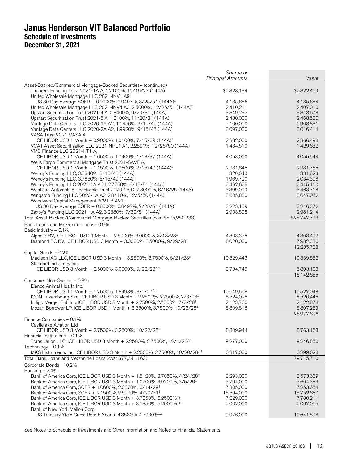|                                                                                                                                                            | Shares or                |                         |
|------------------------------------------------------------------------------------------------------------------------------------------------------------|--------------------------|-------------------------|
|                                                                                                                                                            | <b>Principal Amounts</b> | Value                   |
| Asset-Backed/Commercial Mortgage-Backed Securities- (continued)                                                                                            |                          |                         |
| Theorem Funding Trust 2021-1A A, 1.2100%, 12/15/27 (144A)                                                                                                  | \$2,828,134              | \$2,822,469             |
| United Wholesale Mortgage LLC 2021-INV1 A9,                                                                                                                |                          |                         |
| US 30 Day Average SOFR + 0.9000%, 0.9497%, 8/25/51 (144A) <sup>‡</sup>                                                                                     | 4,185,686                | 4,185,684               |
| United Wholesale Mortgage LLC 2021-INV4 A3, 2.5000%, 12/25/51 (144A) <sup>‡</sup>                                                                          | 2,410,211                | 2,407,010               |
| Upstart Securitization Trust 2021-4 A, 0.8400%, 9/20/31 (144A)                                                                                             | 3,849,232                | 3,813,678               |
| Upstart Securitization Trust 2021-5 A, 1.3100%, 11/20/31 (144A)                                                                                            | 2,480,000                | 2,468,586               |
| Vantage Data Centers LLC 2020-1A A2, 1.6450%, 9/15/45 (144A)                                                                                               | 7,100,000                | 6,908,831               |
| Vantage Data Centers LLC 2020-2A A2, 1.9920%, 9/15/45 (144A)                                                                                               | 3,097,000                | 3,016,414               |
| VASA Trust 2021-VASA A,                                                                                                                                    |                          |                         |
| ICE LIBOR USD 1 Month + 0.9000%, 1.0100%, 7/15/39 (144A) <sup>‡</sup>                                                                                      | 2,382,000                | 2,366,498               |
| VCAT Asset Securitization LLC 2021-NPL1 A1, 2.2891%, 12/26/50 (144A)                                                                                       | 1,434,510                | 1,429,632               |
| VMC Finance LLC 2021-HT1 A,                                                                                                                                |                          |                         |
| ICE LIBOR USD 1 Month + 1.6500%, 1.7400%, 1/18/37 (144A) <sup>‡</sup>                                                                                      | 4,053,000                | 4,055,544               |
| Wells Fargo Commercial Mortgage Trust 2021-SAVE A,<br>ICE LIBOR USD 1 Month + 1.1500%, 1.2600%, 2/15/40 (144A) <sup>‡</sup>                                |                          |                         |
|                                                                                                                                                            | 2,281,645                | 2,281,765<br>331,823    |
| Wendy's Funding LLC, 3.8840%, 3/15/48 (144A)<br>Wendy's Funding LLC, 3.7830%, 6/15/49 (144A)                                                               | 320,640<br>1,969,720     | 2,034,308               |
| Wendy's Funding LLC 2021-1A A2II, 2.7750%, 6/15/51 (144A)                                                                                                  | 2,462,625                | 2,445,110               |
| Westlake Automobile Receivable Trust 2020-1A D, 2.8000%, 6/16/25 (144A)                                                                                    | 3,399,000                | 3,463,718               |
| Wingstop Funding LLC 2020-1A A2, 2.8410%, 12/5/50 (144A)                                                                                                   | 3,605,880                | 3,647,062               |
| Woodward Capital Management 2021-3 A21,                                                                                                                    |                          |                         |
| US 30 Day Average SOFR + 0.8000%, 0.8497%, 7/25/51 (144A) <sup>‡</sup>                                                                                     | 3,223,159                | 3,216,372               |
| Zaxby's Funding LLC 2021-1A A2, 3.2380%, 7/30/51 (144A)                                                                                                    | 2,953,598                | 2,981,214               |
| Total Asset-Backed/Commercial Mortgage-Backed Securities (cost \$525,250,233)                                                                              |                          | 525.747.773             |
| Bank Loans and Mezzanine Loans-0.9%                                                                                                                        |                          |                         |
| Basic Industry $-0.1\%$                                                                                                                                    |                          |                         |
| Alpha 3 BV, ICE LIBOR USD 1 Month + 2.5000%, 3.0000%, 3/18/28 <sup>‡</sup>                                                                                 | 4,303,375                | 4,303,402               |
| Diamond BC BV, ICE LIBOR USD 3 Month + 3.0000%, 3.5000%, 9/29/28 <sup>‡</sup>                                                                              | 8,020,000                | 7,982,386               |
|                                                                                                                                                            |                          | 12,285,788              |
| Capital Goods - 0.2%                                                                                                                                       |                          |                         |
| Madison IAQ LLC, ICE LIBOR USD 3 Month + 3.2500%, 3.7500%, 6/21/28 <sup>‡</sup>                                                                            | 10,329,443               | 10,339,552              |
| Standard Industries Inc,                                                                                                                                   |                          |                         |
| ICE LIBOR USD 3 Month + 2.5000%, 3.0000%, 9/22/28 <sup>f,‡</sup>                                                                                           | 3,734,745                | 5,803,103               |
|                                                                                                                                                            |                          | 16,142,655              |
| Consumer Non-Cyclical - 0.3%                                                                                                                               |                          |                         |
| Elanco Animal Health Inc,                                                                                                                                  |                          |                         |
| ICE LIBOR USD 1 Month + 1.7500%, 1.8493%, 8/1/27 $^{f, \ddag}$                                                                                             | 10,649,568               | 10,527,048              |
| ICON Luxembourg Sarl, ICE LIBOR USD 3 Month + 2.2500%, 2.7500%, 7/3/28 <sup>‡</sup>                                                                        | 8,524,025                | 8,520,445               |
| Indigo Merger Sub Inc, ICE LIBOR USD 3 Month + 2.2500%, 2.7500%, 7/3/28 <sup>‡</sup>                                                                       | 2,123,766                | 2,122,874               |
| Mozart Borrower LP, ICE LIBOR USD 1 Month + 3.2500%, 3.7500%, 10/23/28 <sup>‡</sup>                                                                        | 5,809,816                | 5,807,259               |
|                                                                                                                                                            |                          | 26,977,626              |
| Finance Companies - 0.1%                                                                                                                                   |                          |                         |
| Castlelake Aviation Ltd,                                                                                                                                   |                          |                         |
| ICE LIBOR USD 3 Month + 2.7500%, 3.2500%, 10/22/26 <sup>‡</sup>                                                                                            | 8,809,944                | 8,763,163               |
| Financial Institutions - 0.1%                                                                                                                              |                          |                         |
| Trans Union LLC, ICE LIBOR USD 3 Month + 2.2500%, 2.7500%, 12/1/28 <sup>f,‡</sup>                                                                          | 9,277,000                | 9,246,850               |
| Technology - 0.1%                                                                                                                                          |                          |                         |
| MKS Instruments Inc, ICE LIBOR USD 3 Month + 2.2500%, 2.7500%, 10/20/28 <sup><i>i</i>.‡</sup><br>Total Bank Loans and Mezzanine Loans (cost \$77,641,163)  | 6,317,000                | 6,299,628<br>79,715,710 |
|                                                                                                                                                            |                          |                         |
| Corporate Bonds- 10.2%                                                                                                                                     |                          |                         |
| Banking $-2.4%$                                                                                                                                            |                          |                         |
| Bank of America Corp, ICE LIBOR USD 3 Month + 1.5120%, 3.7050%, 4/24/28 <sup>‡</sup>                                                                       | 3,293,000                | 3,573,669               |
| Bank of America Corp, ICE LIBOR USD 3 Month + 1.0700%, 3.9700%, 3/5/29 <sup>‡</sup><br>Bank of America Corp, SOFR + 1.0600%, 2.0870%, 6/14/29 <sup>‡</sup> | 3,294,000                | 3,604,383               |
| Bank of America Corp, SOFR + 2.1500%, 2.5920%, 4/29/31 <sup>‡</sup>                                                                                        | 7,305,000<br>15,594,000  | 7,253,654               |
| Bank of America Corp, ICE LIBOR USD 3 Month + 3.7050%, 6.2500% <sup>‡,µ</sup>                                                                              | 7,229,000                | 15,752,667<br>7,780,211 |
| Bank of America Corp, ICE LIBOR USD 3 Month + 3.1350%, 5.2000% <sup>‡, µ</sup>                                                                             | 2,002,000                | 2,067,065               |
| Bank of New York Mellon Corp,                                                                                                                              |                          |                         |
| US Treasury Yield Curve Rate 5 Year + 4.3580%, 4.7000% <sup>‡,µ</sup>                                                                                      | 9,976,000                | 10,641,898              |
|                                                                                                                                                            |                          |                         |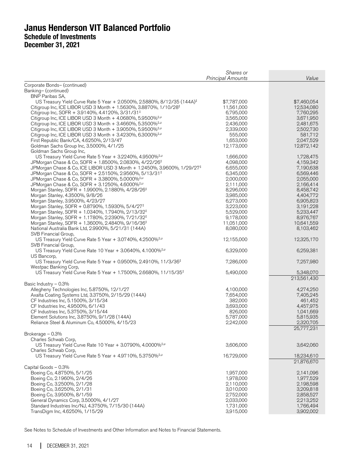|                                                                                                                                                                                                                                                                                                                                                                                                                                                                                                                                                                                                                                                                                                                                                                                                                                                                               | Shares or<br><b>Principal Amounts</b>                                                                                                                                  | Value                                                                                                                                                                  |
|-------------------------------------------------------------------------------------------------------------------------------------------------------------------------------------------------------------------------------------------------------------------------------------------------------------------------------------------------------------------------------------------------------------------------------------------------------------------------------------------------------------------------------------------------------------------------------------------------------------------------------------------------------------------------------------------------------------------------------------------------------------------------------------------------------------------------------------------------------------------------------|------------------------------------------------------------------------------------------------------------------------------------------------------------------------|------------------------------------------------------------------------------------------------------------------------------------------------------------------------|
| Corporate Bonds- (continued)<br>Banking- (continued)                                                                                                                                                                                                                                                                                                                                                                                                                                                                                                                                                                                                                                                                                                                                                                                                                          |                                                                                                                                                                        |                                                                                                                                                                        |
| <b>BNP Paribas SA,</b><br>US Treasury Yield Curve Rate 5 Year + 2.0500%, 2.5880%, 8/12/35 (144A) <sup>‡</sup><br>Citigroup Inc, ICE LIBOR USD 3 Month + 1.5630%, 3.8870%, 1/10/28 <sup>‡</sup><br>Citigroup Inc, SOFR + 3.9140%, 4.4120%, 3/31/31 <sup>‡</sup><br>Citigroup Inc, ICE LIBOR USD 3 Month $+$ 4.0680%, 5.9500% <sup>‡,<math>\mu</math></sup><br>Citigroup Inc, ICE LIBOR USD 3 Month $+$ 3.4660%, 5.3500% <sup>‡,<math>\mu</math></sup><br>Citigroup Inc, ICE LIBOR USD 3 Month + 3.9050%, 5.9500% <sup>‡,µ</sup><br>Citigroup Inc, ICE LIBOR USD 3 Month + 3.4230%, 6.3000% <sup>‡,µ</sup><br>First Republic Bank/CA, 4.6250%, 2/13/47<br>Goldman Sachs Group Inc, 3.5000%, 4/1/25                                                                                                                                                                              | \$7,787,000<br>11,561,000<br>6,795,000<br>3,565,000<br>2,436,000<br>2,339,000<br>555,000<br>1,653,000<br>12,173,000                                                    | \$7,460,054<br>12,534,080<br>7,760,295<br>3,671,950<br>2,481,675<br>2,502,730<br>581,712<br>2,047,529<br>12,872,142                                                    |
| Goldman Sachs Group Inc,<br>US Treasury Yield Curve Rate 5 Year + 3.2240%, 4.9500% <sup>‡,µ</sup><br>JPMorgan Chase & Co, SOFR + 1.8500%, 2.0830%, 4/22/26 <sup>‡</sup><br>JPMorgan Chase & Co, ICE LIBOR USD 3 Month + 1.2450%, 3.9600%, 1/29/27 <sup>‡</sup><br>JPMorgan Chase & Co, SOFR + 2.5150%, 2.9560%, 5/13/31 <sup>‡</sup><br>JPMorgan Chase & Co, SOFR + 3.3800%, 5.0000% <sup>‡,µ</sup><br>JPMorgan Chase & Co, SOFR + 3.1250%, 4.6000% <sup>‡,µ</sup><br>Morgan Stanley, SOFR + 1.9900%, 2.1880%, 4/28/26 <sup>‡</sup><br>Morgan Stanley, 4.3500%, 9/8/26<br>Morgan Stanley, 3.9500%, 4/23/27<br>Morgan Stanley, SOFR + 0.8790%, 1.5930%, 5/4/27 <sup>‡</sup><br>Morgan Stanley, SOFR + 1.0340%, 1.7940%, 2/13/32 <sup>‡</sup><br>Morgan Stanley, SOFR + 1.1780%, 2.2390%, 7/21/32 <sup>‡</sup><br>Morgan Stanley, SOFR + 1.3600%, 2.4840%, 9/16/36 <sup>‡</sup> | 1,666,000<br>4,098,000<br>6,655,000<br>6,345,000<br>2,000,000<br>2,111,000<br>8,296,000<br>3,985,000<br>6,273,000<br>3,223,000<br>5,529,000<br>9,178,000<br>11,051,000 | 1,728,475<br>4,159,342<br>7,190,638<br>6,569,446<br>2,055,000<br>2,166,414<br>8,458,742<br>4,404,772<br>6,905,823<br>3,191,228<br>5,233,447<br>8,976,767<br>10,641,559 |
| National Australia Bank Ltd, 2.9900%, 5/21/31 (144A)<br>SVB Financial Group,<br>US Treasury Yield Curve Rate 5 Year + 3.0740%, 4.2500% <sup>‡,µ</sup><br>SVB Financial Group,<br>US Treasury Yield Curve Rate 10 Year + 3.0640%, 4.1000% <sup>‡,µ</sup><br>US Bancorp,                                                                                                                                                                                                                                                                                                                                                                                                                                                                                                                                                                                                        | 8,080,000<br>12,155,000<br>6,329,000                                                                                                                                   | 8,103,462<br>12,325,170<br>6,259,381                                                                                                                                   |
| US Treasury Yield Curve Rate 5 Year + 0.9500%, 2.4910%, 11/3/36 <sup>‡</sup><br>Westpac Banking Corp,<br>US Treasury Yield Curve Rate 5 Year + 1.7500%, 2.6680%, 11/15/35 <sup>‡</sup>                                                                                                                                                                                                                                                                                                                                                                                                                                                                                                                                                                                                                                                                                        | 7,286,000<br>5,490,000                                                                                                                                                 | 7,257,980<br>5,348,070                                                                                                                                                 |
| Basic Industry - 0.3%<br>Allegheny Technologies Inc, 5.8750%, 12/1/27<br>Axalta Coating Systems Ltd, 3.3750%, 2/15/29 (144A)<br>CF Industries Inc, 5.1500%, 3/15/34<br>CF Industries Inc, 4.9500%, 6/1/43<br>CF Industries Inc, 5.3750%, 3/15/44<br>Element Solutions Inc, 3.8750%, 9/1/28 (144A)<br>Reliance Steel & Aluminum Co, 4.5000%, 4/15/23                                                                                                                                                                                                                                                                                                                                                                                                                                                                                                                           | 4,100,000<br>7,654,000<br>382,000<br>3,693,000<br>826,000<br>5,787,000<br>2,242,000                                                                                    | 213,561,430<br>4,274,250<br>7,405,245<br>461,452<br>4,457,975<br>1,041,669<br>5,815,935<br>2,320,705                                                                   |
| Brokerage - 0.3%<br>Charles Schwab Corp,<br>US Treasury Yield Curve Rate 10 Year + 3.0790%, 4.0000% <sup>‡,µ</sup><br>Charles Schwab Corp,<br>US Treasury Yield Curve Rate 5 Year + 4.9710%, 5.3750% <sup>‡,µ</sup>                                                                                                                                                                                                                                                                                                                                                                                                                                                                                                                                                                                                                                                           | 3,606,000<br>16,729,000                                                                                                                                                | 25,777,231<br>3,642,060<br>18,234,610                                                                                                                                  |
| Capital Goods - 0.3%<br>Boeing Co, 4.8750%, 5/1/25<br>Boeing Co, 2.1960%, 2/4/26<br>Boeing Co, 3.2500%, 2/1/28<br>Boeing Co, 3.6250%, 2/1/31<br>Boeing Co, 3.9500%, 8/1/59<br>General Dynamics Corp, 3.5000%, 4/1/27<br>Standard Industries Inc/NJ, 4.3750%, 7/15/30 (144A)<br>TransDigm Inc, 4.6250%, 1/15/29                                                                                                                                                                                                                                                                                                                                                                                                                                                                                                                                                                | 1,957,000<br>1,978,000<br>2,110,000<br>3,010,000<br>2,752,000<br>2,033,000<br>1,731,000<br>3,915,000                                                                   | 21,876,670<br>2,141,096<br>1,977,529<br>2,198,598<br>3,209,818<br>2,858,527<br>2,213,252<br>1,766,494<br>3,902,002                                                     |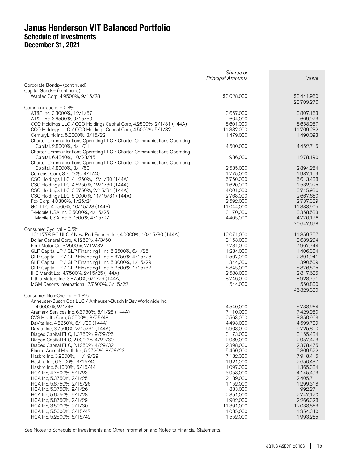|                                                                                                                    | Shares or<br><b>Principal Amounts</b> | Value                   |
|--------------------------------------------------------------------------------------------------------------------|---------------------------------------|-------------------------|
| Corporate Bonds- (continued)                                                                                       |                                       |                         |
| Capital Goods- (continued)                                                                                         |                                       |                         |
| Wabtec Corp, 4.9500%, 9/15/28                                                                                      | \$3,028,000                           | \$3,441,960             |
|                                                                                                                    |                                       | 23,709,276              |
| Communications - 0.8%<br>AT&T Inc, 3.8000%, 12/1/57                                                                |                                       | 3,807,163               |
| AT&T Inc, 3.6500%, 9/15/59                                                                                         | 3,657,000<br>604,000                  | 609,973                 |
| CCO Holdings LLC / CCO Holdings Capital Corp, 4.2500%, 2/1/31 (144A)                                               | 6,601,000                             | 6,658,957               |
| CCO Holdings LLC / CCO Holdings Capital Corp, 4.5000%, 5/1/32                                                      | 11,382,000                            | 11,709,232              |
| CenturyLink Inc, 5.8000%, 3/15/22                                                                                  | 1,479,000                             | 1,490,093               |
| Charter Communications Operating LLC / Charter Communications Operating                                            |                                       |                         |
| Capital, 2.8000%, 4/1/31                                                                                           | 4,500,000                             | 4,452,715               |
| Charter Communications Operating LLC / Charter Communications Operating<br>Capital, 6.4840%, 10/23/45              | 936,000                               | 1,278,190               |
| Charter Communications Operating LLC / Charter Communications Operating                                            |                                       |                         |
| Capital, 4.8000%, 3/1/50                                                                                           | 2,585,000                             | 2,894,254               |
| Comcast Corp, 3.7500%, 4/1/40                                                                                      | 1,775,000                             | 1,987,159               |
| CSC Holdings LLC, 4.1250%, 12/1/30 (144A)                                                                          | 5,750,000                             | 5,613,438               |
| CSC Holdings LLC, 4.6250%, 12/1/30 (144A)<br>CSC Holdings LLC, 3.3750%, 2/15/31 (144A)                             | 1,620,000<br>4,001,000                | 1,532,925<br>3,745,936  |
| CSC Holdings LLC, 5.0000%, 11/15/31 (144A)                                                                         | 2,768,000                             | 2,667,660               |
| Fox Corp, 4.0300%, 1/25/24                                                                                         | 2,592,000                             | 2,737,389               |
| GCI LLC, 4.7500%, 10/15/28 (144A)                                                                                  | 11,044,000                            | 11,333,905              |
| T-Mobile USA Inc, 3.5000%, 4/15/25                                                                                 | 3,170,000                             | 3,358,533               |
| T-Mobile USA Inc, 3.7500%, 4/15/27                                                                                 | 4,405,000                             | 4,770,176<br>70,647,698 |
| Consumer Cyclical - 0.5%                                                                                           |                                       |                         |
| 1011778 BC ULC / New Red Finance Inc, 4.0000%, 10/15/30 (144A)                                                     | 12,071,000                            | 11,859,757              |
| Dollar General Corp, 4.1250%, 4/3/50                                                                               | 3,153,000                             | 3,639,294               |
| Ford Motor Co, 3.2500%, 2/12/32                                                                                    | 7,781,000                             | 7,967,744               |
| GLP Capital LP / GLP Financing II Inc, 5.2500%, 6/1/25                                                             | 1,284,000                             | 1,406,304               |
| GLP Capital LP / GLP Financing II Inc, 5.3750%, 4/15/26<br>GLP Capital LP / GLP Financing II Inc, 5.3000%, 1/15/29 | 2,597,000<br>344,000                  | 2,891,941<br>390,509    |
| GLP Capital LP / GLP Financing II Inc, 3.2500%, 1/15/32                                                            | 5,845,000                             | 5,876,505               |
| IHS Markit Ltd, 4.7500%, 2/15/25 (144A)                                                                            | 2,588,000                             | 2,817,685               |
| Lithia Motors Inc, 3.8750%, 6/1/29 (144A)                                                                          | 8,746,000                             | 8,928,791               |
| MGM Resorts International, 7.7500%, 3/15/22                                                                        | 544,000                               | 550,800                 |
|                                                                                                                    |                                       | 46,329,330              |
| Consumer Non-Cyclical - 1.8%<br>Anheuser-Busch Cos LLC / Anheuser-Busch InBev Worldwide Inc,                       |                                       |                         |
| 4.9000%, 2/1/46                                                                                                    | 4,540,000                             | 5,738,264               |
| Aramark Services Inc, 6.3750%, 5/1/25 (144A)                                                                       | 7,110,000                             | 7,429,950               |
| CVS Health Corp, 5.0500%, 3/25/48                                                                                  | 2,563,000                             | 3,350,963               |
| DaVita Inc, 4.6250%, 6/1/30 (144A)                                                                                 | 4,493,000                             | 4,599,709               |
| DaVita Inc, 3.7500%, 2/15/31 (144A)<br>Diageo Capital PLC, 1.3750%, 9/29/25                                        | 6,903,000<br>3,173,000                | 6,725,800<br>3,155,434  |
| Diageo Capital PLC, 2.0000%, 4/29/30                                                                               | 2,989,000                             | 2,957,423               |
| Diageo Capital PLC, 2.1250%, 4/29/32                                                                               | 2,398,000                             | 2,378,475               |
| Elanco Animal Health Inc, 5.2720%, 8/28/23                                                                         | 5,460,000                             | 5,809,522               |
| Hasbro Inc, 3.9000%, 11/19/29                                                                                      | 7,182,000                             | 7,918,415               |
| Hasbro Inc, 6.3500%, 3/15/40                                                                                       | 1,921,000                             | 2,650,437               |
| Hasbro Inc, 5.1000%, 5/15/44<br>HCA Inc, 4.7500%, 5/1/23                                                           | 1,097,000<br>3,958,000                | 1,365,384<br>4,145,493  |
| HCA Inc, 5.3750%, 2/1/25                                                                                           | 2,189,000                             | 2,405,711               |
| HCA Inc, 5.8750%, 2/15/26                                                                                          | 1,152,000                             | 1,299,318               |
| HCA Inc, 5.3750%, 9/1/26                                                                                           | 883,000                               | 992,271                 |
| HCA Inc, 5.6250%, 9/1/28                                                                                           | 2,351,000                             | 2,747,120               |
| HCA Inc, 5.8750%, 2/1/29                                                                                           | 1,902,000                             | 2,266,328               |
| HCA Inc, 3.5000%, 9/1/30<br>HCA Inc, 5.5000%, 6/15/47                                                              | 11,391,000<br>1,035,000               | 12,038,863<br>1,354,340 |
| HCA Inc, 5.2500%, 6/15/49                                                                                          | 1,552,000                             | 1,993,265               |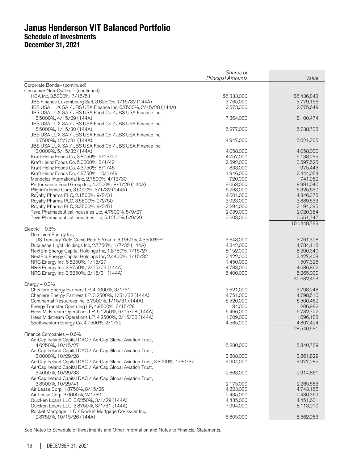|                                                                                                                                           | Shares or                |                        |
|-------------------------------------------------------------------------------------------------------------------------------------------|--------------------------|------------------------|
|                                                                                                                                           | <b>Principal Amounts</b> | Value                  |
| Corporate Bonds- (continued)<br>Consumer Non-Cyclical- (continued)                                                                        |                          |                        |
| HCA Inc, 3.5000%, 7/15/51                                                                                                                 | \$5,333,000              | \$5,436,843            |
| JBS Finance Luxembourg Sarl, 3.6250%, 1/15/32 (144A)                                                                                      | 3,765,000                | 3,779,156              |
| JBS USA LUX SA / JBS USA Finance Inc, 6.7500%, 2/15/28 (144A)                                                                             | 2,573,000                | 2,775,649              |
| JBS USA LUX SA / JBS USA Food Co / JBS USA Finance Inc,                                                                                   |                          |                        |
| 6.5000%, 4/15/29 (144A)                                                                                                                   | 7,364,000                | 8,100,474              |
| JBS USA LUX SA / JBS USA Food Co / JBS USA Finance Inc,                                                                                   |                          |                        |
| 5.5000%, 1/15/30 (144A)                                                                                                                   | 5,277,000                | 5,738,738              |
| JBS USA LUX SA / JBS USA Food Co / JBS USA Finance Inc,                                                                                   |                          |                        |
| 3.7500%, 12/1/31 (144A)<br>JBS USA LUX SA / JBS USA Food Co / JBS USA Finance Inc,                                                        | 4,947,000                | 5,021,205              |
| 3.0000%, 5/15/32 (144A)                                                                                                                   | 4,058,000                | 4,058,000              |
| Kraft Heinz Foods Co, 3.8750%, 5/15/27                                                                                                    | 4,757,000                | 5,138,235              |
| Kraft Heinz Foods Co, 5.0000%, 6/4/42                                                                                                     | 2,892,000                | 3,597,525              |
| Kraft Heinz Foods Co, 4.3750%, 6/1/46                                                                                                     | 833,000                  | 975,443                |
| Kraft Heinz Foods Co, 4.8750%, 10/1/49                                                                                                    | 1,946,000                | 2,444,064              |
| Mondelez International Inc, 2.7500%, 4/13/30                                                                                              | 720,000                  | 741,962                |
| Performance Food Group Inc, 4.2500%, 8/1/29 (144A)                                                                                        | 9,063,000                | 8,991,040              |
| Pilgrim's Pride Corp, 3.5000%, 3/1/32 (144A)                                                                                              | 6,263,000                | 6,325,630              |
| Royalty Pharma PLC, 2.1500%, 9/2/31<br>Royalty Pharma PLC, 3.5500%, 9/2/50                                                                | 4,601,000<br>3,923,000   | 4,346,375<br>3,889,533 |
| Royalty Pharma PLC, 3.3500%, 9/2/51                                                                                                       | 2,294,000                | 2,194,295              |
| Teva Pharmaceutical Industries Ltd, 4.7500%, 5/9/27                                                                                       | 2,039,000                | 2,020,384              |
| Teva Pharmaceutical Industries Ltd, 5.1250%, 5/9/29                                                                                       | 2,603,000                | 2,551,747              |
|                                                                                                                                           |                          | 161,448,783            |
| Electric $-0.3%$                                                                                                                          |                          |                        |
| Dominion Energy Inc,                                                                                                                      |                          |                        |
| US Treasury Yield Curve Rate 5 Year + 3.1950%, 4.3500% <sup>‡,<math>\mu</math></sup>                                                      | 3,643,000                | 3,761,398              |
| Duquesne Light Holdings Inc, 2.7750%, 1/7/32 (144A)                                                                                       | 4,842,000                | 4,784,118              |
| NextEra Energy Capital Holdings Inc, 1.8750%, 1/15/27                                                                                     | 8,152,000<br>2,422,000   | 8,200,340              |
| NextEra Energy Capital Holdings Inc, 2.4400%, 1/15/32<br>NRG Energy Inc, 6.6250%, 1/15/27                                                 | 1,450,000                | 2,427,409<br>1,507,326 |
| NRG Energy Inc, 3.3750%, 2/15/29 (144A)                                                                                                   | 4,783,000                | 4,686,862              |
| NRG Energy Inc, 3.6250%, 2/15/31 (144A)                                                                                                   | 5,400,000                | 5,265,000              |
|                                                                                                                                           |                          | 30,632,453             |
| Energy $-0.3%$                                                                                                                            |                          |                        |
| Cheniere Energy Partners LP, 4.0000%, 3/1/31                                                                                              | 3,621,000                | 3,798,248              |
| Cheniere Energy Partners LP, 3.2500%, 1/31/32 (144A)                                                                                      | 4,751,000                | 4,798,510              |
| Continental Resources Inc, 5.7500%, 1/15/31 (144A)                                                                                        | 5,520,000                | 6,500,462              |
| Energy Transfer Operating LP, 4.9500%, 6/15/28                                                                                            | 184,000                  | 206,982                |
| Hess Midstream Operations LP, 5.1250%, 6/15/28 (144A)<br>Hess Midstream Operations LP, 4.2500%, 2/15/30 (144A)                            | 6,466,000<br>1,709,000   | 6,732,722<br>1,696,183 |
| Southwestern Energy Co, 4.7500%, 2/1/32                                                                                                   | 4,565,000                | 4,807,424              |
|                                                                                                                                           |                          | 28,540,531             |
| Finance Companies - 0.6%                                                                                                                  |                          |                        |
| AerCap Ireland Capital DAC / AerCap Global Aviation Trust,                                                                                |                          |                        |
| 4.6250%, 10/15/27                                                                                                                         | 5,280,000                | 5,840,769              |
| AerCap Ireland Capital DAC / AerCap Global Aviation Trust,                                                                                |                          |                        |
| 3.0000%, 10/29/28                                                                                                                         | 3,808,000                | 3,861,829              |
| AerCap Ireland Capital DAC / AerCap Global Aviation Trust, 3.3000%, 1/30/32<br>AerCap Ireland Capital DAC / AerCap Global Aviation Trust, | 3,904,000                | 3,977,285              |
| 3.4000%, 10/29/33                                                                                                                         | 2,863,000                | 2,914,861              |
| AerCap Ireland Capital DAC / AerCap Global Aviation Trust,                                                                                |                          |                        |
| 3.8500%, 10/29/41                                                                                                                         | 2,175,000                | 2,265,563              |
| Air Lease Corp, 1.8750%, 8/15/26                                                                                                          | 4,823,000                | 4,743,166              |
| Air Lease Corp, 3.0000%, 2/1/30                                                                                                           | 2,435,000                | 2,430,369              |
| Quicken Loans LLC, 3.6250%, 3/1/29 (144A)                                                                                                 | 4,435,000                | 4,451,631              |
| Quicken Loans LLC, 3.8750%, 3/1/31 (144A)                                                                                                 | 7,994,000                | 8,113,910              |
| Rocket Mortgage LLC / Rocket Mortgage Co-Issuer Inc,                                                                                      |                          |                        |
| 2.8750%, 10/15/26 (144A)                                                                                                                  | 5,605,000                | 5,562,963              |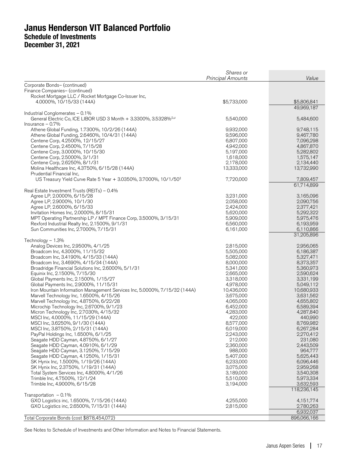|                                                                                                                        | Shares or                |                         |
|------------------------------------------------------------------------------------------------------------------------|--------------------------|-------------------------|
|                                                                                                                        | <b>Principal Amounts</b> | Value                   |
| Corporate Bonds- (continued)                                                                                           |                          |                         |
| Finance Companies- (continued)                                                                                         |                          |                         |
| Rocket Mortgage LLC / Rocket Mortgage Co-Issuer Inc,<br>4.0000%, 10/15/33 (144A)                                       | \$5,733,000              | \$5,806,841             |
|                                                                                                                        |                          | 49,969,187              |
| Industrial Conglomerates - 0.1%                                                                                        |                          |                         |
| General Electric Co, ICE LIBOR USD 3 Month + 3.3300%, 3.5328% <sup>‡, µ</sup>                                          | 5,540,000                | 5,484,600               |
| Insurance $-0.7\%$                                                                                                     |                          |                         |
| Athene Global Funding, 1.7300%, 10/2/26 (144A)                                                                         | 9,932,000                | 9,748,115               |
| Athene Global Funding, 2.6460%, 10/4/31 (144A)                                                                         | 9,596,000                | 9,467,780               |
| Centene Corp, 4.2500%, 12/15/27<br>Centene Corp, 2.4500%, 7/15/28                                                      | 6,807,000<br>4,942,000   | 7,096,298<br>4,867,870  |
| Centene Corp, 3.0000%, 10/15/30                                                                                        | 5,197,000                | 5,282,802               |
| Centene Corp, 2.5000%, 3/1/31                                                                                          | 1,618,000                | 1,575,147               |
| Centene Corp, 2.6250%, 8/1/31                                                                                          | 2,178,000                | 2,134,440               |
| Molina Healthcare Inc, 4.3750%, 6/15/28 (144A)                                                                         | 13,333,000               | 13,732,990              |
| Prudential Financial Inc,                                                                                              |                          |                         |
| US Treasury Yield Curve Rate 5 Year + 3.0350%, 3.7000%, 10/1/50 <sup>‡</sup>                                           | 7,720,000                | 7,809,457               |
|                                                                                                                        |                          | 61,714,899              |
| Real Estate Investment Trusts (REITs) - 0.4%                                                                           |                          |                         |
| Agree LP, 2.0000%, 6/15/28<br>Agree LP, 2.9000%, 10/1/30                                                               | 3,231,000<br>2,058,000   | 3,165,096<br>2,090,756  |
| Agree LP, 2.6000%, 6/15/33                                                                                             | 2,424,000                | 2,377,421               |
| Invitation Homes Inc, 2.0000%, 8/15/31                                                                                 | 5,620,000                | 5,292,322               |
| MPT Operating Partnership LP / MPT Finance Corp, 3.5000%, 3/15/31                                                      | 5,909,000                | 5,975,476               |
| Rexford Industrial Realty Inc, 2.1500%, 9/1/31                                                                         | 6,560,000                | 6,193,959               |
| Sun Communities Inc, 2.7000%, 7/15/31                                                                                  | 6,161,000                | 6,110,866               |
|                                                                                                                        |                          | 31,205,896              |
| Technology - 1.3%                                                                                                      | 2,815,000                |                         |
| Analog Devices Inc, 2.9500%, 4/1/25<br>Broadcom Inc, 4.3000%, 11/15/32                                                 | 5,505,000                | 2,956,065<br>6,186,387  |
| Broadcom Inc, 3.4190%, 4/15/33 (144A)                                                                                  | 5,082,000                | 5,327,471               |
| Broadcom Inc, 3.4690%, 4/15/34 (144A)                                                                                  | 8,000,000                | 8,373,357               |
| Broadridge Financial Solutions Inc, 2.6000%, 5/1/31                                                                    | 5,341,000                | 5,360,973               |
| Equinix Inc, 2.1500%, 7/15/30                                                                                          | 2,665,000                | 2,590,624               |
| Global Payments Inc, 2.1500%, 1/15/27                                                                                  | 3,318,000                | 3,331,199               |
| Global Payments Inc, 2.9000%, 11/15/31                                                                                 | 4,978,000                | 5,049,112               |
| Iron Mountain Information Management Services Inc, 5.0000%, 7/15/32 (144A)<br>Marvell Technology Inc, 1.6500%, 4/15/26 | 10,436,000<br>3,675,000  | 10,680,933<br>3,631,562 |
| Marvell Technology Inc, 4.8750%, 6/22/28                                                                               | 4,065,000                | 4,655,802               |
| Microchip Technology Inc, 2.6700%, 9/1/23                                                                              | 6,452,000                | 6,589,394               |
| Micron Technology Inc, 2.7030%, 4/15/32                                                                                | 4,283,000                | 4,287,840               |
| MSCI Inc, 4.0000%, 11/15/29 (144A)                                                                                     | 422,000                  | 440,990                 |
| MSCI Inc, 3.6250%, 9/1/30 (144A)                                                                                       | 8,577,000                | 8,769,982               |
| MSCI Inc, 3.8750%, 2/15/31 (144A)                                                                                      | 6,019,000                | 6,267,284               |
| PayPal Holdings Inc, 1.6500%, 6/1/25                                                                                   | 2,243,000                | 2,270,412               |
| Seagate HDD Cayman, 4.8750%, 6/1/27                                                                                    | 212,000<br>2,360,000     | 231,080                 |
| Seagate HDD Cayman, 4.0910%, 6/1/29<br>Seagate HDD Cayman, 3.1250%, 7/15/29                                            | 988,000                  | 2,443,509<br>964,777    |
| Seagate HDD Cayman, 4.1250%, 1/15/31                                                                                   | 5,407,000                | 5,625,443               |
| SK Hynix Inc, 1.5000%, 1/19/26 (144A)                                                                                  | 6,233,000                | 6,096,446               |
| SK Hynix Inc, 2.3750%, 1/19/31 (144A)                                                                                  | 3,075,000                | 2,959,268               |
| Total System Services Inc, 4.8000%, 4/1/26                                                                             | 3,189,000                | 3,540,308               |
| Trimble Inc, 4.7500%, 12/1/24                                                                                          | 5,510,000                | 5,973,334               |
| Trimble Inc, 4.9000%, 6/15/28                                                                                          | 3,194,000                | 3,632,593               |
| Transportation $-0.1\%$                                                                                                |                          | 118,236,145             |
| GXO Logistics inc, 1.6500%, 7/15/26 (144A)                                                                             | 4,255,000                | 4,151,774               |
| GXO Logistics inc, 2.6500%, 7/15/31 (144A)                                                                             | 2,815,000                | 2,780,263               |
|                                                                                                                        |                          | 6,932,037               |
| Total Corporate Bonds (cost \$878,454,072)                                                                             |                          | 896,066,166             |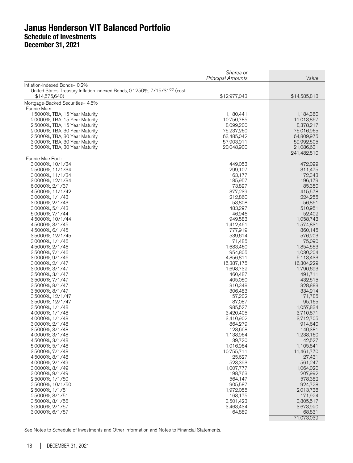|                                                                                      | Shares or<br><b>Principal Amounts</b> | Value                   |
|--------------------------------------------------------------------------------------|---------------------------------------|-------------------------|
| Inflation-Indexed Bonds-0.2%                                                         |                                       |                         |
| United States Treasury Inflation Indexed Bonds, 0.1250%, 7/15/31 <sup>CC</sup> (cost |                                       |                         |
| \$14,575,640)                                                                        | \$12,977,043                          | \$14,585,818            |
| Mortgage-Backed Securities- 4.6%                                                     |                                       |                         |
| Fannie Mae:                                                                          |                                       |                         |
| 1.5000%, TBA, 15 Year Maturity                                                       | 1,180,441                             | 1,184,360               |
| 2.0000%, TBA, 15 Year Maturity                                                       | 10,750,785                            | 11,013,857              |
| 2.5000%, TBA, 15 Year Maturity<br>2.0000%, TBA, 30 Year Maturity                     | 8,099,200<br>75,237,260               | 8,378,217<br>75,016,965 |
| 2.5000%, TBA, 30 Year Maturity                                                       | 63,485,042                            | 64,809,975              |
| 3.0000%, TBA, 30 Year Maturity                                                       | 57,903,911                            | 59,992,505              |
| 3.5000%, TBA, 30 Year Maturity                                                       | 20,048,900                            | 21,086,631              |
|                                                                                      |                                       | 241,482,510             |
| Fannie Mae Pool:                                                                     |                                       |                         |
| 3.0000%, 10/1/34                                                                     | 449,053                               | 472,099                 |
| 2.5000%, 11/1/34                                                                     | 299,107                               | 311,475                 |
| 3.0000%, 11/1/34                                                                     | 163,177                               | 172,343                 |
| 3.0000%, 12/1/34<br>6.0000%, 2/1/37                                                  | 185,957<br>73,897                     | 196,179                 |
| 4.5000%, 11/1/42                                                                     | 377,239                               | 85,350<br>415,578       |
| 3.0000%, 1/1/43                                                                      | 212,860                               | 224,255                 |
| 3.0000%, 2/1/43                                                                      | 53,808                                | 56,851                  |
| 3.0000%, 5/1/43                                                                      | 483,297                               | 510,951                 |
| 5.0000%, 7/1/44                                                                      | 46,946                                | 52,402                  |
| 4.5000%, 10/1/44                                                                     | 949,583                               | 1,058,743               |
| 4.5000%, 3/1/45                                                                      | 1,412,461                             | 1,574,831               |
| 4.5000%, 6/1/45                                                                      | 777,919                               | 860,145                 |
| 3.5000%, 12/1/45                                                                     | 539,614                               | 576,203                 |
| 3.0000%, 1/1/46                                                                      | 71,485                                | 75,090                  |
| 4.5000%, 2/1/46<br>3.5000%, 7/1/46                                                   | 1,683,460<br>954,805                  | 1,854,553<br>1,030,204  |
| 3.0000%, 9/1/46                                                                      | 4,856,811                             | 5,113,433               |
| 3.0000%, 2/1/47                                                                      | 15,387,175                            | 16,304,229              |
| 3.0000%, 3/1/47                                                                      | 1,698,732                             | 1,790,693               |
| 3.5000%, 3/1/47                                                                      | 460,487                               | 491,711                 |
| 3.5000%, 7/1/47                                                                      | 405,050                               | 432,515                 |
| 3.5000%, 8/1/47                                                                      | 310,348                               | 328,883                 |
| 3.5000%, 8/1/47                                                                      | 306,483                               | 334,914                 |
| 3.5000%, 12/1/47                                                                     | 157,202                               | 171,785                 |
| 3.5000%, 12/1/47                                                                     | 87,087                                | 95,165                  |
| 3.5000%, 1/1/48<br>4.0000%, 1/1/48                                                   | 985,527<br>3,420,405                  | 1,057,834<br>3,710,871  |
| 4.0000%, 1/1/48                                                                      | 3,410,902                             | 3,712,705               |
| 3.0000%, 2/1/48                                                                      | 864,279                               | 914,640                 |
| 3.5000%, 3/1/48                                                                      | 128,668                               | 140,381                 |
| 4.0000%, 3/1/48                                                                      | 1,138,964                             | 1,238,160               |
| 4.5000%, 3/1/48                                                                      | 39,720                                | 42,527                  |
| 5.0000%, 5/1/48                                                                      | 1,016,964                             | 1,105,841               |
| 3.5000%, 7/1/48                                                                      | 10,755,711                            | 11,461,770              |
| 4.5000%, 8/1/48                                                                      | 25,627                                | 27,431                  |
| 4.0000%, 2/1/49<br>3.0000%, 8/1/49                                                   | 523,393                               | 561,247<br>1,064,020    |
| 3.0000%, 9/1/49                                                                      | 1,007,777<br>198,763                  | 207,992                 |
| 2.5000%, 1/1/50                                                                      | 564,147                               | 578,382                 |
| 2.5000%, 10/1/50                                                                     | 905,587                               | 924,728                 |
| 2.5000%, 1/1/51                                                                      | 1,972,055                             | 2,013,738               |
| 2.5000%, 8/1/51                                                                      | 168,175                               | 171,924                 |
| 3.5000%, 8/1/56                                                                      | 3,501,423                             | 3,805,517               |
| 3.0000%, 2/1/57                                                                      | 3,463,434                             | 3,673,920               |
| 3.0000%, 6/1/57                                                                      | 64,889                                | 68,831                  |
|                                                                                      |                                       | 71,073,039              |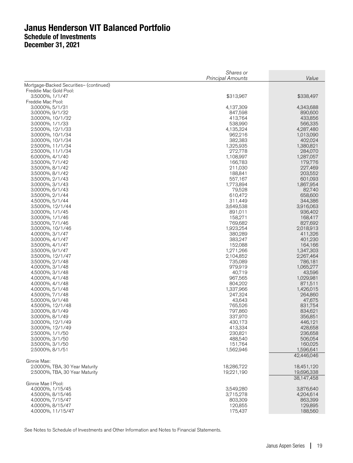|                                         | Shares or<br><b>Principal Amounts</b> | Value                   |
|-----------------------------------------|---------------------------------------|-------------------------|
| Mortgage-Backed Securities- (continued) |                                       |                         |
| Freddie Mac Gold Pool:                  |                                       |                         |
| 3.5000%, 1/1/47                         | \$313,967                             | \$338,497               |
| Freddie Mac Pool:                       |                                       |                         |
| 3.0000%, 5/1/31                         | 4,137,309                             | 4,343,688               |
| 3.0000%, 9/1/32                         | 847,598                               | 890,600                 |
| 3.0000%, 10/1/32                        | 413,764                               | 433,856                 |
| 3.0000%, 1/1/33                         | 538,990                               | 566,335                 |
| 2.5000%, 12/1/33<br>3.0000%, 10/1/34    | 4,135,324<br>962,216                  | 4,287,480<br>1,013,090  |
| 3.0000%, 10/1/34                        | 382,383                               | 402,024                 |
| 2.5000%, 11/1/34                        | 1,325,935                             | 1,380,821               |
| 2.5000%, 11/1/34                        | 272,778                               | 284,070                 |
| 6.0000%, 4/1/40                         | 1,108,997                             | 1,287,057               |
| 3.5000%, 7/1/42                         | 166,783                               | 179,776                 |
| 3.5000%, 8/1/42                         | 211,030                               | 227,469                 |
| 3.5000%, 8/1/42                         | 188,841                               | 203,552                 |
| 3.5000%, 2/1/43                         | 557,167                               | 601,093                 |
| 3.0000%, 3/1/43                         | 1,773,894                             | 1,867,954               |
| 3.0000%, 6/1/43                         | 79,528                                | 82,740                  |
| 3.5000%, 2/1/44                         | 610,472                               | 658,600                 |
| 4.5000%, 5/1/44                         | 311,449                               | 344,386                 |
| 3.5000%, 12/1/44                        | 3,649,538                             | 3,916,063               |
| 3.0000%, 1/1/45<br>3.0000%, 1/1/46      | 891,011<br>158,271                    | 936,402<br>168,417      |
| 3.5000%, 7/1/46                         | 769,682                               | 827,692                 |
| 3.0000%, 10/1/46                        | 1,923,254                             | 2,018,913               |
| 4.0000%, 3/1/47                         | 380,289                               | 411,326                 |
| 3.0000%, 4/1/47                         | 383,247                               | 401,230                 |
| 3.5000%, 4/1/47                         | 152,088                               | 164,166                 |
| 3.5000%, 9/1/47                         | 1,271,266                             | 1,347,303               |
| 3.5000%, 12/1/47                        | 2,104,852                             | 2,267,464               |
| 3.5000%, 2/1/48                         | 735,089                               | 786,181                 |
| 4.0000%, 3/1/48                         | 979,919                               | 1,065,277               |
| 4.5000%, 3/1/48                         | 40,719                                | 43,596                  |
| 4.0000%, 4/1/48                         | 967,565                               | 1,029,981               |
| 4.0000%, 4/1/48                         | 804,202                               | 871,511                 |
| 4.0000%, 5/1/48<br>4.5000%, 7/1/48      | 1,337,966<br>247,324                  | 1,426,015<br>264,860    |
| 5.0000%, 9/1/48                         | 43,643                                | 47,675                  |
| 4.5000%, 12/1/48                        | 765,526                               | 831,754                 |
| 3.0000%, 8/1/49                         | 797,860                               | 834,621                 |
| 3.0000%, 8/1/49                         | 337,970                               | 356,851                 |
| 3.0000%, 12/1/49                        | 430,173                               | 446,121                 |
| 3.0000%, 12/1/49                        | 413,334                               | 428,658                 |
| 2.5000%, 1/1/50                         | 230,821                               | 236,658                 |
| 3.0000%, 3/1/50                         | 488,540                               | 506,054                 |
| 3.5000%, 3/1/50                         | 151,764                               | 160,025                 |
| 2.5000%, 8/1/51                         | 1,562,946                             | 1,596,641<br>42,446,046 |
| Ginnie Mae:                             |                                       |                         |
| 2.0000%, TBA, 30 Year Maturity          | 18,286,722                            | 18,451,120              |
| 2.5000%, TBA, 30 Year Maturity          | 19,221,190                            | 19,696,338              |
|                                         |                                       | 38,147,458              |
| Ginnie Mae I Pool:<br>4.0000%, 1/15/45  | 3,549,280                             | 3,876,640               |
| 4.5000%, 8/15/46                        | 3,715,278                             | 4,204,614               |
| 4.0000%, 7/15/47                        | 803,309                               | 863,399                 |
| 4.0000%, 8/15/47                        | 120,855                               | 129,895                 |
| 4.0000%, 11/15/47                       | 175,437                               | 188,560                 |
|                                         |                                       |                         |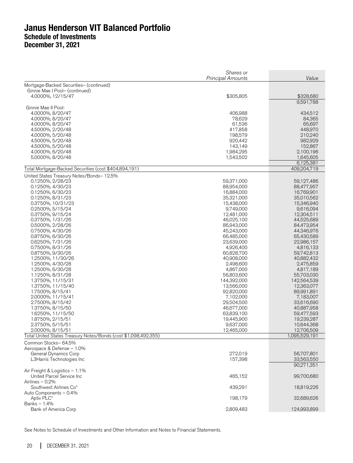|                                                                 | Shares or                |                          |
|-----------------------------------------------------------------|--------------------------|--------------------------|
|                                                                 | <b>Principal Amounts</b> | Value                    |
| Mortgage-Backed Securities- (continued)                         |                          |                          |
| Ginnie Mae I Pool- (continued)<br>4.0000%, 12/15/47             | \$305,805                | \$328,680                |
|                                                                 |                          | 9,591,788                |
| Ginnie Mae II Pool:                                             |                          |                          |
| 4.0000%, 8/20/47                                                | 406,988                  | 434,512                  |
| 4.0000%, 8/20/47                                                | 78,629                   | 84,365                   |
| 4.0000%, 8/20/47                                                | 61,536                   | 65,697                   |
| 4.5000%, 2/20/48<br>4.0000%, 5/20/48                            | 417,858<br>198,579       | 448,970<br>210,240       |
| 4.5000%, 5/20/48                                                | 920,442                  | 982,929                  |
| 4.5000%, 5/20/48                                                | 143,149                  | 152,867                  |
| 4.0000%, 6/20/48                                                | 1,984,295                | 2,100,196                |
| 5.0000%, 8/20/48                                                | 1,543,502                | 1,645,605                |
|                                                                 |                          | 6,125,381                |
| Total Mortgage-Backed Securities (cost \$404,894,191)           |                          | 409,204,719              |
| United States Treasury Notes/Bonds- 12.5%                       |                          |                          |
| 0.1250%, 2/28/23                                                | 59,371,000               | 59,127,486               |
| 0.1250%, 4/30/23                                                | 88,954,000               | 88,477,957               |
| 0.1250%, 6/30/23<br>0.1250%, 8/31/23                            | 16,884,000<br>35,321,000 | 16,769,901<br>35,010,562 |
| 0.3750%, 10/31/23                                               | 15,438,000               | 15,346,940               |
| 0.2500%, 5/15/24                                                | 9,749,000                | 9,616,094                |
| 0.3750%, 9/15/24                                                | 12,481,000               | 12,304,511               |
| 0.3750%, 1/31/26                                                | 46,025,100               | 44,525,689               |
| 0.5000%, 2/28/26                                                | 86,943,000               | 84,473,954               |
| 0.7500%, 4/30/26                                                | 45,243,000               | 44,346,976               |
| 0.8750%, 6/30/26                                                | 66,485,000               | 65,430,589               |
| 0.6250%, 7/31/26<br>0.7500%, 8/31/26                            | 23,639,000<br>4,926,400  | 22,986,157<br>4,816,133  |
| 0.8750%, 9/30/26                                                | 60,828,700               | 59,742,813               |
| 1.2500%, 11/30/26                                               | 40,908,000               | 40,882,432               |
| 1.2500%, 4/30/28                                                | 2,498,600                | 2,475,859                |
| 1.2500%, 6/30/28                                                | 4,867,000                | 4,817,189                |
| 1.1250%, 8/31/28                                                | 56,803,600               | 55,703,030               |
| 1.3750%, 11/15/31                                               | 144,392,000              | 142,564,539              |
| 1.3750%, 11/15/40                                               | 13,566,000               | 12,363,077               |
| 1.7500%, 8/15/41<br>2.0000%, 11/15/41                           | 92,820,000<br>7,102,000  | 89,991,891               |
| 2.7500%, 8/15/42                                                | 29,504,500               | 7,183,007<br>33,616,690  |
| 1.3750%, 8/15/50                                                | 46,677,000               | 40,887,958               |
| 1.6250%, 11/15/50                                               | 63,839,100               | 59,477,593               |
| 1.8750%, 2/15/51                                                | 19,445,900               | 19,239,287               |
| 2.3750%, 5/15/51                                                | 9,637,000                | 10,644,368               |
| 2.0000%, 8/15/51                                                | 12,465,000               | 12,706,509               |
| Total United States Treasury Notes/Bonds (cost \$1,098,492,355) |                          | 1,095,529,191            |
| Common Stocks-64.5%                                             |                          |                          |
| Aerospace & Defense - 1.0%<br>General Dynamics Corp             | 272,019                  | 56,707,801               |
| L3Harris Technologies Inc                                       | 157,398                  | 33,563,550               |
|                                                                 |                          | 90,271,351               |
| Air Freight & Logistics - 1.1%                                  |                          |                          |
| United Parcel Service Inc                                       | 465,152                  | 99,700,680               |
| Airlines - 0.2%                                                 |                          |                          |
| Southwest Airlines Co*                                          | 439,291                  | 18,819,226               |
| Auto Components - 0.4%                                          |                          |                          |
| Aptiv PLC*<br>Banks - 1.4%                                      | 198,179                  | 32,689,626               |
| Bank of America Corp                                            | 2,809,483                | 124,993,899              |
|                                                                 |                          |                          |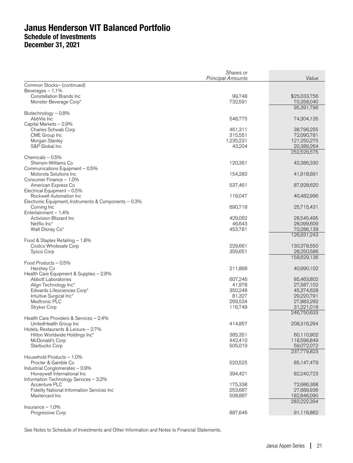|                                                                                                    | Shares or<br><b>Principal Amounts</b>     | Value                                                 |
|----------------------------------------------------------------------------------------------------|-------------------------------------------|-------------------------------------------------------|
| Common Stocks- (continued)                                                                         |                                           |                                                       |
| Beverages - 1.1%<br>Constellation Brands Inc<br>Monster Beverage Corp*                             | 99,748<br>732,591                         | \$25,033,756<br>70,358,040                            |
|                                                                                                    |                                           | 95,391,796                                            |
| Biotechnology - 0.8%<br>AbbVie Inc                                                                 | 548,775                                   | 74,304,135                                            |
| Capital Markets - 2.9%<br>Charles Schwab Corp<br>CME Group Inc<br>Morgan Stanley<br>S&P Global Inc | 461,311<br>315,551<br>1,235,231<br>43,204 | 38,796,255<br>72,090,781<br>121,250,275<br>20,389,264 |
| Chemicals - 0.5%                                                                                   |                                           | 252,526,575                                           |
| Sherwin-Williams Co<br>Communications Equipment - 0.5%                                             | 120,361                                   | 42,386,330                                            |
| Motorola Solutions Inc<br>Consumer Finance - 1.0%                                                  | 154,283                                   | 41,918,691                                            |
| American Express Co<br>Electrical Equipment - 0.5%                                                 | 537,461                                   | 87,928,620                                            |
| Rockwell Automation Inc<br>Electronic Equipment, Instruments & Components - 0.3%                   | 116,047                                   | 40,482,996                                            |
| Corning Inc<br>Entertainment - 1.4%                                                                | 690,718                                   | 25,715,431                                            |
| Activision Blizzard Inc<br>Netflix Inc*<br>Walt Disney Co*                                         | 429,062<br>46,643<br>453,781              | 28,545,495<br>28,099,609<br>70,286,139<br>126,931,243 |
| Food & Staples Retailing - 1.8%                                                                    |                                           |                                                       |
| Costco Wholesale Corp<br>Sysco Corp                                                                | 229,661<br>359,651                        | 130,378,550<br>28,250,586                             |
|                                                                                                    |                                           | 158,629,136                                           |
| Food Products - 0.5%<br>Hershey Co<br>Health Care Equipment & Supplies - 2.8%                      | 211,868                                   | 40,990,102                                            |
| Abbott Laboratories                                                                                | 607,246                                   | 85,463,802                                            |
| Align Technology Inc*                                                                              | 41,978                                    | 27,587,102                                            |
| Edwards Lifesciences Corp*                                                                         | 350,248                                   | 45,374,628                                            |
| Intuitive Surgical Inc*                                                                            | 81,327                                    | 29,220,791                                            |
| Medtronic PLC<br>Stryker Corp                                                                      | 269,534<br>116,749                        | 27,883,292<br>31,221,018                              |
|                                                                                                    |                                           | 246,750,633                                           |
| Health Care Providers & Services - 2.4%<br>UnitedHealth Group Inc                                  | 414,857                                   | 208,316,294                                           |
| Hotels, Restaurants & Leisure - 2.7%<br>Hilton Worldwide Holdings Inc*                             | 385,351                                   | 60,110,902                                            |
| McDonald's Corp                                                                                    | 442,410                                   | 118,596,849                                           |
| Starbucks Corp                                                                                     | 505,019                                   | 59,072,072                                            |
|                                                                                                    |                                           | 237,779,823                                           |
| Household Products - 1.0%<br>Procter & Gamble Co<br>Industrial Conglomerates - 0.9%                | 520,525                                   | 85,147,479                                            |
| Honeywell International Inc<br>Information Technology Services - 3.2%                              | 394,421                                   | 82,240,723                                            |
| Accenture PLC                                                                                      | 175,338                                   | 72,686,368                                            |
| <b>Fidelity National Information Services Inc.</b>                                                 | 253,687                                   | 27,689,936                                            |
| Mastercard Inc                                                                                     | 508,867                                   | 182,846,090                                           |
| Insurance $-1.0\%$                                                                                 |                                           | 283,222,394                                           |
| Progressive Corp                                                                                   | 887,646                                   | 91,116,862                                            |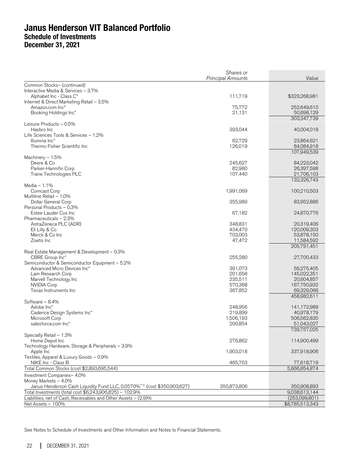|                                                                                      | Shares or<br><b>Principal Amounts</b> | Value                     |
|--------------------------------------------------------------------------------------|---------------------------------------|---------------------------|
| Common Stocks- (continued)                                                           |                                       |                           |
| Interactive Media & Services - 3.7%                                                  |                                       |                           |
| Alphabet Inc - Class C*                                                              | 111,719                               | \$323,268,981             |
| Internet & Direct Marketing Retail - 3.5%                                            |                                       |                           |
| Amazon.com Inc*                                                                      | 75,772                                | 252,649,610               |
| Booking Holdings Inc*                                                                | 21,131                                | 50,698,129<br>303,347,739 |
| Leisure Products - 0.5%                                                              |                                       |                           |
| Hasbro Inc                                                                           | 393,044                               | 40,004,018                |
| Life Sciences Tools & Services - 1.2%                                                |                                       |                           |
| Illumina Inc <sup>*</sup>                                                            | 62.729                                | 23,864,621                |
| Thermo Fisher Scientific Inc                                                         | 126,019                               | 84,084,918                |
|                                                                                      |                                       | 107,949,539               |
| Machinery $-1.5%$<br>Deere & Co                                                      | 245,627                               | 84,223,042                |
| Parker-Hannifin Corp                                                                 | 82,980                                | 26,397,598                |
| Trane Technologies PLC                                                               | 107,440                               | 21,706,103                |
|                                                                                      |                                       | 132,326,743               |
| Media $-1.1\%$                                                                       |                                       |                           |
| Comcast Corp                                                                         | 1,991,069                             | 100,210,503               |
| Multiline Retail - 1.0%                                                              |                                       |                           |
| Dollar General Corp<br>Personal Products - 0.3%                                      | 355,989                               | 83,952,886                |
| Estee Lauder Cos Inc                                                                 | 67,182                                | 24,870,776                |
| Pharmaceuticals - 2.3%                                                               |                                       |                           |
| AstraZeneca PLC (ADR)                                                                | 348,831                               | 20,319,406                |
| Eli Lilly & Co                                                                       | 434,470                               | 120,009,303               |
| Merck & Co Inc                                                                       | 703,003                               | 53,878,150                |
| Zoetis Inc                                                                           | 47,472                                | 11,584,592                |
|                                                                                      |                                       | 205,791,451               |
| Real Estate Management & Development - 0.3%                                          |                                       |                           |
| CBRE Group Inc*<br>Semiconductor & Semiconductor Equipment - 5.2%                    | 255,280                               | 27,700,433                |
| Advanced Micro Devices Inc*                                                          | 391,073                               | 56,275,405                |
| Lam Research Corp                                                                    | 201,658                               | 145,022,351               |
| Marvell Technology Inc                                                               | 235,511                               | 20,604,857                |
| NVIDIA Corp                                                                          | 570,368                               | 167,750,932               |
| Texas Instruments Inc                                                                | 367,852                               | 69,329,066                |
|                                                                                      |                                       | 458,982,611               |
| Software - 8.4%                                                                      |                                       | 141,172,989               |
| Adobe Inc*<br>Cadence Design Systems Inc*                                            | 248,956<br>219,899                    | 40,978,179                |
| Microsoft Corp                                                                       | 1,506,193                             | 506,562,830               |
| salesforce.com Inc*                                                                  | 200,854                               | 51,043,027                |
|                                                                                      |                                       | 739,757,025               |
| Specialty Retail - 1.3%                                                              |                                       |                           |
| Home Depot Inc                                                                       | 276,862                               | 114,900,499               |
| Technology Hardware, Storage & Peripherals - 3.9%                                    |                                       |                           |
| Apple Inc                                                                            | 1,903,018                             | 337,918,906               |
| Textiles, Apparel & Luxury Goods - 0.9%<br>NIKE Inc - Class B                        | 465,703                               | 77,618,719                |
| Total Common Stocks (cost \$2,893,695,544)                                           |                                       | 5,666,854,874             |
| Investment Companies- 4.0%                                                           |                                       |                           |
| Money Markets - 4.0%                                                                 |                                       |                           |
| Janus Henderson Cash Liquidity Fund LLC, 0.0570% <sup>®,£</sup> (cost \$350,903,627) | 350,873,806                           | 350,908,893               |
| Total Investments (total cost \$6,243,906,825) - 102.9%                              |                                       | 9,038,613,144             |
| Liabilities, net of Cash, Receivables and Other Assets - (2.9)%                      |                                       | (253,099,801)             |
| Net Assets - 100%                                                                    |                                       | \$8,785,513,343           |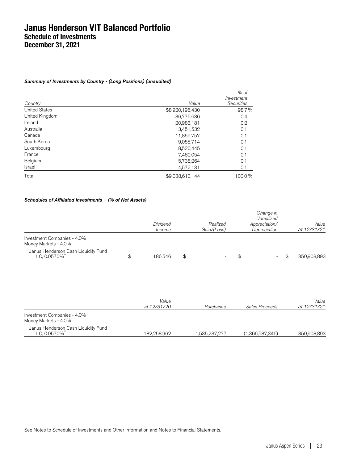#### Summary of Investments by Country - (Long Positions) (unaudited)

| Country              | Value           | $%$ of<br>Investment<br><b>Securities</b> |
|----------------------|-----------------|-------------------------------------------|
| <b>United States</b> | \$8,920,196,430 | 98.7%                                     |
| United Kingdom       | 36,775,636      | 0.4                                       |
| Ireland              | 20,983,181      | 0.2                                       |
| Australia            | 13,451,532      | 0.1                                       |
| Canada               | 11,859,757      | 0.1                                       |
| South Korea          | 9,055,714       | 0.1                                       |
| Luxembourg           | 8,520,445       | 0.1                                       |
| France               | 7,460,054       | 0.1                                       |
| Belgium              | 5,738,264       | 0.1                                       |
| Israel               | 4,572,131       | 0.1                                       |
| Total                | \$9,038,613,144 | 100.0%                                    |

#### Schedules of Affiliated Investments – (% of Net Assets)

|                                                     | Dividend<br>Income   | Realized<br>Gain/(Loss) | Change in<br>Unrealized<br>Appreciation/<br>Depreciation | Value<br>at 12/31/21 |
|-----------------------------------------------------|----------------------|-------------------------|----------------------------------------------------------|----------------------|
| Investment Companies - 4.0%<br>Money Markets - 4.0% |                      |                         |                                                          |                      |
| Janus Henderson Cash Liquidity Fund<br>LLC, 0.0570% | \$<br>186,546        | \$                      | \$<br>$\overline{\phantom{a}}$                           | \$<br>350,908,893    |
|                                                     |                      |                         |                                                          |                      |
|                                                     | Value<br>at 12/31/20 | Purchases               | Sales Proceeds                                           | Value<br>at 12/31/21 |
| Investment Companies - 4.0%<br>Money Markets - 4.0% |                      |                         |                                                          |                      |
| Janus Henderson Cash Liquidity Fund<br>LLC, 0.0570% | 182,258,962          | 1,535,237,277           | (1,366,587,346)                                          | 350,908,893          |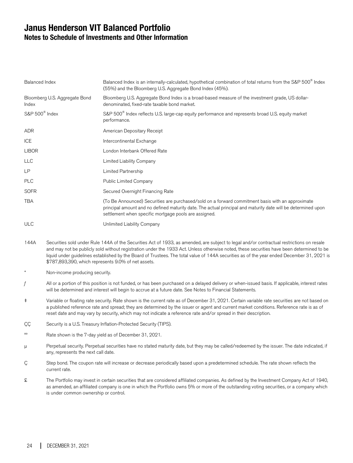### **Janus Henderson VIT Balanced Portfolio Notes to Schedule of Investments and Other Information**

| Balanced Index                         | Balanced Index is an internally-calculated, hypothetical combination of total returns from the S&P 500 <sup>®</sup> Index<br>(55%) and the Bloomberg U.S. Aggregate Bond Index (45%).                                                                                       |  |  |  |  |
|----------------------------------------|-----------------------------------------------------------------------------------------------------------------------------------------------------------------------------------------------------------------------------------------------------------------------------|--|--|--|--|
| Bloomberg U.S. Aggregate Bond<br>Index | Bloomberg U.S. Aggregate Bond Index is a broad-based measure of the investment grade, US dollar-<br>denominated, fixed-rate taxable bond market.                                                                                                                            |  |  |  |  |
| $S\&P 500^{\circ}$ Index               | S&P 500 <sup>®</sup> Index reflects U.S. large-cap equity performance and represents broad U.S. equity market<br>performance.                                                                                                                                               |  |  |  |  |
| <b>ADR</b>                             | American Depositary Receipt                                                                                                                                                                                                                                                 |  |  |  |  |
| <b>ICE</b>                             | Intercontinental Exchange                                                                                                                                                                                                                                                   |  |  |  |  |
| <b>LIBOR</b>                           | London Interbank Offered Rate                                                                                                                                                                                                                                               |  |  |  |  |
| <b>LLC</b>                             | Limited Liability Company                                                                                                                                                                                                                                                   |  |  |  |  |
| LP                                     | Limited Partnership                                                                                                                                                                                                                                                         |  |  |  |  |
| <b>PLC</b>                             | Public Limited Company                                                                                                                                                                                                                                                      |  |  |  |  |
| <b>SOFR</b>                            | Secured Overnight Financing Rate                                                                                                                                                                                                                                            |  |  |  |  |
| <b>TBA</b>                             | (To Be Announced) Securities are purchased/sold on a forward commitment basis with an approximate<br>principal amount and no defined maturity date. The actual principal and maturity date will be determined upon<br>settlement when specific mortgage pools are assigned. |  |  |  |  |
| <b>ULC</b>                             | Unlimited Liability Company                                                                                                                                                                                                                                                 |  |  |  |  |

- 144A Securities sold under Rule 144A of the Securities Act of 1933, as amended, are subject to legal and/or contractual restrictions on resale and may not be publicly sold without registration under the 1933 Act. Unless otherwise noted, these securities have been determined to be liquid under guidelines established by the Board of Trustees. The total value of 144A securities as of the year ended December 31, 2021 is \$787,893,390, which represents 9.0% of net assets.
- Non-income producing security.
- All or a portion of this position is not funded, or has been purchased on a delayed delivery or when-issued basis. If applicable, interest rates will be determined and interest will begin to accrue at a future date. See Notes to Financial Statements.
- ‡ Variable or floating rate security. Rate shown is the current rate as of December 31, 2021. Certain variable rate securities are not based on a published reference rate and spread; they are determined by the issuer or agent and current market conditions. Reference rate is as of reset date and may vary by security, which may not indicate a reference rate and/or spread in their description.
- ÇÇ Security is a U.S. Treasury Inflation-Protected Security (TIPS).
- ºº Rate shown is the 7-day yield as of December 31, 2021.
- µ Perpetual security. Perpetual securities have no stated maturity date, but they may be called/redeemed by the issuer. The date indicated, if any, represents the next call date.
- Ç Step bond. The coupon rate will increase or decrease periodically based upon a predetermined schedule. The rate shown reflects the current rate.
- £ The Portfolio may invest in certain securities that are considered affiliated companies. As defined by the Investment Company Act of 1940, as amended, an affiliated company is one in which the Portfolio owns 5% or more of the outstanding voting securities, or a company which is under common ownership or control.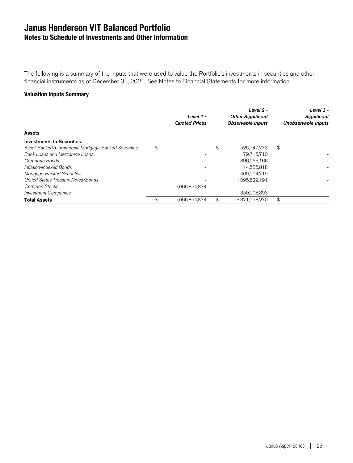### **Janus Henderson VIT Balanced Portfolio Notes to Schedule of Investments and Other Information**

The following is a summary of the inputs that were used to value the Portfolio's investments in securities and other financial instruments as of December 31, 2021. See Notes to Financial Statements for more information.

#### **Valuation Inputs Summary**

|                                                    | Level 1 -<br><b>Quoted Prices</b> | Level 2 -<br><b>Other Significant</b><br><b>Observable Inputs</b> | Level $3 -$<br><b>Significant</b><br>Unobservable Inputs |
|----------------------------------------------------|-----------------------------------|-------------------------------------------------------------------|----------------------------------------------------------|
| <b>Assets</b>                                      |                                   |                                                                   |                                                          |
| <b>Investments In Securities:</b>                  |                                   |                                                                   |                                                          |
| Asset-Backed/Commercial Mortgage-Backed Securities | \$                                | \$<br>525,747,773                                                 | \$                                                       |
| Bank Loans and Mezzanine Loans                     |                                   | 79,715,710                                                        |                                                          |
| Corporate Bonds                                    |                                   | 896,066,166                                                       |                                                          |
| Inflation-Indexed Bonds                            |                                   | 14,585,818                                                        |                                                          |
| Mortgage-Backed Securities                         |                                   | 409.204.719                                                       |                                                          |
| United States Treasury Notes/Bonds                 |                                   | 1,095,529,191                                                     |                                                          |
| Common Stocks                                      | 5,666,854,874                     |                                                                   |                                                          |
| <b>Investment Companies</b>                        |                                   | 350,908,893                                                       |                                                          |
| <b>Total Assets</b>                                | \$<br>5.666.854.874               | \$<br>3,371,758,270                                               | \$                                                       |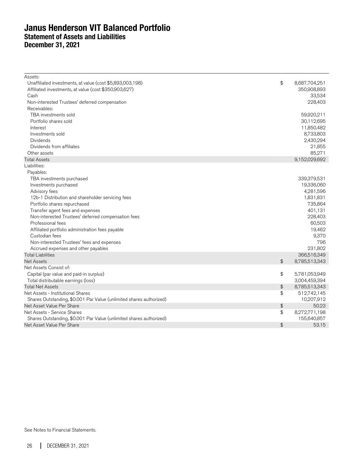### **Janus Henderson VIT Balanced Portfolio Statement of Assets and Liabilities December 31, 2021**

| Assets:                                                             |               |               |
|---------------------------------------------------------------------|---------------|---------------|
| Unaffiliated investments, at value (cost \$5,893,003,198)           | \$            | 8,687,704,251 |
| Affiliated investments, at value (cost \$350,903,627)               |               | 350,908,893   |
| Cash                                                                |               | 33,534        |
| Non-interested Trustees' deferred compensation                      |               | 228,403       |
| Receivables:                                                        |               |               |
| TBA investments sold                                                |               | 59,920,211    |
| Portfolio shares sold                                               |               | 30,112,695    |
| Interest                                                            |               | 11,850,482    |
| Investments sold                                                    |               | 8,733,803     |
| <b>Dividends</b>                                                    |               | 2,430,294     |
| Dividends from affiliates                                           |               | 21,855        |
| Other assets                                                        |               | 85,271        |
| <b>Total Assets</b>                                                 |               | 9,152,029,692 |
| Liabilities:                                                        |               |               |
| Payables:                                                           |               |               |
| TBA investments purchased                                           |               | 339,379,531   |
| Investments purchased                                               |               | 19,336,060    |
| Advisory fees                                                       |               | 4,281,596     |
| 12b-1 Distribution and shareholder servicing fees                   |               | 1,831,831     |
| Portfolio shares repurchased                                        |               | 735,864       |
| Transfer agent fees and expenses                                    |               | 401,131       |
| Non-interested Trustees' deferred compensation fees                 |               | 228,403       |
| Professional fees                                                   |               | 60,503        |
| Affiliated portfolio administration fees payable                    |               | 19,462        |
| Custodian fees                                                      |               | 9,370         |
| Non-interested Trustees' fees and expenses                          |               | 796           |
| Accrued expenses and other payables                                 |               | 231,802       |
| <b>Total Liabilities</b>                                            |               | 366,516,349   |
| <b>Net Assets</b>                                                   | $\frac{1}{2}$ | 8,785,513,343 |
| Net Assets Consist of:                                              |               |               |
| Capital (par value and paid-in surplus)                             | \$            | 5,781,053,949 |
| Total distributable earnings (loss)                                 |               | 3,004,459,394 |
| <b>Total Net Assets</b>                                             | \$            | 8,785,513,343 |
| Net Assets - Institutional Shares                                   | \$            | 512,742,145   |
| Shares Outstanding, \$0.001 Par Value (unlimited shares authorized) |               | 10,207,912    |
| Net Asset Value Per Share                                           | \$            | 50.23         |
| Net Assets - Service Shares                                         | \$            | 8,272,771,198 |
| Shares Outstanding, \$0.001 Par Value (unlimited shares authorized) |               | 155,640,857   |
| Net Asset Value Per Share                                           | $\frac{1}{2}$ | 53.15         |

See Notes to Financial Statements.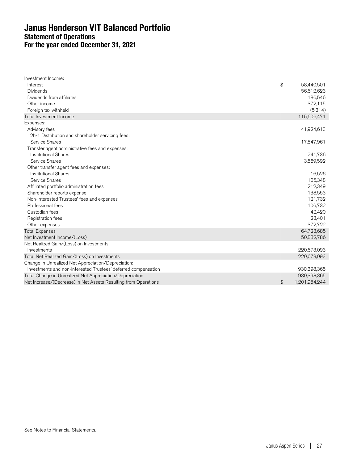### **Janus Henderson VIT Balanced Portfolio Statement of Operations For the year ended December 31, 2021**

| Investment Income:                                              |                |               |
|-----------------------------------------------------------------|----------------|---------------|
| Interest                                                        | \$             | 58,440,501    |
| <b>Dividends</b>                                                |                | 56,612,623    |
| Dividends from affiliates                                       |                | 186,546       |
| Other income                                                    |                | 372,115       |
| Foreign tax withheld                                            |                | (5,314)       |
| Total Investment Income                                         |                | 115,606,471   |
| Expenses:                                                       |                |               |
| Advisory fees                                                   |                | 41,924,613    |
| 12b-1 Distribution and shareholder servicing fees:              |                |               |
| Service Shares                                                  |                | 17,847,961    |
| Transfer agent administrative fees and expenses:                |                |               |
| <b>Institutional Shares</b>                                     |                | 241,736       |
| Service Shares                                                  |                | 3,569,592     |
| Other transfer agent fees and expenses:                         |                |               |
| <b>Institutional Shares</b>                                     |                | 16,526        |
| Service Shares                                                  |                | 105,348       |
| Affiliated portfolio administration fees                        |                | 212,349       |
| Shareholder reports expense                                     |                | 138,553       |
| Non-interested Trustees' fees and expenses                      |                | 121,732       |
| Professional fees                                               |                | 106,732       |
| Custodian fees                                                  |                | 42,420        |
| Registration fees                                               |                | 23,401        |
| Other expenses                                                  |                | 372,722       |
| <b>Total Expenses</b>                                           |                | 64,723,685    |
| Net Investment Income/(Loss)                                    |                | 50,882,786    |
| Net Realized Gain/(Loss) on Investments:                        |                |               |
| Investments                                                     |                | 220,673,093   |
| Total Net Realized Gain/(Loss) on Investments                   |                | 220,673,093   |
| Change in Unrealized Net Appreciation/Depreciation:             |                |               |
| Investments and non-interested Trustees' deferred compensation  |                | 930,398,365   |
| Total Change in Unrealized Net Appreciation/Depreciation        |                | 930,398,365   |
| Net Increase/(Decrease) in Net Assets Resulting from Operations | $\mathfrak{P}$ | 1,201,954,244 |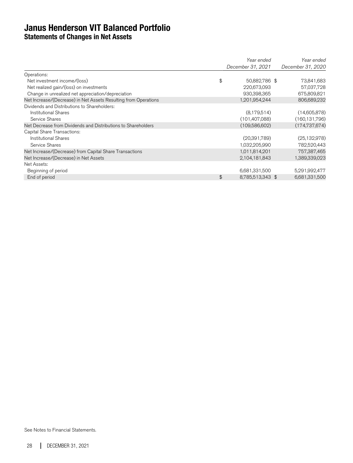### **Janus Henderson VIT Balanced Portfolio Statements of Changes in Net Assets**

|                                                                 | Year ended             | Year ended        |
|-----------------------------------------------------------------|------------------------|-------------------|
|                                                                 | December 31, 2021      | December 31, 2020 |
| Operations:                                                     |                        |                   |
| Net investment income/(loss)                                    | \$<br>50,882,786 \$    | 73,841,683        |
| Net realized gain/(loss) on investments                         | 220,673,093            | 57,037,728        |
| Change in unrealized net appreciation/depreciation              | 930,398,365            | 675,809,821       |
| Net Increase/(Decrease) in Net Assets Resulting from Operations | 1,201,954,244          | 806,689,232       |
| Dividends and Distributions to Shareholders:                    |                        |                   |
| <b>Institutional Shares</b>                                     | (8,179,514)            | (14,605,878)      |
| Service Shares                                                  | (101, 407, 088)        | (160, 131, 796)   |
| Net Decrease from Dividends and Distributions to Shareholders   | (109,586,602)          | (174, 737, 674)   |
| Capital Share Transactions:                                     |                        |                   |
| <b>Institutional Shares</b>                                     | (20, 391, 789)         | (25, 132, 978)    |
| Service Shares                                                  | 1,032,205,990          | 782,520,443       |
| Net Increase/(Decrease) from Capital Share Transactions         | 1,011,814,201          | 757,387,465       |
| Net Increase/(Decrease) in Net Assets                           | 2,104,181,843          | 1,389,339,023     |
| Net Assets:                                                     |                        |                   |
| Beginning of period                                             | 6,681,331,500          | 5,291,992,477     |
| End of period                                                   | \$<br>8,785,513,343 \$ | 6,681,331,500     |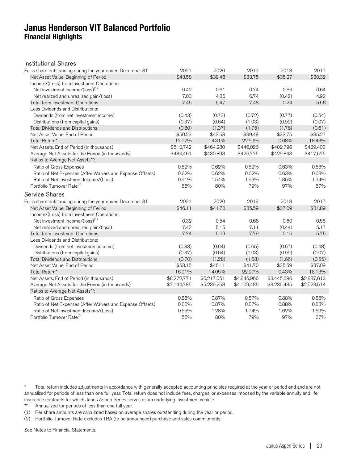### **Janus Henderson VIT Balanced Portfolio Financial Highlights**

#### Institutional Shares

| For a share outstanding during the year ended December 31 | 2021        | 2020                | 2019        | 2018        | 2017        |
|-----------------------------------------------------------|-------------|---------------------|-------------|-------------|-------------|
| Net Asset Value, Beginning of Period                      | \$43.58     | \$39.48             | \$33.75     | \$35.27     | \$30.32     |
| Income/(Loss) from Investment Operations:                 |             |                     |             |             |             |
| Net investment income/(loss) <sup>(1)</sup>               | 0.42        | 0.61                | 0.74        | 0.66        | 0.64        |
| Net realized and unrealized gain/(loss)                   | 7.03        | 4.86                | 6.74        | (0.42)      | 4.92        |
| Total from Investment Operations                          | 7.45        | 5.47                | 7.48        | 0.24        | 5.56        |
| Less Dividends and Distributions:                         |             |                     |             |             |             |
| Dividends (from net investment income)                    | (0.43)      | (0.73)              | (0.72)      | (0.77)      | (0.54)      |
| Distributions (from capital gains)                        | (0.37)      | (0.64)              | (1.03)      | (0.99)      | (0.07)      |
| <b>Total Dividends and Distributions</b>                  | (0.80)      | (1.37)              | (1.75)      | (1.76)      | (0.61)      |
| Net Asset Value, End of Period                            | \$50.23     | \$43.58             | \$39.48     | \$33.75     | \$35.27     |
| Total Return*                                             | 17.22%      | 14.31%              | 22.59%      | 0.68%       | 18.43%      |
| Net Assets, End of Period (in thousands)                  | \$512,742   | \$464,280           | \$446,026   | \$402,796   | \$429,403   |
| Average Net Assets for the Period (in thousands)          | \$484,461   | \$430,893           | \$426,775   | \$429,843   | \$417,575   |
| Ratios to Average Net Assets**:                           |             |                     |             |             |             |
| Ratio of Gross Expenses                                   | 0.62%       | 0.62%               | 0.62%       | 0.63%       | 0.63%       |
| Ratio of Net Expenses (After Waivers and Expense Offsets) | 0.62%       | 0.62%               | 0.62%       | 0.63%       | 0.63%       |
| Ratio of Net Investment Income/(Loss)                     | 0.91%       | 1.54%               | 1.99%       | 1.85%       | 1.94%       |
| Portfolio Turnover Rate <sup>(2)</sup>                    | 56%         | 80%                 | 79%         | 97%         | 67%         |
| <b>Service Shares</b>                                     |             |                     |             |             |             |
| For a share outstanding during the year ended December 31 | 2021        | 2020                | 2019        | 2018        | 2017        |
|                                                           | \$46.11     | $\overline{$41.70}$ | \$35.59     | \$37.09     | \$31.89     |
| Net Asset Value, Beginning of Period                      |             |                     |             |             |             |
| Income/(Loss) from Investment Operations:                 | 0.32        | 0.54                | 0.68        | 0.60        |             |
| Net investment income/(loss) <sup>(1)</sup>               | 7.42        | 5.15                | 7.11        |             | 0.58        |
| Net realized and unrealized gain/(loss)                   |             |                     |             | (0.44)      | 5.17        |
| Total from Investment Operations                          | 7.74        | 5.69                | 7.79        | 0.16        | 5.75        |
| Less Dividends and Distributions:                         |             |                     |             |             |             |
| Dividends (from net investment income)                    | (0.33)      | (0.64)              | (0.65)      | (0.67)      | (0.48)      |
| Distributions (from capital gains)                        | (0.37)      | (0.64)              | (1.03)      | (0.99)      | (0.07)      |
| <b>Total Dividends and Distributions</b>                  | (0.70)      | (1.28)              | (1.68)      | (1.66)      | (0.55)      |
| Net Asset Value, End of Period                            | \$53.15     | \$46.11             | \$41.70     | \$35.59     | \$37.09     |
| Total Return*                                             | 16.91%      | 14.05%              | 22.27%      | 0.43%       | 18.13%      |
| Net Assets, End of Period (in thousands)                  | \$8,272,771 | \$6,217,051         | \$4,845,966 | \$3,445,696 | \$2,887,613 |
| Average Net Assets for the Period (in thousands)          | \$7,144,785 | \$5,239,258         | \$4,109,486 | \$3,235,435 | \$2,523,514 |
| Ratios to Average Net Assets**:                           |             |                     |             |             |             |
| Ratio of Gross Expenses                                   | 0.86%       | 0.87%               | 0.87%       | 0.88%       | 0.88%       |
| Ratio of Net Expenses (After Waivers and Expense Offsets) | 0.86%       | 0.87%               | 0.87%       | 0.88%       | 0.88%       |
| Ratio of Net Investment Income/(Loss)                     | 0.65%       | 1.28%               | 1.74%       | 1.62%       | 1.69%       |
| Portfolio Turnover Rate <sup>(2)</sup>                    | 56%         | 80%                 | 79%         | 97%         | 67%         |

\* Total return includes adjustments in accordance with generally accepted accounting principles required at the year or period end and are not annualized for periods of less than one full year. Total return does not include fees, charges, or expenses imposed by the variable annuity and life insurance contracts for which Janus Aspen Series serves as an underlying investment vehicle.

\*\* Annualized for periods of less than one full year.

(1) Per share amounts are calculated based on average shares outstanding during the year or period.

(2) Portfolio Turnover Rate excludes TBA (to be announced) purchase and sales commitments.

See Notes to Financial Statements.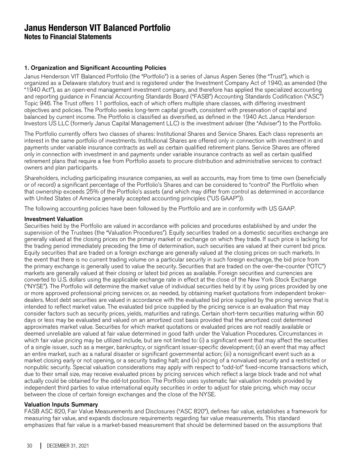#### 1. Organization and Significant Accounting Policies

Janus Henderson VIT Balanced Portfolio (the "Portfolio") is a series of Janus Aspen Series (the "Trust"), which is organized as a Delaware statutory trust and is registered under the Investment Company Act of 1940, as amended (the "1940 Act"), as an open-end management investment company, and therefore has applied the specialized accounting and reporting guidance in Financial Accounting Standards Board ("FASB") Accounting Standards Codification ("ASC") Topic 946. The Trust offers 11 portfolios, each of which offers multiple share classes, with differing investment objectives and policies. The Portfolio seeks long-term capital growth, consistent with preservation of capital and balanced by current income. The Portfolio is classified as diversified, as defined in the 1940 Act. Janus Henderson Investors US LLC (formerly Janus Capital Management LLC) is the investment adviser (the "Adviser") to the Portfolio.

The Portfolio currently offers two classes of shares: Institutional Shares and Service Shares. Each class represents an interest in the same portfolio of investments. Institutional Shares are offered only in connection with investment in and payments under variable insurance contracts as well as certain qualified retirement plans. Service Shares are offered only in connection with investment in and payments under variable insurance contracts as well as certain qualified retirement plans that require a fee from Portfolio assets to procure distribution and administrative services to contract owners and plan participants.

Shareholders, including participating insurance companies, as well as accounts, may from time to time own (beneficially or of record) a significant percentage of the Portfolio's Shares and can be considered to "control" the Portfolio when that ownership exceeds 25% of the Portfolio's assets (and which may differ from control as determined in accordance with United States of America generally accepted accounting principles ("US GAAP")).

The following accounting policies have been followed by the Portfolio and are in conformity with US GAAP.

#### Investment Valuation

Securities held by the Portfolio are valued in accordance with policies and procedures established by and under the supervision of the Trustees (the "Valuation Procedures"). Equity securities traded on a domestic securities exchange are generally valued at the closing prices on the primary market or exchange on which they trade. If such price is lacking for the trading period immediately preceding the time of determination, such securities are valued at their current bid price. Equity securities that are traded on a foreign exchange are generally valued at the closing prices on such markets. In the event that there is no current trading volume on a particular security in such foreign exchange, the bid price from the primary exchange is generally used to value the security. Securities that are traded on the over-the-counter ("OTC") markets are generally valued at their closing or latest bid prices as available. Foreign securities and currencies are converted to U.S. dollars using the applicable exchange rate in effect at the close of the New York Stock Exchange ("NYSE"). The Portfolio will determine the market value of individual securities held by it by using prices provided by one or more approved professional pricing services or, as needed, by obtaining market quotations from independent brokerdealers. Most debt securities are valued in accordance with the evaluated bid price supplied by the pricing service that is intended to reflect market value. The evaluated bid price supplied by the pricing service is an evaluation that may consider factors such as security prices, yields, maturities and ratings. Certain short-term securities maturing within 60 days or less may be evaluated and valued on an amortized cost basis provided that the amortized cost determined approximates market value. Securities for which market quotations or evaluated prices are not readily available or deemed unreliable are valued at fair value determined in good faith under the Valuation Procedures. Circumstances in which fair value pricing may be utilized include, but are not limited to: (i) a significant event that may affect the securities of a single issuer, such as a merger, bankruptcy, or significant issuer-specific development; (ii) an event that may affect an entire market, such as a natural disaster or significant governmental action; (iii) a nonsignificant event such as a market closing early or not opening, or a security trading halt; and (iv) pricing of a nonvalued security and a restricted or nonpublic security. Special valuation considerations may apply with respect to "odd-lot" fixed-income transactions which, due to their small size, may receive evaluated prices by pricing services which reflect a large block trade and not what actually could be obtained for the odd-lot position. The Portfolio uses systematic fair valuation models provided by independent third parties to value international equity securities in order to adjust for stale pricing, which may occur between the close of certain foreign exchanges and the close of the NYSE.

#### Valuation Inputs Summary

FASB ASC 820, Fair Value Measurements and Disclosures ("ASC 820"), defines fair value, establishes a framework for measuring fair value, and expands disclosure requirements regarding fair value measurements. This standard emphasizes that fair value is a market-based measurement that should be determined based on the assumptions that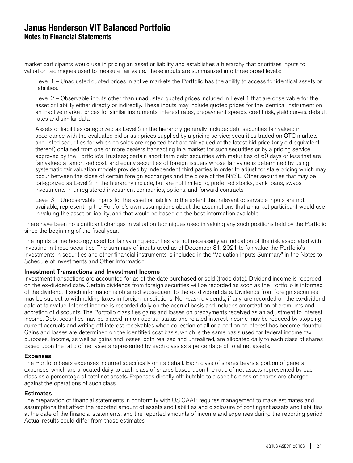market participants would use in pricing an asset or liability and establishes a hierarchy that prioritizes inputs to valuation techniques used to measure fair value. These inputs are summarized into three broad levels:

Level 1 – Unadjusted quoted prices in active markets the Portfolio has the ability to access for identical assets or liabilities.

Level 2 – Observable inputs other than unadjusted quoted prices included in Level 1 that are observable for the asset or liability either directly or indirectly. These inputs may include quoted prices for the identical instrument on an inactive market, prices for similar instruments, interest rates, prepayment speeds, credit risk, yield curves, default rates and similar data.

Assets or liabilities categorized as Level 2 in the hierarchy generally include: debt securities fair valued in accordance with the evaluated bid or ask prices supplied by a pricing service; securities traded on OTC markets and listed securities for which no sales are reported that are fair valued at the latest bid price (or yield equivalent thereof) obtained from one or more dealers transacting in a market for such securities or by a pricing service approved by the Portfolio's Trustees; certain short-term debt securities with maturities of 60 days or less that are fair valued at amortized cost; and equity securities of foreign issuers whose fair value is determined by using systematic fair valuation models provided by independent third parties in order to adjust for stale pricing which may occur between the close of certain foreign exchanges and the close of the NYSE. Other securities that may be categorized as Level 2 in the hierarchy include, but are not limited to, preferred stocks, bank loans, swaps, investments in unregistered investment companies, options, and forward contracts.

Level 3 – Unobservable inputs for the asset or liability to the extent that relevant observable inputs are not available, representing the Portfolio's own assumptions about the assumptions that a market participant would use in valuing the asset or liability, and that would be based on the best information available.

There have been no significant changes in valuation techniques used in valuing any such positions held by the Portfolio since the beginning of the fiscal year.

The inputs or methodology used for fair valuing securities are not necessarily an indication of the risk associated with investing in those securities. The summary of inputs used as of December 31, 2021 to fair value the Portfolio's investments in securities and other financial instruments is included in the "Valuation Inputs Summary" in the Notes to Schedule of Investments and Other Information.

#### Investment Transactions and Investment Income

Investment transactions are accounted for as of the date purchased or sold (trade date). Dividend income is recorded on the ex-dividend date. Certain dividends from foreign securities will be recorded as soon as the Portfolio is informed of the dividend, if such information is obtained subsequent to the ex-dividend date. Dividends from foreign securities may be subject to withholding taxes in foreign jurisdictions. Non-cash dividends, if any, are recorded on the ex-dividend date at fair value. Interest income is recorded daily on the accrual basis and includes amortization of premiums and accretion of discounts. The Portfolio classifies gains and losses on prepayments received as an adjustment to interest income. Debt securities may be placed in non-accrual status and related interest income may be reduced by stopping current accruals and writing off interest receivables when collection of all or a portion of interest has become doubtful. Gains and losses are determined on the identified cost basis, which is the same basis used for federal income tax purposes. Income, as well as gains and losses, both realized and unrealized, are allocated daily to each class of shares based upon the ratio of net assets represented by each class as a percentage of total net assets.

#### Expenses

The Portfolio bears expenses incurred specifically on its behalf. Each class of shares bears a portion of general expenses, which are allocated daily to each class of shares based upon the ratio of net assets represented by each class as a percentage of total net assets. Expenses directly attributable to a specific class of shares are charged against the operations of such class.

#### **Estimates**

The preparation of financial statements in conformity with US GAAP requires management to make estimates and assumptions that affect the reported amount of assets and liabilities and disclosure of contingent assets and liabilities at the date of the financial statements, and the reported amounts of income and expenses during the reporting period. Actual results could differ from those estimates.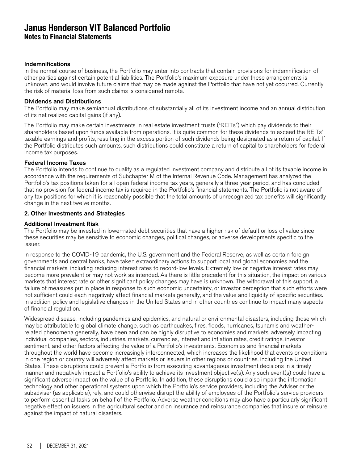#### Indemnifications

In the normal course of business, the Portfolio may enter into contracts that contain provisions for indemnification of other parties against certain potential liabilities. The Portfolio's maximum exposure under these arrangements is unknown, and would involve future claims that may be made against the Portfolio that have not yet occurred. Currently, the risk of material loss from such claims is considered remote.

#### Dividends and Distributions

The Portfolio may make semiannual distributions of substantially all of its investment income and an annual distribution of its net realized capital gains (if any).

The Portfolio may make certain investments in real estate investment trusts ("REITs") which pay dividends to their shareholders based upon funds available from operations. It is quite common for these dividends to exceed the REITs' taxable earnings and profits, resulting in the excess portion of such dividends being designated as a return of capital. If the Portfolio distributes such amounts, such distributions could constitute a return of capital to shareholders for federal income tax purposes.

#### Federal Income Taxes

The Portfolio intends to continue to qualify as a regulated investment company and distribute all of its taxable income in accordance with the requirements of Subchapter M of the Internal Revenue Code. Management has analyzed the Portfolio's tax positions taken for all open federal income tax years, generally a three-year period, and has concluded that no provision for federal income tax is required in the Portfolio's financial statements. The Portfolio is not aware of any tax positions for which it is reasonably possible that the total amounts of unrecognized tax benefits will significantly change in the next twelve months.

#### 2. Other Investments and Strategies

#### Additional Investment Risk

The Portfolio may be invested in lower-rated debt securities that have a higher risk of default or loss of value since these securities may be sensitive to economic changes, political changes, or adverse developments specific to the issuer.

In response to the COVID-19 pandemic, the U.S. government and the Federal Reserve, as well as certain foreign governments and central banks, have taken extraordinary actions to support local and global economies and the financial markets, including reducing interest rates to record-low levels. Extremely low or negative interest rates may become more prevalent or may not work as intended. As there is little precedent for this situation, the impact on various markets that interest rate or other significant policy changes may have is unknown. The withdrawal of this support, a failure of measures put in place in response to such economic uncertainty, or investor perception that such efforts were not sufficient could each negatively affect financial markets generally, and the value and liquidity of specific securities. In addition, policy and legislative changes in the United States and in other countries continue to impact many aspects of financial regulation.

Widespread disease, including pandemics and epidemics, and natural or environmental disasters, including those which may be attributable to global climate change, such as earthquakes, fires, floods, hurricanes, tsunamis and weatherrelated phenomena generally, have been and can be highly disruptive to economies and markets, adversely impacting individual companies, sectors, industries, markets, currencies, interest and inflation rates, credit ratings, investor sentiment, and other factors affecting the value of a Portfolio's investments. Economies and financial markets throughout the world have become increasingly interconnected, which increases the likelihood that events or conditions in one region or country will adversely affect markets or issuers in other regions or countries, including the United States. These disruptions could prevent a Portfolio from executing advantageous investment decisions in a timely manner and negatively impact a Portfolio's ability to achieve its investment objective(s). Any such event(s) could have a significant adverse impact on the value of a Portfolio. In addition, these disruptions could also impair the information technology and other operational systems upon which the Portfolio's service providers, including the Adviser or the subadviser (as applicable), rely, and could otherwise disrupt the ability of employees of the Portfolio's service providers to perform essential tasks on behalf of the Portfolio. Adverse weather conditions may also have a particularly significant negative effect on issuers in the agricultural sector and on insurance and reinsurance companies that insure or reinsure against the impact of natural disasters.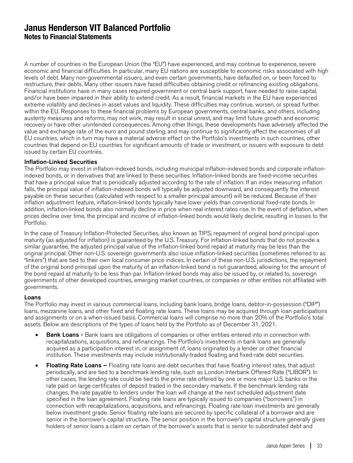A number of countries in the European Union (the "EU") have experienced, and may continue to experience, severe economic and financial difficulties. In particular, many EU nations are susceptible to economic risks associated with high levels of debt. Many non-governmental issuers, and even certain governments, have defaulted on, or been forced to restructure, their debts. Many other issuers have faced difficulties obtaining credit or refinancing existing obligations. Financial institutions have in many cases required government or central bank support, have needed to raise capital, and/or have been impaired in their ability to extend credit. As a result, financial markets in the EU have experienced extreme volatility and declines in asset values and liquidity. These difficulties may continue, worsen, or spread further within the EU. Responses to these financial problems by European governments, central banks, and others, including austerity measures and reforms, may not work, may result in social unrest, and may limit future growth and economic recovery or have other unintended consequences. Among other things, these developments have adversely affected the value and exchange rate of the euro and pound sterling, and may continue to significantly affect the economies of all EU countries, which in turn may have a material adverse effect on the Portfolio's investments in such countries, other countries that depend on EU countries for significant amounts of trade or investment, or issuers with exposure to debt issued by certain EU countries.

#### Inflation-Linked Securities

The Portfolio may invest in inflation-indexed bonds, including municipal inflation-indexed bonds and corporate inflationindexed bonds, or in derivatives that are linked to these securities. Inflation-linked bonds are fixed-income securities that have a principal value that is periodically adjusted according to the rate of inflation. If an index measuring inflation falls, the principal value of inflation-indexed bonds will typically be adjusted downward, and consequently the interest payable on these securities (calculated with respect to a smaller principal amount) will be reduced. Because of their inflation adjustment feature, inflation-linked bonds typically have lower yields than conventional fixed-rate bonds. In addition, inflation-linked bonds also normally decline in price when real interest rates rise. In the event of deflation, when prices decline over time, the principal and income of inflation-linked bonds would likely decline, resulting in losses to the Portfolio.

In the case of Treasury Inflation-Protected Securities, also known as TIPS, repayment of original bond principal upon maturity (as adjusted for inflation) is guaranteed by the U.S. Treasury. For inflation-linked bonds that do not provide a similar guarantee, the adjusted principal value of the inflation-linked bond repaid at maturity may be less than the original principal. Other non-U.S. sovereign governments also issue inflation-linked securities (sometimes referred to as "linkers") that are tied to their own local consumer price indices. In certain of these non-U.S. jurisdictions, the repayment of the original bond principal upon the maturity of an inflation-linked bond is not guaranteed, allowing for the amount of the bond repaid at maturity to be less than par. Inflation-linked bonds may also be issued by, or related to, sovereign governments of other developed countries, emerging market countries, or companies or other entities not affiliated with governments.

#### Loans

The Portfolio may invest in various commercial loans, including bank loans, bridge loans, debtor-in-possession ("DIP") loans, mezzanine loans, and other fixed and floating rate loans. These loans may be acquired through loan participations and assignments or on a when-issued basis. Commercial loans will comprise no more than 20% of the Portfolio's total assets. Below are descriptions of the types of loans held by the Portfolio as of December 31, 2021.

- Bank Loans Bank loans are obligations of companies or other entities entered into in connection with recapitalizations, acquisitions, and refinancings. The Portfolio's investments in bank loans are generally acquired as a participation interest in, or assignment of, loans originated by a lender or other financial institution. These investments may include institutionally-traded floating and fixed-rate debt securities.
- Floating Rate Loans Floating rate loans are debt securities that have floating interest rates, that adjust periodically, and are tied to a benchmark lending rate, such as London Interbank Offered Rate ("LIBOR"). In other cases, the lending rate could be tied to the prime rate offered by one or more major U.S. banks or the rate paid on large certificates of deposit traded in the secondary markets. If the benchmark lending rate changes, the rate payable to lenders under the loan will change at the next scheduled adjustment date specified in the loan agreement. Floating rate loans are typically issued to companies ("borrowers") in connection with recapitalizations, acquisitions, and refinancings. Floating rate loan investments are generally below investment grade. Senior floating rate loans are secured by specific collateral of a borrower and are senior in the borrower's capital structure. The senior position in the borrower's capital structure generally gives holders of senior loans a claim on certain of the borrower's assets that is senior to subordinated debt and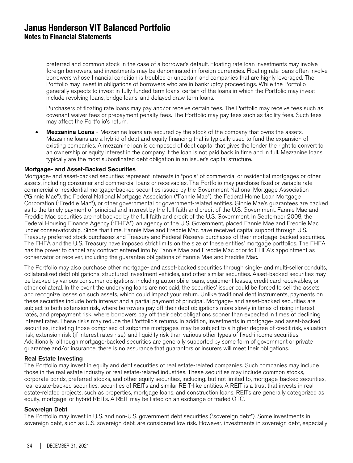preferred and common stock in the case of a borrower's default. Floating rate loan investments may involve foreign borrowers, and investments may be denominated in foreign currencies. Floating rate loans often involve borrowers whose financial condition is troubled or uncertain and companies that are highly leveraged. The Portfolio may invest in obligations of borrowers who are in bankruptcy proceedings. While the Portfolio generally expects to invest in fully funded term loans, certain of the loans in which the Portfolio may invest include revolving loans, bridge loans, and delayed draw term loans.

Purchasers of floating rate loans may pay and/or receive certain fees. The Portfolio may receive fees such as covenant waiver fees or prepayment penalty fees. The Portfolio may pay fees such as facility fees. Such fees may affect the Portfolio's return.

• Mezzanine Loans - Mezzanine loans are secured by the stock of the company that owns the assets. Mezzanine loans are a hybrid of debt and equity financing that is typically used to fund the expansion of existing companies. A mezzanine loan is composed of debt capital that gives the lender the right to convert to an ownership or equity interest in the company if the loan is not paid back in time and in full. Mezzanine loans typically are the most subordinated debt obligation in an issuer's capital structure.

#### Mortgage- and Asset-Backed Securities

Mortgage- and asset-backed securities represent interests in "pools" of commercial or residential mortgages or other assets, including consumer and commercial loans or receivables. The Portfolio may purchase fixed or variable rate commercial or residential mortgage-backed securities issued by the Government National Mortgage Association ("Ginnie Mae"), the Federal National Mortgage Association ("Fannie Mae"), the Federal Home Loan Mortgage Corporation ("Freddie Mac"), or other governmental or government-related entities. Ginnie Mae's guarantees are backed as to the timely payment of principal and interest by the full faith and credit of the U.S. Government. Fannie Mae and Freddie Mac securities are not backed by the full faith and credit of the U.S. Government. In September 2008, the Federal Housing Finance Agency ("FHFA"), an agency of the U.S. Government, placed Fannie Mae and Freddie Mac under conservatorship. Since that time, Fannie Mae and Freddie Mac have received capital support through U.S. Treasury preferred stock purchases and Treasury and Federal Reserve purchases of their mortgage-backed securities. The FHFA and the U.S. Treasury have imposed strict limits on the size of these entities' mortgage portfolios. The FHFA has the power to cancel any contract entered into by Fannie Mae and Freddie Mac prior to FHFA's appointment as conservator or receiver, including the guarantee obligations of Fannie Mae and Freddie Mac.

The Portfolio may also purchase other mortgage- and asset-backed securities through single- and multi-seller conduits, collateralized debt obligations, structured investment vehicles, and other similar securities. Asset-backed securities may be backed by various consumer obligations, including automobile loans, equipment leases, credit card receivables, or other collateral. In the event the underlying loans are not paid, the securities' issuer could be forced to sell the assets and recognize losses on such assets, which could impact your return. Unlike traditional debt instruments, payments on these securities include both interest and a partial payment of principal. Mortgage- and asset-backed securities are subject to both extension risk, where borrowers pay off their debt obligations more slowly in times of rising interest rates, and prepayment risk, where borrowers pay off their debt obligations sooner than expected in times of declining interest rates. These risks may reduce the Portfolio's returns. In addition, investments in mortgage- and asset-backed securities, including those comprised of subprime mortgages, may be subject to a higher degree of credit risk, valuation risk, extension risk (if interest rates rise), and liquidity risk than various other types of fixed-income securities. Additionally, although mortgage-backed securities are generally supported by some form of government or private guarantee and/or insurance, there is no assurance that guarantors or insurers will meet their obligations.

#### Real Estate Investing

The Portfolio may invest in equity and debt securities of real estate-related companies. Such companies may include those in the real estate industry or real estate-related industries. These securities may include common stocks, corporate bonds, preferred stocks, and other equity securities, including, but not limited to, mortgage-backed securities, real estate-backed securities, securities of REITs and similar REIT-like entities. A REIT is a trust that invests in real estate-related projects, such as properties, mortgage loans, and construction loans. REITs are generally categorized as equity, mortgage, or hybrid REITs. A REIT may be listed on an exchange or traded OTC.

#### Sovereign Debt

The Portfolio may invest in U.S. and non-U.S. government debt securities ("sovereign debt"). Some investments in sovereign debt, such as U.S. sovereign debt, are considered low risk. However, investments in sovereign debt, especially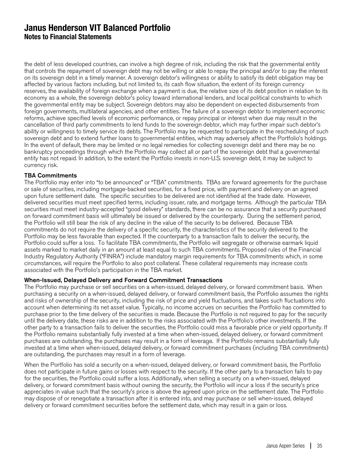the debt of less developed countries, can involve a high degree of risk, including the risk that the governmental entity that controls the repayment of sovereign debt may not be willing or able to repay the principal and/or to pay the interest on its sovereign debt in a timely manner. A sovereign debtor's willingness or ability to satisfy its debt obligation may be affected by various factors including, but not limited to, its cash flow situation, the extent of its foreign currency reserves, the availability of foreign exchange when a payment is due, the relative size of its debt position in relation to its economy as a whole, the sovereign debtor's policy toward international lenders, and local political constraints to which the governmental entity may be subject. Sovereign debtors may also be dependent on expected disbursements from foreign governments, multilateral agencies, and other entities. The failure of a sovereign debtor to implement economic reforms, achieve specified levels of economic performance, or repay principal or interest when due may result in the cancellation of third party commitments to lend funds to the sovereign debtor, which may further impair such debtor's ability or willingness to timely service its debts. The Portfolio may be requested to participate in the rescheduling of such sovereign debt and to extend further loans to governmental entities, which may adversely affect the Portfolio's holdings. In the event of default, there may be limited or no legal remedies for collecting sovereign debt and there may be no bankruptcy proceedings through which the Portfolio may collect all or part of the sovereign debt that a governmental entity has not repaid. In addition, to the extent the Portfolio invests in non-U.S. sovereign debt, it may be subject to currency risk.

#### TBA Commitments

The Portfolio may enter into "to be announced" or "TBA" commitments. TBAs are forward agreements for the purchase or sale of securities, including mortgage-backed securities, for a fixed price, with payment and delivery on an agreed upon future settlement date. The specific securities to be delivered are not identified at the trade date. However, delivered securities must meet specified terms, including issuer, rate, and mortgage terms. Although the particular TBA securities must meet industry-accepted "good delivery" standards, there can be no assurance that a security purchased on forward commitment basis will ultimately be issued or delivered by the counterparty. During the settlement period, the Portfolio will still bear the risk of any decline in the value of the security to be delivered. Because TBA commitments do not require the delivery of a specific security, the characteristics of the security delivered to the Portfolio may be less favorable than expected. If the counterparty to a transaction fails to deliver the security, the Portfolio could suffer a loss. To facilitate TBA commitments, the Portfolio will segregate or otherwise earmark liquid assets marked to market daily in an amount at least equal to such TBA commitments. Proposed rules of the Financial Industry Regulatory Authority ("FINRA") include mandatory margin requirements for TBA commitments which, in some circumstances, will require the Portfolio to also post collateral. These collateral requirements may increase costs associated with the Portfolio's participation in the TBA market.

#### When-Issued, Delayed Delivery and Forward Commitment Transactions

The Portfolio may purchase or sell securities on a when-issued, delayed delivery, or forward commitment basis. When purchasing a security on a when-issued, delayed delivery, or forward commitment basis, the Portfolio assumes the rights and risks of ownership of the security, including the risk of price and yield fluctuations, and takes such fluctuations into account when determining its net asset value. Typically, no income accrues on securities the Portfolio has committed to purchase prior to the time delivery of the securities is made. Because the Portfolio is not required to pay for the security until the delivery date, these risks are in addition to the risks associated with the Portfolio's other investments. If the other party to a transaction fails to deliver the securities, the Portfolio could miss a favorable price or yield opportunity. If the Portfolio remains substantially fully invested at a time when when-issued, delayed delivery, or forward commitment purchases are outstanding, the purchases may result in a form of leverage. If the Portfolio remains substantially fully invested at a time when when-issued, delayed delivery, or forward commitment purchases (including TBA commitments) are outstanding, the purchases may result in a form of leverage.

When the Portfolio has sold a security on a when-issued, delayed delivery, or forward commitment basis, the Portfolio does not participate in future gains or losses with respect to the security. If the other party to a transaction fails to pay for the securities, the Portfolio could suffer a loss. Additionally, when selling a security on a when-issued, delayed delivery, or forward commitment basis without owning the security, the Portfolio will incur a loss if the security's price appreciates in value such that the security's price is above the agreed upon price on the settlement date. The Portfolio may dispose of or renegotiate a transaction after it is entered into, and may purchase or sell when-issued, delayed delivery or forward commitment securities before the settlement date, which may result in a gain or loss.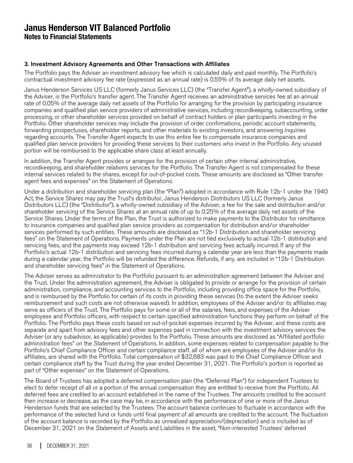#### 3. Investment Advisory Agreements and Other Transactions with Affiliates

The Portfolio pays the Adviser an investment advisory fee which is calculated daily and paid monthly. The Portfolio's contractual investment advisory fee rate (expressed as an annual rate) is 0.55% of its average daily net assets.

Janus Henderson Services US LLC (formerly Janus Services LLC) (the "Transfer Agent"), a wholly-owned subsidiary of the Adviser, is the Portfolio's transfer agent. The Transfer Agent receives an administrative services fee at an annual rate of 0.05% of the average daily net assets of the Portfolio for arranging for the provision by participating insurance companies and qualified plan service providers of administrative services, including recordkeeping, subaccounting, order processing, or other shareholder services provided on behalf of contract holders or plan participants investing in the Portfolio. Other shareholder services may include the provision of order confirmations, periodic account statements, forwarding prospectuses, shareholder reports, and other materials to existing investors, and answering inquiries regarding accounts. The Transfer Agent expects to use this entire fee to compensate insurance companies and qualified plan service providers for providing these services to their customers who invest in the Portfolio. Any unused portion will be reimbursed to the applicable share class at least annually.

In addition, the Transfer Agent provides or arranges for the provision of certain other internal administrative, recordkeeping, and shareholder relations services for the Portfolio. The Transfer Agent is not compensated for these internal services related to the shares, except for out-of-pocket costs. These amounts are disclosed as "Other transfer agent fees and expenses" on the Statement of Operations.

Under a distribution and shareholder servicing plan (the "Plan") adopted in accordance with Rule 12b-1 under the 1940 Act, the Service Shares may pay the Trust's distributor, Janus Henderson Distributors US LLC (formerly Janus Distributors LLC) (the "Distributor"), a wholly-owned subsidiary of the Adviser, a fee for the sale and distribution and/or shareholder servicing of the Service Shares at an annual rate of up to 0.25% of the average daily net assets of the Service Shares. Under the terms of the Plan, the Trust is authorized to make payments to the Distributor for remittance to insurance companies and qualified plan service providers as compensation for distribution and/or shareholder services performed by such entities. These amounts are disclosed as "12b-1 Distribution and shareholder servicing fees" on the Statement of Operations. Payments under the Plan are not tied exclusively to actual 12b-1 distribution and servicing fees, and the payments may exceed 12b-1 distribution and servicing fees actually incurred. If any of the Portfolio's actual 12b-1 distribution and servicing fees incurred during a calendar year are less than the payments made during a calendar year, the Portfolio will be refunded the difference. Refunds, if any, are included in "12b-1 Distribution and shareholder servicing fees" in the Statement of Operations.

The Adviser serves as administrator to the Portfolio pursuant to an administration agreement between the Adviser and the Trust. Under the administration agreement, the Adviser is obligated to provide or arrange for the provision of certain administration, compliance, and accounting services to the Portfolio, including providing office space for the Portfolio, and is reimbursed by the Portfolio for certain of its costs in providing these services (to the extent the Adviser seeks reimbursement and such costs are not otherwise waived). In addition, employees of the Adviser and/or its affiliates may serve as officers of the Trust. The Portfolio pays for some or all of the salaries, fees, and expenses of the Adviser employees and Portfolio officers, with respect to certain specified administration functions they perform on behalf of the Portfolio. The Portfolio pays these costs based on out-of-pocket expenses incurred by the Adviser, and these costs are separate and apart from advisory fees and other expenses paid in connection with the investment advisory services the Adviser (or any subadvisor, as applicable) provides to the Portfolio. These amounts are disclosed as "Affiliated portfolio administration fees" on the Statement of Operations. In addition, some expenses related to compensation payable to the Portfolio's Chief Compliance Officer and certain compliance staff, all of whom are employees of the Adviser and/or its affiliates, are shared with the Portfolio. Total compensation of \$32,683 was paid to the Chief Compliance Officer and certain compliance staff by the Trust during the year ended December 31, 2021. The Portfolio's portion is reported as part of "Other expenses" on the Statement of Operations.

The Board of Trustees has adopted a deferred compensation plan (the "Deferred Plan") for independent Trustees to elect to defer receipt of all or a portion of the annual compensation they are entitled to receive from the Portfolio. All deferred fees are credited to an account established in the name of the Trustees. The amounts credited to the account then increase or decrease, as the case may be, in accordance with the performance of one or more of the Janus Henderson funds that are selected by the Trustees. The account balance continues to fluctuate in accordance with the performance of the selected fund or funds until final payment of all amounts are credited to the account. The fluctuation of the account balance is recorded by the Portfolio as unrealized appreciation/(depreciation) and is included as of December 31, 2021 on the Statement of Assets and Liabilities in the asset, "Non-interested Trustees' deferred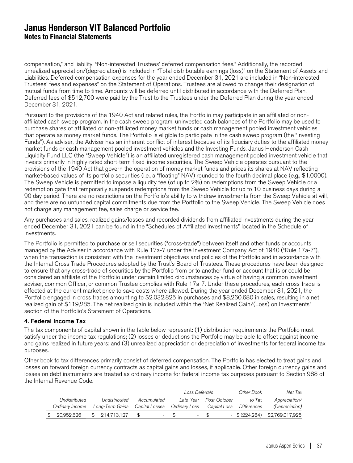compensation," and liability, "Non-interested Trustees' deferred compensation fees." Additionally, the recorded unrealized appreciation/(depreciation) is included in "Total distributable earnings (loss)" on the Statement of Assets and Liabilities. Deferred compensation expenses for the year ended December 31, 2021 are included in "Non-interested Trustees' fees and expenses" on the Statement of Operations. Trustees are allowed to change their designation of mutual funds from time to time. Amounts will be deferred until distributed in accordance with the Deferred Plan. Deferred fees of \$512,700 were paid by the Trust to the Trustees under the Deferred Plan during the year ended December 31, 2021.

Pursuant to the provisions of the 1940 Act and related rules, the Portfolio may participate in an affiliated or nonaffiliated cash sweep program. In the cash sweep program, uninvested cash balances of the Portfolio may be used to purchase shares of affiliated or non-affiliated money market funds or cash management pooled investment vehicles that operate as money market funds. The Portfolio is eligible to participate in the cash sweep program (the "Investing Funds"). As adviser, the Adviser has an inherent conflict of interest because of its fiduciary duties to the affiliated money market funds or cash management pooled investment vehicles and the Investing Funds. Janus Henderson Cash Liquidity Fund LLC (the "Sweep Vehicle") is an affiliated unregistered cash management pooled investment vehicle that invests primarily in highly-rated short-term fixed-income securities. The Sweep Vehicle operates pursuant to the provisions of the 1940 Act that govern the operation of money market funds and prices its shares at NAV reflecting market-based values of its portfolio securities (i.e., a "floating" NAV) rounded to the fourth decimal place (e.g., \$1.0000). The Sweep Vehicle is permitted to impose a liquidity fee (of up to 2%) on redemptions from the Sweep Vehicle or a redemption gate that temporarily suspends redemptions from the Sweep Vehicle for up to 10 business days during a 90 day period. There are no restrictions on the Portfolio's ability to withdraw investments from the Sweep Vehicle at will, and there are no unfunded capital commitments due from the Portfolio to the Sweep Vehicle. The Sweep Vehicle does not charge any management fee, sales charge or service fee.

Any purchases and sales, realized gains/losses and recorded dividends from affiliated investments during the year ended December 31, 2021 can be found in the "Schedules of Affiliated Investments" located in the Schedule of Investments.

The Portfolio is permitted to purchase or sell securities ("cross-trade") between itself and other funds or accounts managed by the Adviser in accordance with Rule 17a-7 under the Investment Company Act of 1940 ("Rule 17a-7"), when the transaction is consistent with the investment objectives and policies of the Portfolio and in accordance with the Internal Cross Trade Procedures adopted by the Trust's Board of Trustees. These procedures have been designed to ensure that any cross-trade of securities by the Portfolio from or to another fund or account that is or could be considered an affiliate of the Portfolio under certain limited circumstances by virtue of having a common investment adviser, common Officer, or common Trustee complies with Rule 17a-7. Under these procedures, each cross-trade is effected at the current market price to save costs where allowed. During the year ended December 31, 2021, the Portfolio engaged in cross trades amounting to \$2,032,825 in purchases and \$8,260,680 in sales, resulting in a net realized gain of \$119,285. The net realized gain is included within the "Net Realized Gain/(Loss) on Investments" section of the Portfolio's Statement of Operations.

#### 4. Federal Income Tax

The tax components of capital shown in the table below represent: (1) distribution requirements the Portfolio must satisfy under the income tax regulations; (2) losses or deductions the Portfolio may be able to offset against income and gains realized in future years; and (3) unrealized appreciation or depreciation of investments for federal income tax purposes.

Other book to tax differences primarily consist of deferred compensation. The Portfolio has elected to treat gains and losses on forward foreign currency contracts as capital gains and losses, if applicable. Other foreign currency gains and losses on debt instruments are treated as ordinary income for federal income tax purposes pursuant to Section 988 of the Internal Revenue Code.

|                 |                                |        |             | Loss Deferrals |                        |        | Other Book                             | Net Tax                         |
|-----------------|--------------------------------|--------|-------------|----------------|------------------------|--------|----------------------------------------|---------------------------------|
| Undistributed   | Undistributed                  |        | Accumulated |                | Late-Year Post-October |        | to Tax                                 | Appreciation/                   |
| Ordinary Income | Long-Term Gains Capital Losses |        |             |                |                        |        | Ordinary Loss Capital Loss Differences | <i>(Depreciation)</i>           |
| 20.952.626      | \$214.713.127                  | $-$ SS |             | $\mathcal{S}$  |                        | $-$ \$ |                                        | $-$ \$(224,284) \$2,769,017,925 |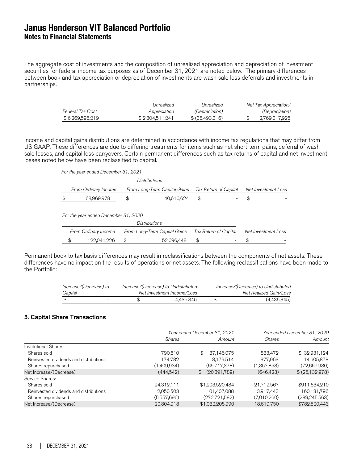The aggregate cost of investments and the composition of unrealized appreciation and depreciation of investment securities for federal income tax purposes as of December 31, 2021 are noted below. The primary differences between book and tax appreciation or depreciation of investments are wash sale loss deferrals and investments in partnerships.

|                  | Unrealized      | Unrealized            | Net Tax Appreciation/ |
|------------------|-----------------|-----------------------|-----------------------|
| Federal Tax Cost | Appreciation    | <i>(Depreciation)</i> | <i>(Depreciation)</i> |
| \$6,269,595,219  | \$2.804.511.241 | $$$ (35,493,316)      | 2.769.017.925         |

Income and capital gains distributions are determined in accordance with income tax regulations that may differ from US GAAP. These differences are due to differing treatments for items such as net short-term gains, deferral of wash sale losses, and capital loss carryovers. Certain permanent differences such as tax returns of capital and net investment losses noted below have been reclassified to capital.

#### For the year ended December 31, 2021

| Tax Return of Capital<br>From Ordinary Income<br>From Long-Term Capital Gains |                                      |    |                              | Net Investment Loss   |                     |  |
|-------------------------------------------------------------------------------|--------------------------------------|----|------------------------------|-----------------------|---------------------|--|
| \$                                                                            | 68,969,978                           | \$ | 40,616,624                   | \$                    |                     |  |
|                                                                               |                                      |    |                              |                       |                     |  |
|                                                                               | For the year ended December 31, 2020 |    |                              |                       |                     |  |
|                                                                               |                                      |    | <b>Distributions</b>         |                       |                     |  |
|                                                                               | From Ordinary Income                 |    | From Long-Term Capital Gains | Tax Return of Capital | Net Investment Loss |  |
| \$                                                                            | 122,041,226                          | \$ | 52,696,448                   | \$                    |                     |  |
|                                                                               |                                      |    |                              |                       |                     |  |

Permanent book to tax basis differences may result in reclassifications between the components of net assets. These differences have no impact on the results of operations or net assets. The following reclassifications have been made to the Portfolio:

| Increase/(Decrease) to | Increase/(Decrease) to Undistributed | Increase/(Decrease) to Undistributed |
|------------------------|--------------------------------------|--------------------------------------|
| Capital                | Net Investment Income/Loss           | Net Realized Gain/Loss               |
| -                      | 4.435.345                            | (4,435,345)                          |

#### 5. Capital Share Transactions

|                                        |               | Year ended December 31, 2021   | Year ended December 31, 2020 |                 |
|----------------------------------------|---------------|--------------------------------|------------------------------|-----------------|
|                                        | <b>Shares</b> | Amount                         | <b>Shares</b>                | Amount          |
| Institutional Shares:                  |               |                                |                              |                 |
| Shares sold                            | 790.610       | \$<br>37,146,075               | 833,472                      | \$32,931,124    |
| Reinvested dividends and distributions | 174.782       | 8.179.514                      | 377.963                      | 14,605,878      |
| Shares repurchased                     | (1,409,934)   | (65,717,378)                   | (1,857,858)                  | (72,669,980)    |
| Net Increase/(Decrease)                | (444.542)     | (20, 391, 789)<br>$\mathbb{S}$ | (646, 423)                   | \$(25,132,978)  |
| Service Shares:                        |               |                                |                              |                 |
| Shares sold                            | 24,312,111    | \$1,203,520,484                | 21,712,567                   | \$911,634,210   |
| Reinvested dividends and distributions | 2,050,503     | 101,407,088                    | 3,917,443                    | 160,131,796     |
| Shares repurchased                     | (5,557,696)   | (272, 721, 582)                | (7,010,260)                  | (289, 245, 563) |
| Net Increase/(Decrease)                | 20,804,918    | \$1,032,205,990                | 18,619,750                   | \$782,520,443   |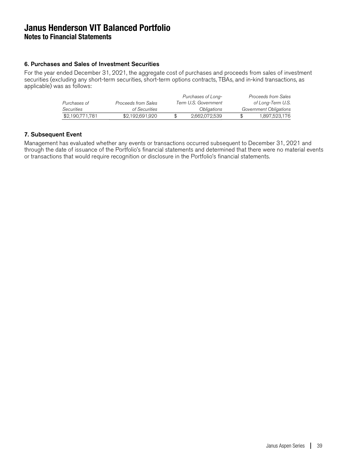#### 6. Purchases and Sales of Investment Securities

For the year ended December 31, 2021, the aggregate cost of purchases and proceeds from sales of investment securities (excluding any short-term securities, short-term options contracts, TBAs, and in-kind transactions, as applicable) was as follows:

|                          |                     | Purchases of Long-   | Proceeds from Sales    |
|--------------------------|---------------------|----------------------|------------------------|
| Purchases of             | Proceeds from Sales | Term U.S. Government | of Long-Term U.S.      |
| <i><u>Securities</u></i> | of Securities       | Obligations          | Government Obligations |
| \$2,190,771,781          | \$2,192,691,920     | 2,662,072,539        | 1,897,523,176          |

#### 7. Subsequent Event

Management has evaluated whether any events or transactions occurred subsequent to December 31, 2021 and through the date of issuance of the Portfolio's financial statements and determined that there were no material events or transactions that would require recognition or disclosure in the Portfolio's financial statements.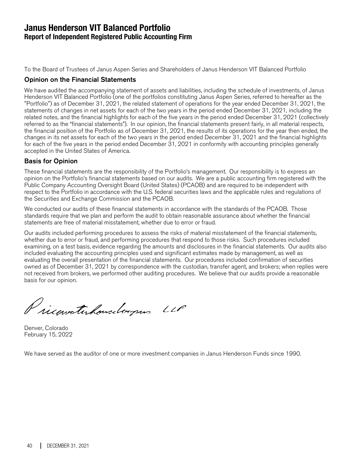### **Janus Henderson VIT Balanced Portfolio Report of Independent Registered Public Accounting Firm**

To the Board of Trustees of Janus Aspen Series and Shareholders of Janus Henderson VIT Balanced Portfolio

#### Opinion on the Financial Statements

We have audited the accompanying statement of assets and liabilities, including the schedule of investments, of Janus Henderson VIT Balanced Portfolio (one of the portfolios constituting Janus Aspen Series, referred to hereafter as the "Portfolio") as of December 31, 2021, the related statement of operations for the year ended December 31, 2021, the statements of changes in net assets for each of the two years in the period ended December 31, 2021, including the related notes, and the financial highlights for each of the five years in the period ended December 31, 2021 (collectively referred to as the "financial statements"). In our opinion, the financial statements present fairly, in all material respects, the financial position of the Portfolio as of December 31, 2021, the results of its operations for the year then ended, the changes in its net assets for each of the two years in the period ended December 31, 2021 and the financial highlights for each of the five years in the period ended December 31, 2021 in conformity with accounting principles generally accepted in the United States of America.

#### Basis for Opinion

These financial statements are the responsibility of the Portfolio's management. Our responsibility is to express an opinion on the Portfolio's financial statements based on our audits. We are a public accounting firm registered with the Public Company Accounting Oversight Board (United States) (PCAOB) and are required to be independent with respect to the Portfolio in accordance with the U.S. federal securities laws and the applicable rules and regulations of the Securities and Exchange Commission and the PCAOB.

We conducted our audits of these financial statements in accordance with the standards of the PCAOB. Those standards require that we plan and perform the audit to obtain reasonable assurance about whether the financial statements are free of material misstatement, whether due to error or fraud.

Our audits included performing procedures to assess the risks of material misstatement of the financial statements, whether due to error or fraud, and performing procedures that respond to those risks. Such procedures included examining, on a test basis, evidence regarding the amounts and disclosures in the financial statements. Our audits also included evaluating the accounting principles used and significant estimates made by management, as well as evaluating the overall presentation of the financial statements. Our procedures included confirmation of securities owned as of December 31, 2021 by correspondence with the custodian, transfer agent, and brokers; when replies were not received from brokers, we performed other auditing procedures. We believe that our audits provide a reasonable basis for our opinion.

Pricewaterhousedergus LLP

Denver, Colorado February 15, 2022

We have served as the auditor of one or more investment companies in Janus Henderson Funds since 1990.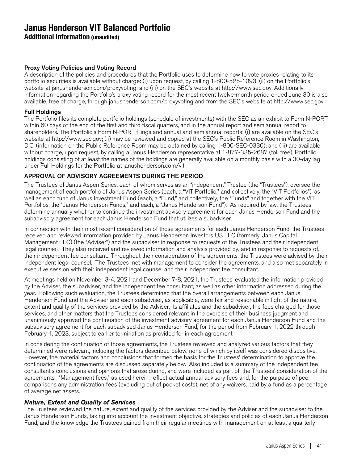**Additional Information (unaudited)**

#### Proxy Voting Policies and Voting Record

A description of the policies and procedures that the Portfolio uses to determine how to vote proxies relating to its portfolio securities is available without charge: (i) upon request, by calling 1-800-525-1093; (ii) on the Portfolio's website at janushenderson.com/proxyvoting; and (iii) on the SEC's website at http://www.sec.gov. Additionally, information regarding the Portfolio's proxy voting record for the most recent twelve-month period ended June 30 is also available, free of charge, through janushenderson.com/proxyvoting and from the SEC's website at http://www.sec.gov.

#### Full Holdings

The Portfolio files its complete portfolio holdings (schedule of investments) with the SEC as an exhibit to Form N-PORT within 60 days of the end of the first and third fiscal quarters, and in the annual report and semiannual report to shareholders. The Portfolio's Form N-PORT filings and annual and semiannual reports: (i) are available on the SEC's website at http://www.sec.gov; (ii) may be reviewed and copied at the SEC's Public Reference Room in Washington, D.C. (information on the Public Reference Room may be obtained by calling 1-800-SEC-0330); and (iii) are available without charge, upon request, by calling a Janus Henderson representative at 1-877-335-2687 (toll free). Portfolio holdings consisting of at least the names of the holdings are generally available on a monthly basis with a 30-day lag under Full Holdings for the Portfolio at janushenderson.com/vit.

#### APPROVAL OF ADVISORY AGREEMENTS DURING THE PERIOD

The Trustees of Janus Aspen Series, each of whom serves as an "independent" Trustee (the "Trustees"), oversee the management of each portfolio of Janus Aspen Series (each, a "VIT Portfolio," and collectively, the "VIT Portfolios"), as well as each fund of Janus Investment Fund (each, a "Fund," and collectively, the "Funds" and together with the VIT Portfolios, the "Janus Henderson Funds," and each, a "Janus Henderson Fund"). As required by law, the Trustees determine annually whether to continue the investment advisory agreement for each Janus Henderson Fund and the subadvisory agreement for each Janus Henderson Fund that utilizes a subadviser.

In connection with their most recent consideration of those agreements for each Janus Henderson Fund, the Trustees received and reviewed information provided by Janus Henderson Investors US LLC (formerly, Janus Capital Management LLC) (the "Adviser") and the subadviser in response to requests of the Trustees and their independent legal counsel. They also received and reviewed information and analysis provided by, and in response to requests of, their independent fee consultant. Throughout their consideration of the agreements, the Trustees were advised by their independent legal counsel. The Trustees met with management to consider the agreements, and also met separately in executive session with their independent legal counsel and their independent fee consultant.

At meetings held on November 3-4, 2021 and December 7-8, 2021, the Trustees' evaluated the information provided by the Adviser, the subadviser, and the independent fee consultant, as well as other information addressed during the year. Following such evaluation, the Trustees determined that the overall arrangements between each Janus Henderson Fund and the Adviser and each subadviser, as applicable, were fair and reasonable in light of the nature, extent and quality of the services provided by the Adviser, its affiliates and the subadviser, the fees charged for those services, and other matters that the Trustees considered relevant in the exercise of their business judgment and unanimously approved the continuation of the investment advisory agreement for each Janus Henderson Fund and the subadvisory agreement for each subadvised Janus Henderson Fund, for the period from February 1, 2022 through February 1, 2023, subject to earlier termination as provided for in each agreement.

In considering the continuation of those agreements, the Trustees reviewed and analyzed various factors that they determined were relevant, including the factors described below, none of which by itself was considered dispositive. However, the material factors and conclusions that formed the basis for the Trustees' determination to approve the continuation of the agreements are discussed separately below. Also included is a summary of the independent fee consultant's conclusions and opinions that arose during, and were included as part of, the Trustees' consideration of the agreements. "Management fees," as used herein, reflect actual annual advisory fees and, for the purpose of peer comparisons any administration fees (excluding out of pocket costs), net of any waivers, paid by a fund as a percentage of average net assets.

#### Nature, Extent and Quality of Services

The Trustees reviewed the nature, extent and quality of the services provided by the Adviser and the subadviser to the Janus Henderson Funds, taking into account the investment objective, strategies and policies of each Janus Henderson Fund, and the knowledge the Trustees gained from their regular meetings with management on at least a quarterly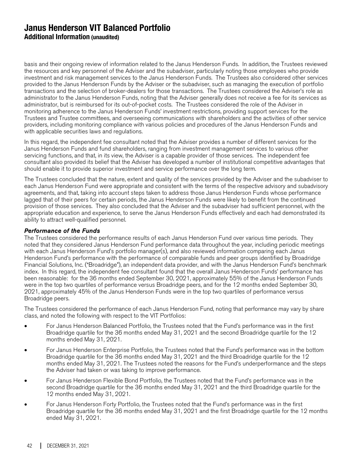basis and their ongoing review of information related to the Janus Henderson Funds. In addition, the Trustees reviewed the resources and key personnel of the Adviser and the subadviser, particularly noting those employees who provide investment and risk management services to the Janus Henderson Funds. The Trustees also considered other services provided to the Janus Henderson Funds by the Adviser or the subadviser, such as managing the execution of portfolio transactions and the selection of broker-dealers for those transactions. The Trustees considered the Adviser's role as administrator to the Janus Henderson Funds, noting that the Adviser generally does not receive a fee for its services as administrator, but is reimbursed for its out-of-pocket costs. The Trustees considered the role of the Adviser in monitoring adherence to the Janus Henderson Funds' investment restrictions, providing support services for the Trustees and Trustee committees, and overseeing communications with shareholders and the activities of other service providers, including monitoring compliance with various policies and procedures of the Janus Henderson Funds and with applicable securities laws and regulations.

In this regard, the independent fee consultant noted that the Adviser provides a number of different services for the Janus Henderson Funds and fund shareholders, ranging from investment management services to various other servicing functions, and that, in its view, the Adviser is a capable provider of those services. The independent fee consultant also provided its belief that the Adviser has developed a number of institutional competitive advantages that should enable it to provide superior investment and service performance over the long term.

The Trustees concluded that the nature, extent and quality of the services provided by the Adviser and the subadviser to each Janus Henderson Fund were appropriate and consistent with the terms of the respective advisory and subadvisory agreements, and that, taking into account steps taken to address those Janus Henderson Funds whose performance lagged that of their peers for certain periods, the Janus Henderson Funds were likely to benefit from the continued provision of those services. They also concluded that the Adviser and the subadviser had sufficient personnel, with the appropriate education and experience, to serve the Janus Henderson Funds effectively and each had demonstrated its ability to attract well-qualified personnel.

#### Performance of the Funds

The Trustees considered the performance results of each Janus Henderson Fund over various time periods. They noted that they considered Janus Henderson Fund performance data throughout the year, including periodic meetings with each Janus Henderson Fund's portfolio manager(s), and also reviewed information comparing each Janus Henderson Fund's performance with the performance of comparable funds and peer groups identified by Broadridge Financial Solutions, Inc. ("Broadridge"), an independent data provider, and with the Janus Henderson Fund's benchmark index. In this regard, the independent fee consultant found that the overall Janus Henderson Funds' performance has been reasonable: for the 36 months ended September 30, 2021, approximately 55% of the Janus Henderson Funds were in the top two quartiles of performance versus Broadridge peers, and for the 12 months ended September 30, 2021, approximately 45% of the Janus Henderson Funds were in the top two quartiles of performance versus Broadridge peers.

The Trustees considered the performance of each Janus Henderson Fund, noting that performance may vary by share class, and noted the following with respect to the VIT Portfolios:

- For Janus Henderson Balanced Portfolio, the Trustees noted that the Fund's performance was in the first Broadridge quartile for the 36 months ended May 31, 2021 and the second Broadridge quartile for the 12 months ended May 31, 2021.
- For Janus Henderson Enterprise Portfolio, the Trustees noted that the Fund's performance was in the bottom Broadridge quartile for the 36 months ended May 31, 2021 and the third Broadridge quartile for the 12 months ended May 31, 2021. The Trustees noted the reasons for the Fund's underperformance and the steps the Adviser had taken or was taking to improve performance.
- For Janus Henderson Flexible Bond Portfolio, the Trustees noted that the Fund's performance was in the second Broadridge quartile for the 36 months ended May 31, 2021 and the third Broadridge quartile for the 12 months ended May 31, 2021.
- For Janus Henderson Forty Portfolio, the Trustees noted that the Fund's performance was in the first Broadridge quartile for the 36 months ended May 31, 2021 and the first Broadridge quartile for the 12 months ended May 31, 2021.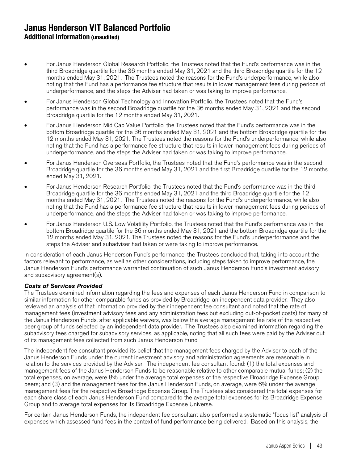- For Janus Henderson Global Research Portfolio, the Trustees noted that the Fund's performance was in the third Broadridge quartile for the 36 months ended May 31, 2021 and the third Broadridge quartile for the 12 months ended May 31, 2021. The Trustees noted the reasons for the Fund's underperformance, while also noting that the Fund has a performance fee structure that results in lower management fees during periods of underperformance, and the steps the Adviser had taken or was taking to improve performance.
- For Janus Henderson Global Technology and Innovation Portfolio, the Trustees noted that the Fund's performance was in the second Broadridge quartile for the 36 months ended May 31, 2021 and the second Broadridge quartile for the 12 months ended May 31, 2021.
- For Janus Henderson Mid Cap Value Portfolio, the Trustees noted that the Fund's performance was in the bottom Broadridge quartile for the 36 months ended May 31, 2021 and the bottom Broadridge quartile for the 12 months ended May 31, 2021. The Trustees noted the reasons for the Fund's underperformance, while also noting that the Fund has a performance fee structure that results in lower management fees during periods of underperformance, and the steps the Adviser had taken or was taking to improve performance.
- For Janus Henderson Overseas Portfolio, the Trustees noted that the Fund's performance was in the second Broadridge quartile for the 36 months ended May 31, 2021 and the first Broadridge quartile for the 12 months ended May 31, 2021.
- For Janus Henderson Research Portfolio, the Trustees noted that the Fund's performance was in the third Broadridge quartile for the 36 months ended May 31, 2021 and the third Broadridge quartile for the 12 months ended May 31, 2021. The Trustees noted the reasons for the Fund's underperformance, while also noting that the Fund has a performance fee structure that results in lower management fees during periods of underperformance, and the steps the Adviser had taken or was taking to improve performance.
- For Janus Henderson U.S. Low Volatility Portfolio, the Trustees noted that the Fund's performance was in the bottom Broadridge quartile for the 36 months ended May 31, 2021 and the bottom Broadridge quartile for the 12 months ended May 31, 2021. The Trustees noted the reasons for the Fund's underperformance and the steps the Adviser and subadviser had taken or were taking to improve performance.

In consideration of each Janus Henderson Fund's performance, the Trustees concluded that, taking into account the factors relevant to performance, as well as other considerations, including steps taken to improve performance, the Janus Henderson Fund's performance warranted continuation of such Janus Henderson Fund's investment advisory and subadvisory agreement(s).

#### Costs of Services Provided

The Trustees examined information regarding the fees and expenses of each Janus Henderson Fund in comparison to similar information for other comparable funds as provided by Broadridge, an independent data provider. They also reviewed an analysis of that information provided by their independent fee consultant and noted that the rate of management fees (investment advisory fees and any administration fees but excluding out-of-pocket costs) for many of the Janus Henderson Funds, after applicable waivers, was below the average management fee rate of the respective peer group of funds selected by an independent data provider. The Trustees also examined information regarding the subadvisory fees charged for subadvisory services, as applicable, noting that all such fees were paid by the Adviser out of its management fees collected from such Janus Henderson Fund.

The independent fee consultant provided its belief that the management fees charged by the Adviser to each of the Janus Henderson Funds under the current investment advisory and administration agreements are reasonable in relation to the services provided by the Adviser. The independent fee consultant found: (1) the total expenses and management fees of the Janus Henderson Funds to be reasonable relative to other comparable mutual funds; (2) the total expenses, on average, were 8% under the average total expenses of the respective Broadridge Expense Group peers; and (3) and the management fees for the Janus Henderson Funds, on average, were 6% under the average management fees for the respective Broadridge Expense Group. The Trustees also considered the total expenses for each share class of each Janus Henderson Fund compared to the average total expenses for its Broadridge Expense Group and to average total expenses for its Broadridge Expense Universe.

For certain Janus Henderson Funds, the independent fee consultant also performed a systematic "focus list" analysis of expenses which assessed fund fees in the context of fund performance being delivered. Based on this analysis, the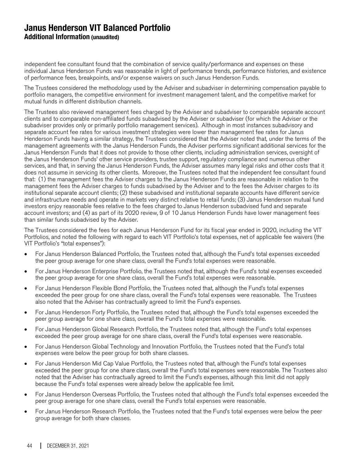independent fee consultant found that the combination of service quality/performance and expenses on these individual Janus Henderson Funds was reasonable in light of performance trends, performance histories, and existence of performance fees, breakpoints, and/or expense waivers on such Janus Henderson Funds.

The Trustees considered the methodology used by the Adviser and subadviser in determining compensation payable to portfolio managers, the competitive environment for investment management talent, and the competitive market for mutual funds in different distribution channels.

The Trustees also reviewed management fees charged by the Adviser and subadviser to comparable separate account clients and to comparable non-affiliated funds subadvised by the Adviser or subadviser (for which the Adviser or the subadviser provides only or primarily portfolio management services). Although in most instances subadvisory and separate account fee rates for various investment strategies were lower than management fee rates for Janus Henderson Funds having a similar strategy, the Trustees considered that the Adviser noted that, under the terms of the management agreements with the Janus Henderson Funds, the Adviser performs significant additional services for the Janus Henderson Funds that it does not provide to those other clients, including administration services, oversight of the Janus Henderson Funds' other service providers, trustee support, regulatory compliance and numerous other services, and that, in serving the Janus Henderson Funds, the Adviser assumes many legal risks and other costs that it does not assume in servicing its other clients. Moreover, the Trustees noted that the independent fee consultant found that: (1) the management fees the Adviser charges to the Janus Henderson Funds are reasonable in relation to the management fees the Adviser charges to funds subadvised by the Adviser and to the fees the Adviser charges to its institutional separate account clients; (2) these subadvised and institutional separate accounts have different service and infrastructure needs and operate in markets very distinct relative to retail funds; (3) Janus Henderson mutual fund investors enjoy reasonable fees relative to the fees charged to Janus Henderson subadvised fund and separate account investors; and (4) as part of its 2020 review, 9 of 10 Janus Henderson Funds have lower management fees than similar funds subadvised by the Adviser.

The Trustees considered the fees for each Janus Henderson Fund for its fiscal year ended in 2020, including the VIT Portfolios, and noted the following with regard to each VIT Portfolio's total expenses, net of applicable fee waivers (the VIT Portfolio's "total expenses"):

- For Janus Henderson Balanced Portfolio, the Trustees noted that, although the Fund's total expenses exceeded the peer group average for one share class, overall the Fund's total expenses were reasonable.
- For Janus Henderson Enterprise Portfolio, the Trustees noted that, although the Fund's total expenses exceeded the peer group average for one share class, overall the Fund's total expenses were reasonable.
- For Janus Henderson Flexible Bond Portfolio, the Trustees noted that, although the Fund's total expenses exceeded the peer group for one share class, overall the Fund's total expenses were reasonable. The Trustees also noted that the Adviser has contractually agreed to limit the Fund's expenses.
- For Janus Henderson Forty Portfolio, the Trustees noted that, although the Fund's total expenses exceeded the peer group average for one share class, overall the Fund's total expenses were reasonable.
- For Janus Henderson Global Research Portfolio, the Trustees noted that, although the Fund's total expenses exceeded the peer group average for one share class, overall the Fund's total expenses were reasonable.
- For Janus Henderson Global Technology and Innovation Portfolio, the Trustees noted that the Fund's total expenses were below the peer group for both share classes.
- For Janus Henderson Mid Cap Value Portfolio, the Trustees noted that, although the Fund's total expenses exceeded the peer group for one share class, overall the Fund's total expenses were reasonable. The Trustees also noted that the Adviser has contractually agreed to limit the Fund's expenses, although this limit did not apply because the Fund's total expenses were already below the applicable fee limit.
- For Janus Henderson Overseas Portfolio, the Trustees noted that although the Fund's total expenses exceeded the peer group average for one share class, overall the Fund's total expenses were reasonable.
- For Janus Henderson Research Portfolio, the Trustees noted that the Fund's total expenses were below the peer group average for both share classes.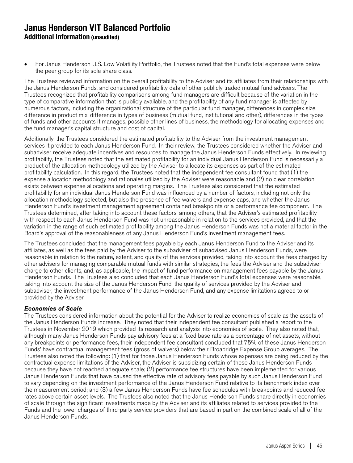• For Janus Henderson U.S. Low Volatility Portfolio, the Trustees noted that the Fund's total expenses were below the peer group for its sole share class.

The Trustees reviewed information on the overall profitability to the Adviser and its affiliates from their relationships with the Janus Henderson Funds, and considered profitability data of other publicly traded mutual fund advisers. The Trustees recognized that profitability comparisons among fund managers are difficult because of the variation in the type of comparative information that is publicly available, and the profitability of any fund manager is affected by numerous factors, including the organizational structure of the particular fund manager, differences in complex size, difference in product mix, difference in types of business (mutual fund, institutional and other), differences in the types of funds and other accounts it manages, possible other lines of business, the methodology for allocating expenses and the fund manager's capital structure and cost of capital.

Additionally, the Trustees considered the estimated profitability to the Adviser from the investment management services it provided to each Janus Henderson Fund. In their review, the Trustees considered whether the Adviser and subadviser receive adequate incentives and resources to manage the Janus Henderson Funds effectively. In reviewing profitability, the Trustees noted that the estimated profitability for an individual Janus Henderson Fund is necessarily a product of the allocation methodology utilized by the Adviser to allocate its expenses as part of the estimated profitability calculation. In this regard, the Trustees noted that the independent fee consultant found that (1) the expense allocation methodology and rationales utilized by the Adviser were reasonable and (2) no clear correlation exists between expense allocations and operating margins. The Trustees also considered that the estimated profitability for an individual Janus Henderson Fund was influenced by a number of factors, including not only the allocation methodology selected, but also the presence of fee waivers and expense caps, and whether the Janus Henderson Fund's investment management agreement contained breakpoints or a performance fee component. The Trustees determined, after taking into account these factors, among others, that the Adviser's estimated profitability with respect to each Janus Henderson Fund was not unreasonable in relation to the services provided, and that the variation in the range of such estimated profitability among the Janus Henderson Funds was not a material factor in the Board's approval of the reasonableness of any Janus Henderson Fund's investment management fees.

The Trustees concluded that the management fees payable by each Janus Henderson Fund to the Adviser and its affiliates, as well as the fees paid by the Adviser to the subadviser of subadvised Janus Henderson Funds, were reasonable in relation to the nature, extent, and quality of the services provided, taking into account the fees charged by other advisers for managing comparable mutual funds with similar strategies, the fees the Adviser and the subadviser charge to other clients, and, as applicable, the impact of fund performance on management fees payable by the Janus Henderson Funds. The Trustees also concluded that each Janus Henderson Fund's total expenses were reasonable, taking into account the size of the Janus Henderson Fund, the quality of services provided by the Adviser and subadviser, the investment performance of the Janus Henderson Fund, and any expense limitations agreed to or provided by the Adviser.

#### Economies of Scale

The Trustees considered information about the potential for the Adviser to realize economies of scale as the assets of the Janus Henderson Funds increase. They noted that their independent fee consultant published a report to the Trustees in November 2019 which provided its research and analysis into economies of scale. They also noted that, although many Janus Henderson Funds pay advisory fees at a fixed base rate as a percentage of net assets, without any breakpoints or performance fees, their independent fee consultant concluded that 75% of these Janus Henderson Funds' have contractual management fees (gross of waivers) below their Broadridge Expense Group averages. The Trustees also noted the following: (1) that for those Janus Henderson Funds whose expenses are being reduced by the contractual expense limitations of the Adviser, the Adviser is subsidizing certain of these Janus Henderson Funds because they have not reached adequate scale; (2) performance fee structures have been implemented for various Janus Henderson Funds that have caused the effective rate of advisory fees payable by such Janus Henderson Fund to vary depending on the investment performance of the Janus Henderson Fund relative to its benchmark index over the measurement period; and (3) a few Janus Henderson Funds have fee schedules with breakpoints and reduced fee rates above certain asset levels. The Trustees also noted that the Janus Henderson Funds share directly in economies of scale through the significant investments made by the Adviser and its affiliates related to services provided to the Funds and the lower charges of third-party service providers that are based in part on the combined scale of all of the Janus Henderson Funds.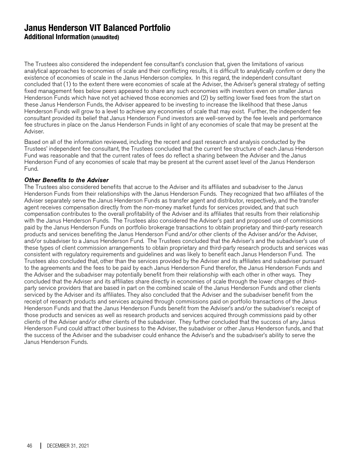The Trustees also considered the independent fee consultant's conclusion that, given the limitations of various analytical approaches to economies of scale and their conflicting results, it is difficult to analytically confirm or deny the existence of economies of scale in the Janus Henderson complex. In this regard, the independent consultant concluded that (1) to the extent there were economies of scale at the Adviser, the Adviser's general strategy of setting fixed management fees below peers appeared to share any such economies with investors even on smaller Janus Henderson Funds which have not yet achieved those economies and (2) by setting lower fixed fees from the start on these Janus Henderson Funds, the Adviser appeared to be investing to increase the likelihood that these Janus Henderson Funds will grow to a level to achieve any economies of scale that may exist. Further, the independent fee consultant provided its belief that Janus Henderson Fund investors are well-served by the fee levels and performance fee structures in place on the Janus Henderson Funds in light of any economies of scale that may be present at the Adviser.

Based on all of the information reviewed, including the recent and past research and analysis conducted by the Trustees' independent fee consultant, the Trustees concluded that the current fee structure of each Janus Henderson Fund was reasonable and that the current rates of fees do reflect a sharing between the Adviser and the Janus Henderson Fund of any economies of scale that may be present at the current asset level of the Janus Henderson Fund.

#### Other Benefits to the Adviser

The Trustees also considered benefits that accrue to the Adviser and its affiliates and subadviser to the Janus Henderson Funds from their relationships with the Janus Henderson Funds. They recognized that two affiliates of the Adviser separately serve the Janus Henderson Funds as transfer agent and distributor, respectively, and the transfer agent receives compensation directly from the non-money market funds for services provided, and that such compensation contributes to the overall profitability of the Adviser and its affiliates that results from their relationship with the Janus Henderson Funds. The Trustees also considered the Adviser's past and proposed use of commissions paid by the Janus Henderson Funds on portfolio brokerage transactions to obtain proprietary and third-party research products and services benefiting the Janus Henderson Fund and/or other clients of the Adviser and/or the Adviser, and/or subadviser to a Janus Henderson Fund. The Trustees concluded that the Adviser's and the subadviser's use of these types of client commission arrangements to obtain proprietary and third-party research products and services was consistent with regulatory requirements and guidelines and was likely to benefit each Janus Henderson Fund. The Trustees also concluded that, other than the services provided by the Adviser and its affiliates and subadviser pursuant to the agreements and the fees to be paid by each Janus Henderson Fund therefor, the Janus Henderson Funds and the Adviser and the subadviser may potentially benefit from their relationship with each other in other ways. They concluded that the Adviser and its affiliates share directly in economies of scale through the lower charges of thirdparty service providers that are based in part on the combined scale of the Janus Henderson Funds and other clients serviced by the Adviser and its affiliates. They also concluded that the Adviser and the subadviser benefit from the receipt of research products and services acquired through commissions paid on portfolio transactions of the Janus Henderson Funds and that the Janus Henderson Funds benefit from the Adviser's and/or the subadviser's receipt of those products and services as well as research products and services acquired through commissions paid by other clients of the Adviser and/or other clients of the subadviser. They further concluded that the success of any Janus Henderson Fund could attract other business to the Adviser, the subadviser or other Janus Henderson funds, and that the success of the Adviser and the subadviser could enhance the Adviser's and the subadviser's ability to serve the Janus Henderson Funds.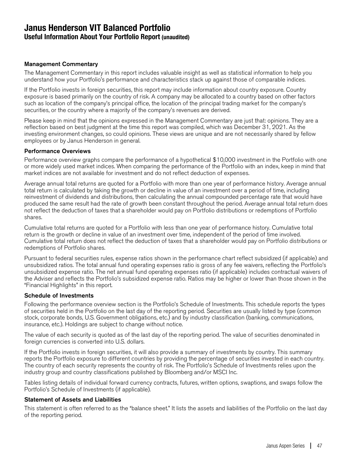### **Janus Henderson VIT Balanced Portfolio Useful Information About Your Portfolio Report (unaudited)**

#### Management Commentary

The Management Commentary in this report includes valuable insight as well as statistical information to help you understand how your Portfolio's performance and characteristics stack up against those of comparable indices.

If the Portfolio invests in foreign securities, this report may include information about country exposure. Country exposure is based primarily on the country of risk. A company may be allocated to a country based on other factors such as location of the company's principal office, the location of the principal trading market for the company's securities, or the country where a majority of the company's revenues are derived.

Please keep in mind that the opinions expressed in the Management Commentary are just that: opinions. They are a reflection based on best judgment at the time this report was compiled, which was December 31, 2021. As the investing environment changes, so could opinions. These views are unique and are not necessarily shared by fellow employees or by Janus Henderson in general.

#### Performance Overviews

Performance overview graphs compare the performance of a hypothetical \$10,000 investment in the Portfolio with one or more widely used market indices. When comparing the performance of the Portfolio with an index, keep in mind that market indices are not available for investment and do not reflect deduction of expenses.

Average annual total returns are quoted for a Portfolio with more than one year of performance history. Average annual total return is calculated by taking the growth or decline in value of an investment over a period of time, including reinvestment of dividends and distributions, then calculating the annual compounded percentage rate that would have produced the same result had the rate of growth been constant throughout the period. Average annual total return does not reflect the deduction of taxes that a shareholder would pay on Portfolio distributions or redemptions of Portfolio shares.

Cumulative total returns are quoted for a Portfolio with less than one year of performance history. Cumulative total return is the growth or decline in value of an investment over time, independent of the period of time involved. Cumulative total return does not reflect the deduction of taxes that a shareholder would pay on Portfolio distributions or redemptions of Portfolio shares.

Pursuant to federal securities rules, expense ratios shown in the performance chart reflect subsidized (if applicable) and unsubsidized ratios. The total annual fund operating expenses ratio is gross of any fee waivers, reflecting the Portfolio's unsubsidized expense ratio. The net annual fund operating expenses ratio (if applicable) includes contractual waivers of the Adviser and reflects the Portfolio's subsidized expense ratio. Ratios may be higher or lower than those shown in the "Financial Highlights" in this report.

#### Schedule of Investments

Following the performance overview section is the Portfolio's Schedule of Investments. This schedule reports the types of securities held in the Portfolio on the last day of the reporting period. Securities are usually listed by type (common stock, corporate bonds, U.S. Government obligations, etc.) and by industry classification (banking, communications, insurance, etc.). Holdings are subject to change without notice.

The value of each security is quoted as of the last day of the reporting period. The value of securities denominated in foreign currencies is converted into U.S. dollars.

If the Portfolio invests in foreign securities, it will also provide a summary of investments by country. This summary reports the Portfolio exposure to different countries by providing the percentage of securities invested in each country. The country of each security represents the country of risk. The Portfolio's Schedule of Investments relies upon the industry group and country classifications published by Bloomberg and/or MSCI Inc.

Tables listing details of individual forward currency contracts, futures, written options, swaptions, and swaps follow the Portfolio's Schedule of Investments (if applicable).

#### Statement of Assets and Liabilities

This statement is often referred to as the "balance sheet." It lists the assets and liabilities of the Portfolio on the last day of the reporting period.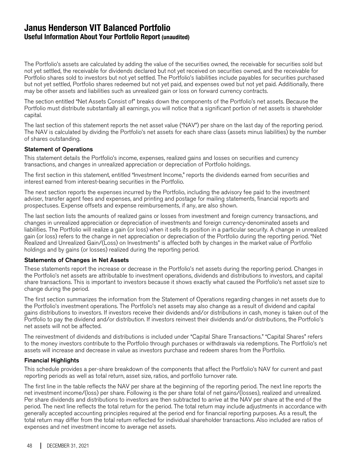### **Janus Henderson VIT Balanced Portfolio Useful Information About Your Portfolio Report (unaudited)**

The Portfolio's assets are calculated by adding the value of the securities owned, the receivable for securities sold but not yet settled, the receivable for dividends declared but not yet received on securities owned, and the receivable for Portfolio shares sold to investors but not yet settled. The Portfolio's liabilities include payables for securities purchased but not yet settled, Portfolio shares redeemed but not yet paid, and expenses owed but not yet paid. Additionally, there may be other assets and liabilities such as unrealized gain or loss on forward currency contracts.

The section entitled "Net Assets Consist of" breaks down the components of the Portfolio's net assets. Because the Portfolio must distribute substantially all earnings, you will notice that a significant portion of net assets is shareholder capital.

The last section of this statement reports the net asset value ("NAV") per share on the last day of the reporting period. The NAV is calculated by dividing the Portfolio's net assets for each share class (assets minus liabilities) by the number of shares outstanding.

#### Statement of Operations

This statement details the Portfolio's income, expenses, realized gains and losses on securities and currency transactions, and changes in unrealized appreciation or depreciation of Portfolio holdings.

The first section in this statement, entitled "Investment Income," reports the dividends earned from securities and interest earned from interest-bearing securities in the Portfolio.

The next section reports the expenses incurred by the Portfolio, including the advisory fee paid to the investment adviser, transfer agent fees and expenses, and printing and postage for mailing statements, financial reports and prospectuses. Expense offsets and expense reimbursements, if any, are also shown.

The last section lists the amounts of realized gains or losses from investment and foreign currency transactions, and changes in unrealized appreciation or depreciation of investments and foreign currency-denominated assets and liabilities. The Portfolio will realize a gain (or loss) when it sells its position in a particular security. A change in unrealized gain (or loss) refers to the change in net appreciation or depreciation of the Portfolio during the reporting period. "Net Realized and Unrealized Gain/(Loss) on Investments" is affected both by changes in the market value of Portfolio holdings and by gains (or losses) realized during the reporting period.

#### Statements of Changes in Net Assets

These statements report the increase or decrease in the Portfolio's net assets during the reporting period. Changes in the Portfolio's net assets are attributable to investment operations, dividends and distributions to investors, and capital share transactions. This is important to investors because it shows exactly what caused the Portfolio's net asset size to change during the period.

The first section summarizes the information from the Statement of Operations regarding changes in net assets due to the Portfolio's investment operations. The Portfolio's net assets may also change as a result of dividend and capital gains distributions to investors. If investors receive their dividends and/or distributions in cash, money is taken out of the Portfolio to pay the dividend and/or distribution. If investors reinvest their dividends and/or distributions, the Portfolio's net assets will not be affected.

The reinvestment of dividends and distributions is included under "Capital Share Transactions." "Capital Shares" refers to the money investors contribute to the Portfolio through purchases or withdrawals via redemptions. The Portfolio's net assets will increase and decrease in value as investors purchase and redeem shares from the Portfolio.

#### Financial Highlights

This schedule provides a per-share breakdown of the components that affect the Portfolio's NAV for current and past reporting periods as well as total return, asset size, ratios, and portfolio turnover rate.

The first line in the table reflects the NAV per share at the beginning of the reporting period. The next line reports the net investment income/(loss) per share. Following is the per share total of net gains/(losses), realized and unrealized. Per share dividends and distributions to investors are then subtracted to arrive at the NAV per share at the end of the period. The next line reflects the total return for the period. The total return may include adjustments in accordance with generally accepted accounting principles required at the period end for financial reporting purposes. As a result, the total return may differ from the total return reflected for individual shareholder transactions. Also included are ratios of expenses and net investment income to average net assets.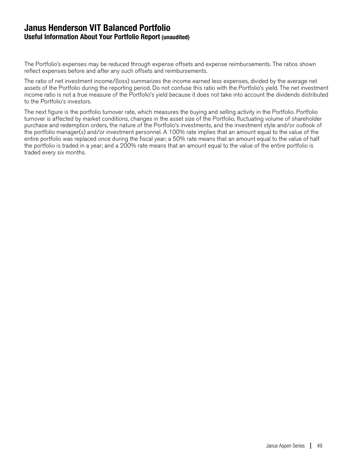### **Janus Henderson VIT Balanced Portfolio Useful Information About Your Portfolio Report (unaudited)**

The Portfolio's expenses may be reduced through expense offsets and expense reimbursements. The ratios shown reflect expenses before and after any such offsets and reimbursements.

The ratio of net investment income/(loss) summarizes the income earned less expenses, divided by the average net assets of the Portfolio during the reporting period. Do not confuse this ratio with the Portfolio's yield. The net investment income ratio is not a true measure of the Portfolio's yield because it does not take into account the dividends distributed to the Portfolio's investors.

The next figure is the portfolio turnover rate, which measures the buying and selling activity in the Portfolio. Portfolio turnover is affected by market conditions, changes in the asset size of the Portfolio, fluctuating volume of shareholder purchase and redemption orders, the nature of the Portfolio's investments, and the investment style and/or outlook of the portfolio manager(s) and/or investment personnel. A 100% rate implies that an amount equal to the value of the entire portfolio was replaced once during the fiscal year; a 50% rate means that an amount equal to the value of half the portfolio is traded in a year; and a 200% rate means that an amount equal to the value of the entire portfolio is traded every six months.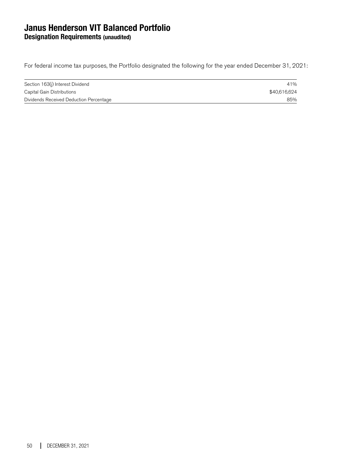### **Janus Henderson VIT Balanced Portfolio Designation Requirements (unaudited)**

For federal income tax purposes, the Portfolio designated the following for the year ended December 31, 2021:

| Section 163(j) Interest Dividend        | 41%          |
|-----------------------------------------|--------------|
| Capital Gain Distributions              | \$40.616.624 |
| Dividends Received Deduction Percentage | 85%          |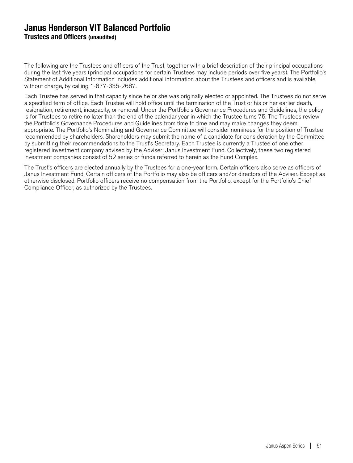### **Janus Henderson VIT Balanced Portfolio Trustees and Officers (unaudited)**

The following are the Trustees and officers of the Trust, together with a brief description of their principal occupations during the last five years (principal occupations for certain Trustees may include periods over five years). The Portfolio's Statement of Additional Information includes additional information about the Trustees and officers and is available, without charge, by calling 1-877-335-2687.

Each Trustee has served in that capacity since he or she was originally elected or appointed. The Trustees do not serve a specified term of office. Each Trustee will hold office until the termination of the Trust or his or her earlier death, resignation, retirement, incapacity, or removal. Under the Portfolio's Governance Procedures and Guidelines, the policy is for Trustees to retire no later than the end of the calendar year in which the Trustee turns 75. The Trustees review the Portfolio's Governance Procedures and Guidelines from time to time and may make changes they deem appropriate. The Portfolio's Nominating and Governance Committee will consider nominees for the position of Trustee recommended by shareholders. Shareholders may submit the name of a candidate for consideration by the Committee by submitting their recommendations to the Trust's Secretary. Each Trustee is currently a Trustee of one other registered investment company advised by the Adviser: Janus Investment Fund. Collectively, these two registered investment companies consist of 52 series or funds referred to herein as the Fund Complex.

The Trust's officers are elected annually by the Trustees for a one-year term. Certain officers also serve as officers of Janus Investment Fund. Certain officers of the Portfolio may also be officers and/or directors of the Adviser. Except as otherwise disclosed, Portfolio officers receive no compensation from the Portfolio, except for the Portfolio's Chief Compliance Officer, as authorized by the Trustees.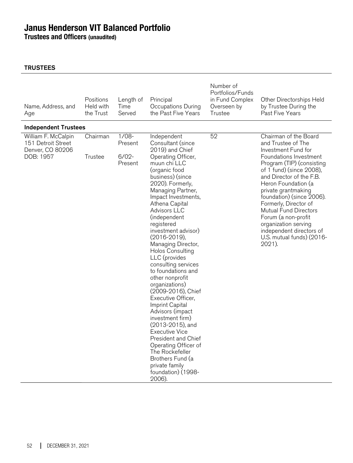**Trustees and Officers (unaudited)**

| Name, Address, and<br>Age                                                  | Positions<br>Held with<br>the Trust | Length of<br>Time<br>Served               | Principal<br>Occupations During<br>the Past Five Years                                                                                                                                                                                                                                                                                                                                                                                                                                                                                                                                                                                                                                                                                              | Number of<br>Portfolios/Funds<br>in Fund Complex<br>Overseen by<br>Trustee | Other Directorships Held<br>by Trustee During the<br>Past Five Years                                                                                                                                                                                                                                                                                                                                                                    |
|----------------------------------------------------------------------------|-------------------------------------|-------------------------------------------|-----------------------------------------------------------------------------------------------------------------------------------------------------------------------------------------------------------------------------------------------------------------------------------------------------------------------------------------------------------------------------------------------------------------------------------------------------------------------------------------------------------------------------------------------------------------------------------------------------------------------------------------------------------------------------------------------------------------------------------------------------|----------------------------------------------------------------------------|-----------------------------------------------------------------------------------------------------------------------------------------------------------------------------------------------------------------------------------------------------------------------------------------------------------------------------------------------------------------------------------------------------------------------------------------|
| <b>Independent Trustees</b>                                                |                                     |                                           |                                                                                                                                                                                                                                                                                                                                                                                                                                                                                                                                                                                                                                                                                                                                                     |                                                                            |                                                                                                                                                                                                                                                                                                                                                                                                                                         |
| William F. McCalpin<br>151 Detroit Street<br>Denver, CO 80206<br>DOB: 1957 | Chairman<br>Trustee                 | $1/08-$<br>Present<br>$6/02 -$<br>Present | Independent<br>Consultant (since<br>2019) and Chief<br>Operating Officer,<br>muun chi LLC<br>(organic food<br>business) (since<br>2020). Formerly,<br>Managing Partner,<br>Impact Investments,<br>Athena Capital<br><b>Advisors LLC</b><br>(independent<br>registered<br>investment advisor)<br>$(2016 - 2019)$ ,<br>Managing Director,<br>Holos Consulting<br>LLC (provides<br>consulting services<br>to foundations and<br>other nonprofit<br>organizations)<br>(2009-2016), Chief<br>Executive Officer,<br>Imprint Capital<br>Advisors (impact<br>investment firm)<br>(2013-2015), and<br>Executive Vice<br>President and Chief<br>Operating Officer of<br>The Rockefeller<br>Brothers Fund (a<br>private family<br>foundation) (1998-<br>2006). | 52                                                                         | Chairman of the Board<br>and Trustee of The<br>Investment Fund for<br>Foundations Investment<br>Program (TIP) (consisting<br>of 1 fund) (since 2008),<br>and Director of the F.B.<br>Heron Foundation (a<br>private grantmaking<br>foundation) (since 2006).<br>Formerly, Director of<br><b>Mutual Fund Directors</b><br>Forum (a non-profit<br>organization serving<br>independent directors of<br>U.S. mutual funds) (2016-<br>2021). |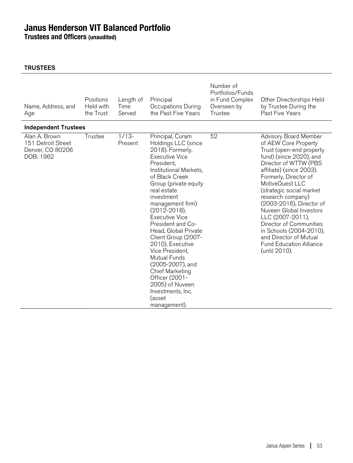**Trustees and Officers (unaudited)**

| Name, Address, and<br>Age                                            | Positions<br>Held with<br>the Trust | Length of<br>Time<br>Served | Principal<br>Occupations During<br>the Past Five Years                                                                                                                                                                                                                                                                                                                                                                                                                                                                       | Number of<br>Portfolios/Funds<br>in Fund Complex<br>Overseen by<br>Trustee | Other Directorships Held<br>by Trustee During the<br>Past Five Years                                                                                                                                                                                                                                                                                                                                                                                                        |
|----------------------------------------------------------------------|-------------------------------------|-----------------------------|------------------------------------------------------------------------------------------------------------------------------------------------------------------------------------------------------------------------------------------------------------------------------------------------------------------------------------------------------------------------------------------------------------------------------------------------------------------------------------------------------------------------------|----------------------------------------------------------------------------|-----------------------------------------------------------------------------------------------------------------------------------------------------------------------------------------------------------------------------------------------------------------------------------------------------------------------------------------------------------------------------------------------------------------------------------------------------------------------------|
| <b>Independent Trustees</b>                                          |                                     |                             |                                                                                                                                                                                                                                                                                                                                                                                                                                                                                                                              |                                                                            |                                                                                                                                                                                                                                                                                                                                                                                                                                                                             |
| Alan A. Brown<br>151 Detroit Street<br>Denver, CO 80206<br>DOB: 1962 | Trustee                             | $1/13-$<br>Present          | Principal, Curam<br>Holdings LLC (since<br>2018). Formerly,<br>Executive Vice<br>President,<br>Institutional Markets,<br>of Black Creek<br>Group (private equity<br>real estate<br>investment<br>management firm)<br>$(2012 - 2018)$ ,<br>Executive Vice<br>President and Co-<br>Head, Global Private<br>Client Group (2007-<br>2010), Executive<br>Vice President.<br><b>Mutual Funds</b><br>(2005-2007), and<br><b>Chief Marketing</b><br>Officer (2001-<br>2005) of Nuveen<br>Investments, Inc.<br>(asset<br>management). | 52                                                                         | <b>Advisory Board Member</b><br>of AEW Core Property<br>Trust (open-end property<br>fund) (since 2020), and<br>Director of WTTW (PBS<br>affiliate) (since 2003).<br>Formerly, Director of<br>MotiveQuest LLC<br>(strategic social market<br>research company)<br>(2003-2016), Director of<br>Nuveen Global Investors<br>LLC (2007-2011),<br>Director of Communities<br>in Schools (2004-2010),<br>and Director of Mutual<br><b>Fund Education Alliance</b><br>(until 2010). |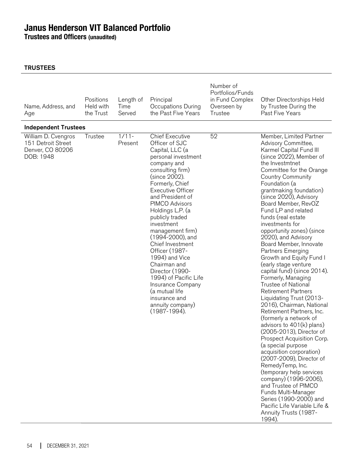**Trustees and Officers (unaudited)**

| Name, Address, and<br>Age                                                  | Positions<br>Held with<br>the Trust | Length of<br>Time<br>Served | Principal<br>Occupations During<br>the Past Five Years                                                                                                                                                                                                                                                                                                                                                                                                                                                                                        | Number of<br>Portfolios/Funds<br>in Fund Complex<br>Overseen by<br>Trustee | Other Directorships Held<br>by Trustee During the<br>Past Five Years                                                                                                                                                                                                                                                                                                                                                                                                                                                                                                                                                                                                                                                                                                                                                                                                                                                                                                                                                                                                                                               |
|----------------------------------------------------------------------------|-------------------------------------|-----------------------------|-----------------------------------------------------------------------------------------------------------------------------------------------------------------------------------------------------------------------------------------------------------------------------------------------------------------------------------------------------------------------------------------------------------------------------------------------------------------------------------------------------------------------------------------------|----------------------------------------------------------------------------|--------------------------------------------------------------------------------------------------------------------------------------------------------------------------------------------------------------------------------------------------------------------------------------------------------------------------------------------------------------------------------------------------------------------------------------------------------------------------------------------------------------------------------------------------------------------------------------------------------------------------------------------------------------------------------------------------------------------------------------------------------------------------------------------------------------------------------------------------------------------------------------------------------------------------------------------------------------------------------------------------------------------------------------------------------------------------------------------------------------------|
| <b>Independent Trustees</b>                                                |                                     |                             |                                                                                                                                                                                                                                                                                                                                                                                                                                                                                                                                               |                                                                            |                                                                                                                                                                                                                                                                                                                                                                                                                                                                                                                                                                                                                                                                                                                                                                                                                                                                                                                                                                                                                                                                                                                    |
| William D. Cvengros<br>151 Detroit Street<br>Denver, CO 80206<br>DOB: 1948 | Trustee                             | $1/11 -$<br>Present         | <b>Chief Executive</b><br>Officer of SJC<br>Capital, LLC (a<br>personal investment<br>company and<br>consulting firm)<br>(since 2002).<br>Formerly, Chief<br><b>Executive Officer</b><br>and President of<br>PIMCO Advisors<br>Holdings L.P. (a<br>publicly traded<br>investment<br>management firm)<br>(1994-2000), and<br>Chief Investment<br>Officer (1987-<br>1994) and Vice<br>Chairman and<br>Director (1990-<br>1994) of Pacific Life<br>Insurance Company<br>(a mutual life<br>insurance and<br>annuity company)<br>$(1987 - 1994)$ . | 52                                                                         | Member, Limited Partner<br>Advisory Committee,<br>Karmel Capital Fund III<br>(since 2022), Member of<br>the Investmtnet<br>Committee for the Orange<br>Country Community<br>Foundation (a<br>grantmaking foundation)<br>(since 2020), Advisory<br>Board Member, RevOZ<br>Fund LP and related<br>funds (real estate<br>investments for<br>opportunity zones) (since<br>2020), and Advisory<br>Board Member, Innovate<br>Partners Emerging<br>Growth and Equity Fund I<br>(early stage venture<br>capital fund) (since 2014).<br>Formerly, Managing<br>Trustee of National<br><b>Retirement Partners</b><br>Liquidating Trust (2013-<br>2016), Chairman, National<br>Retirement Partners, Inc.<br>(formerly a network of<br>advisors to $401(k)$ plans)<br>(2005-2013), Director of<br>Prospect Acquisition Corp.<br>(a special purpose<br>acquisition corporation)<br>(2007-2009), Director of<br>RemedyTemp, Inc.<br>(temporary help services<br>company) (1996-2006),<br>and Trustee of PIMCO<br>Funds Multi-Manager<br>Series (1990-2000) and<br>Pacific Life Variable Life &<br>Annuity Trusts (1987-<br>1994). |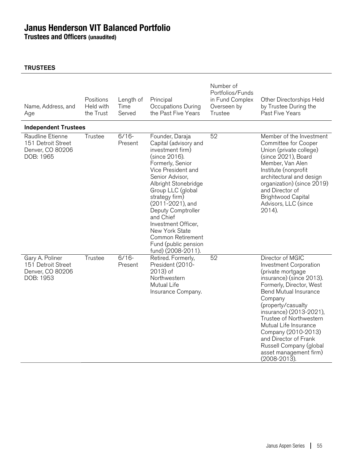**Trustees and Officers (unaudited)**

| Name, Address, and<br>Age                                               | Positions<br>Held with<br>the Trust | Length of<br>Time<br>Served | Principal<br>Occupations During<br>the Past Five Years                                                                                                                                                                                                                                                                                                                              | Number of<br>Portfolios/Funds<br>in Fund Complex<br>Overseen by<br>Trustee | Other Directorships Held<br>by Trustee During the<br>Past Five Years                                                                                                                                                                                                                                                                                                                            |
|-------------------------------------------------------------------------|-------------------------------------|-----------------------------|-------------------------------------------------------------------------------------------------------------------------------------------------------------------------------------------------------------------------------------------------------------------------------------------------------------------------------------------------------------------------------------|----------------------------------------------------------------------------|-------------------------------------------------------------------------------------------------------------------------------------------------------------------------------------------------------------------------------------------------------------------------------------------------------------------------------------------------------------------------------------------------|
| <b>Independent Trustees</b>                                             |                                     |                             |                                                                                                                                                                                                                                                                                                                                                                                     |                                                                            |                                                                                                                                                                                                                                                                                                                                                                                                 |
| Raudline Etienne<br>151 Detroit Street<br>Denver, CO 80206<br>DOB: 1965 | Trustee                             | $6/16-$<br>Present          | Founder, Daraja<br>Capital (advisory and<br>investment firm)<br>(since 2016).<br>Formerly, Senior<br>Vice President and<br>Senior Advisor,<br>Albright Stonebridge<br>Group LLC (global<br>strategy firm)<br>(2011-2021), and<br>Deputy Comptroller<br>and Chief<br>Investment Officer,<br>New York State<br><b>Common Retirement</b><br>Fund (public pension<br>fund) (2008-2011). | 52                                                                         | Member of the Investment<br>Committee for Cooper<br>Union (private college)<br>(since 2021), Board<br>Member, Van Alen<br>Institute (nonprofit<br>architectural and design<br>organization) (since 2019)<br>and Director of<br><b>Brightwood Capital</b><br>Advisors, LLC (since<br>2014).                                                                                                      |
| Gary A. Poliner<br>151 Detroit Street<br>Denver, CO 80206<br>DOB: 1953  | Trustee                             | $6/16-$<br>Present          | Retired. Formerly,<br>President (2010-<br>2013) of<br>Northwestern<br>Mutual Life<br>Insurance Company.                                                                                                                                                                                                                                                                             | 52                                                                         | Director of MGIC<br>Investment Corporation<br>(private mortgage<br>insurance) (since 2013).<br>Formerly, Director, West<br><b>Bend Mutual Insurance</b><br>Company<br>(property/casualty<br>insurance) (2013-2021),<br>Trustee of Northwestern<br>Mutual Life Insurance<br>Company (2010-2013)<br>and Director of Frank<br>Russell Company (global<br>asset management firm)<br>$(2008 - 2013)$ |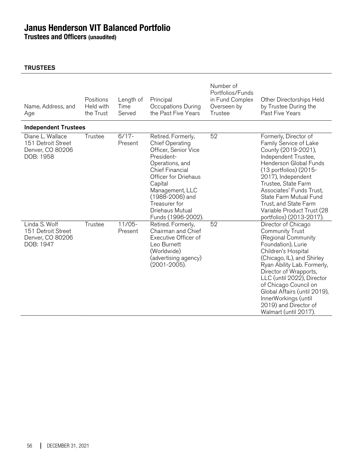**Trustees and Officers (unaudited)**

| Name, Address, and<br>Age                                               | Positions<br>Held with<br>the Trust | Length of<br>Time<br>Served | Principal<br>Occupations During<br>the Past Five Years                                                                                                                                                                                                             | Number of<br>Portfolios/Funds<br>in Fund Complex<br>Overseen by<br>Trustee | Other Directorships Held<br>by Trustee During the<br>Past Five Years                                                                                                                                                                                                                                                                                                      |
|-------------------------------------------------------------------------|-------------------------------------|-----------------------------|--------------------------------------------------------------------------------------------------------------------------------------------------------------------------------------------------------------------------------------------------------------------|----------------------------------------------------------------------------|---------------------------------------------------------------------------------------------------------------------------------------------------------------------------------------------------------------------------------------------------------------------------------------------------------------------------------------------------------------------------|
| <b>Independent Trustees</b>                                             |                                     |                             |                                                                                                                                                                                                                                                                    |                                                                            |                                                                                                                                                                                                                                                                                                                                                                           |
| Diane L. Wallace<br>151 Detroit Street<br>Denver, CO 80206<br>DOB: 1958 | Trustee                             | $6/17 -$<br>Present         | Retired. Formerly,<br><b>Chief Operating</b><br>Officer, Senior Vice<br>President-<br>Operations, and<br><b>Chief Financial</b><br>Officer for Driehaus<br>Capital<br>Management, LLC<br>(1988-2006) and<br>Treasurer for<br>Driehaus Mutual<br>Funds (1996-2002). | 52                                                                         | Formerly, Director of<br>Family Service of Lake<br>County (2019-2021),<br>Independent Trustee,<br>Henderson Global Funds<br>(13 portfolios) (2015-<br>2017), Independent<br>Trustee, State Farm<br>Associates' Funds Trust,<br>State Farm Mutual Fund<br>Trust, and State Farm<br>Variable Product Trust (28<br>portfolios) (2013-2017).                                  |
| Linda S. Wolf<br>151 Detroit Street<br>Denver, CO 80206<br>DOB: 1947    | Trustee                             | $11/05 -$<br>Present        | Retired. Formerly,<br>Chairman and Chief<br>Executive Officer of<br>Leo Burnett<br>(Worldwide)<br>(advertising agency)<br>(2001-2005).                                                                                                                             | 52                                                                         | Director of Chicago<br><b>Community Trust</b><br>(Regional Community<br>Foundation), Lurie<br>Children's Hospital<br>(Chicago, IL), and Shirley<br>Ryan Ability Lab. Formerly,<br>Director of Wrapports,<br>LLC (until 2022), Director<br>of Chicago Council on<br>Global Affairs (until 2019),<br>InnerWorkings (until<br>2019) and Director of<br>Walmart (until 2017). |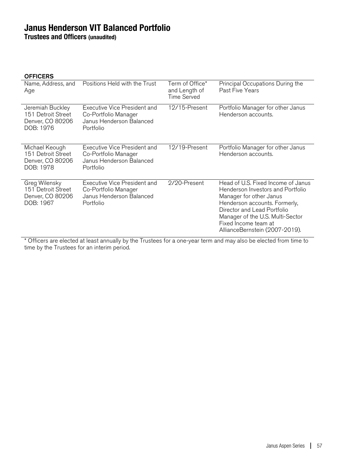**Trustees and Officers (unaudited)**

#### **OFFICERS**

| Name, Address, and<br>Age                                               | Positions Held with the Trust                                                                 | Term of Office*<br>and Length of<br>Time Served | Principal Occupations During the<br>Past Five Years                                                                                                                                                                                                              |
|-------------------------------------------------------------------------|-----------------------------------------------------------------------------------------------|-------------------------------------------------|------------------------------------------------------------------------------------------------------------------------------------------------------------------------------------------------------------------------------------------------------------------|
| Jeremiah Buckley<br>151 Detroit Street<br>Denver, CO 80206<br>DOB: 1976 | Executive Vice President and<br>Co-Portfolio Manager<br>Janus Henderson Balanced<br>Portfolio | 12/15-Present                                   | Portfolio Manager for other Janus<br>Henderson accounts.                                                                                                                                                                                                         |
| Michael Keough<br>151 Detroit Street<br>Denver, CO 80206<br>DOB: 1978   | Executive Vice President and<br>Co-Portfolio Manager<br>Janus Henderson Balanced<br>Portfolio | 12/19-Present                                   | Portfolio Manager for other Janus<br>Henderson accounts.                                                                                                                                                                                                         |
| Greg Wilensky<br>151 Detroit Street<br>Denver, CO 80206<br>DOB: 1967    | Executive Vice President and<br>Co-Portfolio Manager<br>Janus Henderson Balanced<br>Portfolio | 2/20-Present                                    | Head of U.S. Fixed Income of Janus<br>Henderson Investors and Portfolio<br>Manager for other Janus<br>Henderson accounts. Formerly,<br>Director and Lead Portfolio<br>Manager of the U.S. Multi-Sector<br>Fixed Income team at<br>AllianceBernstein (2007-2019). |

\* Officers are elected at least annually by the Trustees for a one-year term and may also be elected from time to time by the Trustees for an interim period.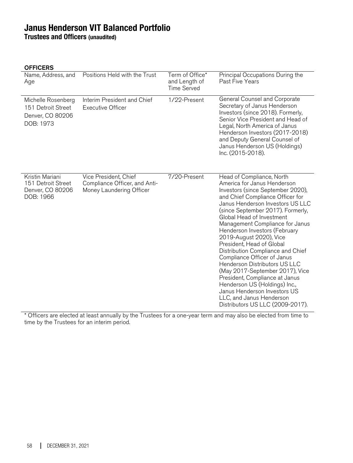**Trustees and Officers (unaudited)**

#### **OFFICERS**

| -------<br>Name, Address, and<br>Age                                      | Positions Held with the Trust                                                      | Term of Office*<br>and Length of<br><b>Time Served</b> | Principal Occupations During the<br>Past Five Years                                                                                                                                                                                                                                                                                                                                                                                                                                                                                                                                                                                                                            |
|---------------------------------------------------------------------------|------------------------------------------------------------------------------------|--------------------------------------------------------|--------------------------------------------------------------------------------------------------------------------------------------------------------------------------------------------------------------------------------------------------------------------------------------------------------------------------------------------------------------------------------------------------------------------------------------------------------------------------------------------------------------------------------------------------------------------------------------------------------------------------------------------------------------------------------|
| Michelle Rosenberg<br>151 Detroit Street<br>Denver, CO 80206<br>DOB: 1973 | Interim President and Chief<br><b>Executive Officer</b>                            | 1/22-Present                                           | General Counsel and Corporate<br>Secretary of Janus Henderson<br>Investors (since 2018). Formerly,<br>Senior Vice President and Head of<br>Legal, North America of Janus<br>Henderson Investors (2017-2018)<br>and Deputy General Counsel of<br>Janus Henderson US (Holdings)<br>Inc. (2015-2018).                                                                                                                                                                                                                                                                                                                                                                             |
| Kristin Mariani<br>151 Detroit Street<br>Denver, CO 80206<br>DOB: 1966    | Vice President, Chief<br>Compliance Officer, and Anti-<br>Money Laundering Officer | 7/20-Present                                           | Head of Compliance, North<br>America for Janus Henderson<br>Investors (since September 2020),<br>and Chief Compliance Officer for<br>Janus Henderson Investors US LLC<br>(since September 2017). Formerly,<br>Global Head of Investment<br>Management Compliance for Janus<br>Henderson Investors (February<br>2019-August 2020), Vice<br>President, Head of Global<br>Distribution Compliance and Chief<br>Compliance Officer of Janus<br>Henderson Distributors US LLC<br>(May 2017-September 2017), Vice<br>President, Compliance at Janus<br>Henderson US (Holdings) Inc.,<br>Janus Henderson Investors US<br>LLC, and Janus Henderson<br>Distributors US LLC (2009-2017). |

\* Officers are elected at least annually by the Trustees for a one-year term and may also be elected from time to time by the Trustees for an interim period.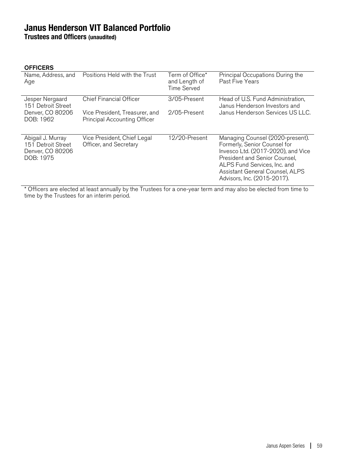**Trustees and Officers (unaudited)**

#### **OFFICERS**

| <b>9119559</b>                                                           |                                                                       |                                                 |                                                                                                                                                                                                                                           |
|--------------------------------------------------------------------------|-----------------------------------------------------------------------|-------------------------------------------------|-------------------------------------------------------------------------------------------------------------------------------------------------------------------------------------------------------------------------------------------|
| Name, Address, and<br>Age                                                | Positions Held with the Trust                                         | Term of Office*<br>and Length of<br>Time Served | Principal Occupations During the<br>Past Five Years                                                                                                                                                                                       |
| Jesper Nergaard<br>151 Detroit Street                                    | <b>Chief Financial Officer</b>                                        | 3/05-Present                                    | Head of U.S. Fund Administration,<br>Janus Henderson Investors and                                                                                                                                                                        |
| Denver, CO 80206<br>DOB: 1962                                            | Vice President, Treasurer, and<br><b>Principal Accounting Officer</b> | 2/05-Present                                    | Janus Henderson Services US LLC.                                                                                                                                                                                                          |
| Abigail J. Murray<br>151 Detroit Street<br>Denver, CO 80206<br>DOB: 1975 | Vice President, Chief Legal<br>Officer, and Secretary                 | 12/20-Present                                   | Managing Counsel (2020-present).<br>Formerly, Senior Counsel for<br>Invesco Ltd. (2017-2020), and Vice<br>President and Senior Counsel,<br>ALPS Fund Services, Inc. and<br>Assistant General Counsel, ALPS<br>Advisors, Inc. (2015-2017). |

\* Officers are elected at least annually by the Trustees for a one-year term and may also be elected from time to time by the Trustees for an interim period.